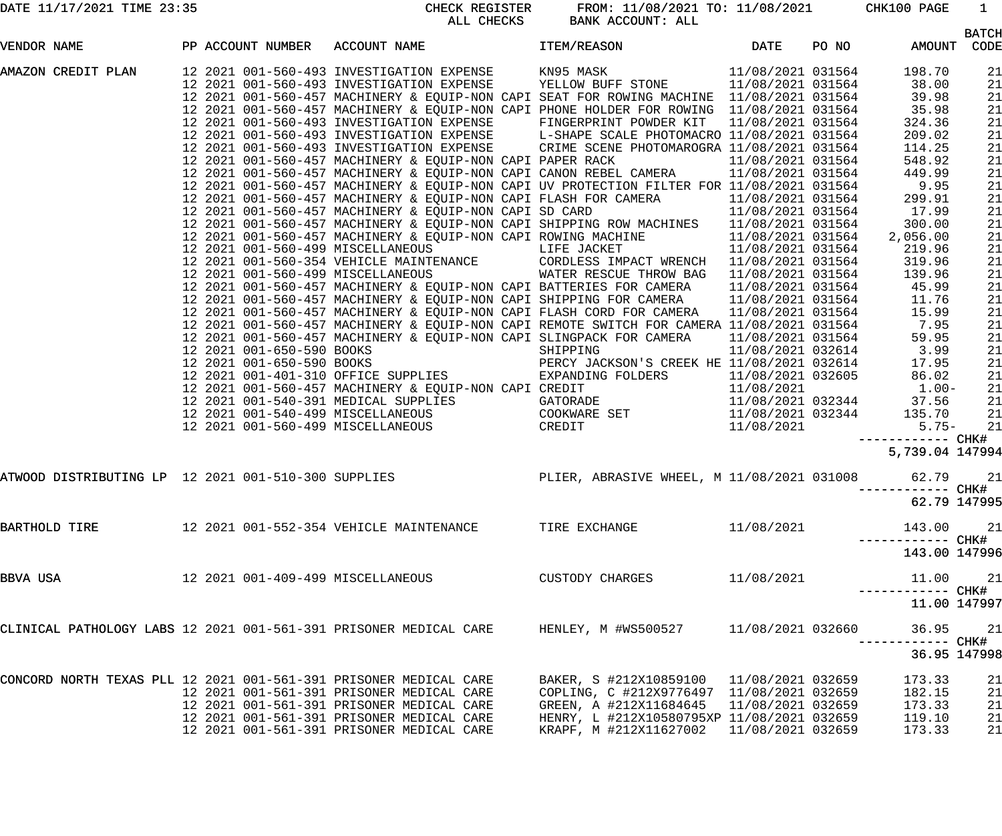| DATE 11/17/2021 TIME 23:35 |  |  |
|----------------------------|--|--|
|                            |  |  |

CHECK REGISTER FROM:  $11/08/2021$  TO:  $11/08/2021$  CHK100 PAGE 1<br>ALL CHECKS BANK ACCOUNT: ALL BANK ACCOUNT: ALL

| VENDOR NAME                                                       |  |                                                                                        | PP ACCOUNT NUMBER ACCOUNT NAME THEM/REASON DATE                                                                                                                                                                               |            | PO NO | AMOUNT CODE       | <b>BATCH</b> |
|-------------------------------------------------------------------|--|----------------------------------------------------------------------------------------|-------------------------------------------------------------------------------------------------------------------------------------------------------------------------------------------------------------------------------|------------|-------|-------------------|--------------|
|                                                                   |  |                                                                                        | VARIAC CREDIT PLAN ACCULINE ACCULINE IN THE SELECTION IN A 1990 FRAME CREDIT PLAN AND LOTENTIAL CREDIT PLAN ACCULINE TRANSPORT CREDIT PROPERTY AND RELEVANT CREDIT CREDIT CREDIT CREDIT CREDIT CREDIT CREDIT CREDIT CREDIT CR |            |       |                   |              |
|                                                                   |  |                                                                                        |                                                                                                                                                                                                                               |            |       |                   | 21           |
|                                                                   |  |                                                                                        |                                                                                                                                                                                                                               |            |       |                   | 21           |
|                                                                   |  |                                                                                        |                                                                                                                                                                                                                               |            |       |                   | 21           |
|                                                                   |  |                                                                                        |                                                                                                                                                                                                                               |            |       |                   | 21           |
|                                                                   |  |                                                                                        |                                                                                                                                                                                                                               |            |       |                   | 21           |
|                                                                   |  |                                                                                        |                                                                                                                                                                                                                               |            |       |                   | 21           |
|                                                                   |  |                                                                                        |                                                                                                                                                                                                                               |            |       |                   | 21           |
|                                                                   |  |                                                                                        |                                                                                                                                                                                                                               |            |       |                   | 21           |
|                                                                   |  |                                                                                        |                                                                                                                                                                                                                               |            |       |                   | 21           |
|                                                                   |  |                                                                                        |                                                                                                                                                                                                                               |            |       |                   | 21           |
|                                                                   |  |                                                                                        |                                                                                                                                                                                                                               |            |       |                   | 21           |
|                                                                   |  |                                                                                        |                                                                                                                                                                                                                               |            |       |                   | 21           |
|                                                                   |  |                                                                                        |                                                                                                                                                                                                                               |            |       |                   | 21           |
|                                                                   |  |                                                                                        |                                                                                                                                                                                                                               |            |       |                   | 21           |
|                                                                   |  |                                                                                        |                                                                                                                                                                                                                               |            |       |                   | 21           |
|                                                                   |  |                                                                                        |                                                                                                                                                                                                                               |            |       |                   | 21           |
|                                                                   |  |                                                                                        |                                                                                                                                                                                                                               |            |       |                   | 21           |
|                                                                   |  |                                                                                        |                                                                                                                                                                                                                               |            |       |                   | 21           |
|                                                                   |  |                                                                                        |                                                                                                                                                                                                                               |            |       |                   | 21           |
|                                                                   |  |                                                                                        |                                                                                                                                                                                                                               |            |       |                   | 21           |
|                                                                   |  |                                                                                        |                                                                                                                                                                                                                               |            |       |                   | 21           |
|                                                                   |  |                                                                                        |                                                                                                                                                                                                                               |            |       |                   | 21           |
|                                                                   |  |                                                                                        |                                                                                                                                                                                                                               |            |       |                   | 21           |
|                                                                   |  |                                                                                        |                                                                                                                                                                                                                               |            |       |                   | 21           |
|                                                                   |  |                                                                                        |                                                                                                                                                                                                                               |            |       |                   | 21           |
|                                                                   |  |                                                                                        |                                                                                                                                                                                                                               |            |       |                   | 21           |
|                                                                   |  |                                                                                        |                                                                                                                                                                                                                               |            |       |                   | 21           |
|                                                                   |  |                                                                                        |                                                                                                                                                                                                                               |            |       |                   | 21           |
|                                                                   |  |                                                                                        |                                                                                                                                                                                                                               |            |       |                   | 21           |
|                                                                   |  |                                                                                        |                                                                                                                                                                                                                               |            |       | ------------ CHK# |              |
|                                                                   |  |                                                                                        |                                                                                                                                                                                                                               |            |       | 5,739.04 147994   |              |
|                                                                   |  |                                                                                        | ATWOOD DISTRIBUTING LP 12 2021 001-510-300 SUPPLIES <b>ADDEE SEE AT ALLER, ABRASIVE WHEEL, M</b> 11/08/2021 031008 62.79                                                                                                      |            |       |                   | 21           |
|                                                                   |  |                                                                                        |                                                                                                                                                                                                                               |            |       | ----------- CHK#  |              |
|                                                                   |  |                                                                                        |                                                                                                                                                                                                                               |            |       | 62.79 147995      |              |
| BARTHOLD TIRE                                                     |  | 12 2021 001-552-354 VEHICLE MAINTENANCE TIRE EXCHANGE                                  |                                                                                                                                                                                                                               | 11/08/2021 |       | 143.00            | 21           |
|                                                                   |  |                                                                                        |                                                                                                                                                                                                                               |            |       | 143.00 147996     |              |
| BBVA USA                                                          |  | 12  2021  001-409-499  MISCELLANEOUS                                                   | CUSTODY CHARGES                                                                                                                                                                                                               | 11/08/2021 |       | 11.00             | 21           |
|                                                                   |  |                                                                                        |                                                                                                                                                                                                                               |            |       | 11.00 147997      |              |
|                                                                   |  |                                                                                        | CLINICAL PATHOLOGY LABS 12 2021 001-561-391 PRISONER MEDICAL CARE THENLEY, M #WS500527 11/08/2021 032660                                                                                                                      |            |       | 36.95             | 21           |
|                                                                   |  |                                                                                        |                                                                                                                                                                                                                               |            |       | 36.95 147998      |              |
|                                                                   |  |                                                                                        |                                                                                                                                                                                                                               |            |       |                   |              |
| CONCORD NORTH TEXAS PLL 12 2021 001-561-391 PRISONER MEDICAL CARE |  |                                                                                        | BAKER, S #212X10859100  11/08/2021  032659                                                                                                                                                                                    |            |       | 173.33            | 21           |
|                                                                   |  | 12 2021 001-561-391 PRISONER MEDICAL CARE                                              | COPLING, C #212X9776497 11/08/2021 032659                                                                                                                                                                                     |            |       | 182.15            | 21           |
|                                                                   |  | 12 2021 001-561-391 PRISONER MEDICAL CARE                                              | GREEN, A #212X11684645 11/08/2021 032659                                                                                                                                                                                      |            |       | 173.33            | 21           |
|                                                                   |  | 12 2021 001-561-391 PRISONER MEDICAL CARE<br>12 2021 001-561-391 PRISONER MEDICAL CARE | HENRY, L #212X10580795XP 11/08/2021 032659<br>KRAPF, M #212X11627002 11/08/2021 032659                                                                                                                                        |            |       | 119.10<br>173.33  | 21<br>21     |
|                                                                   |  |                                                                                        |                                                                                                                                                                                                                               |            |       |                   |              |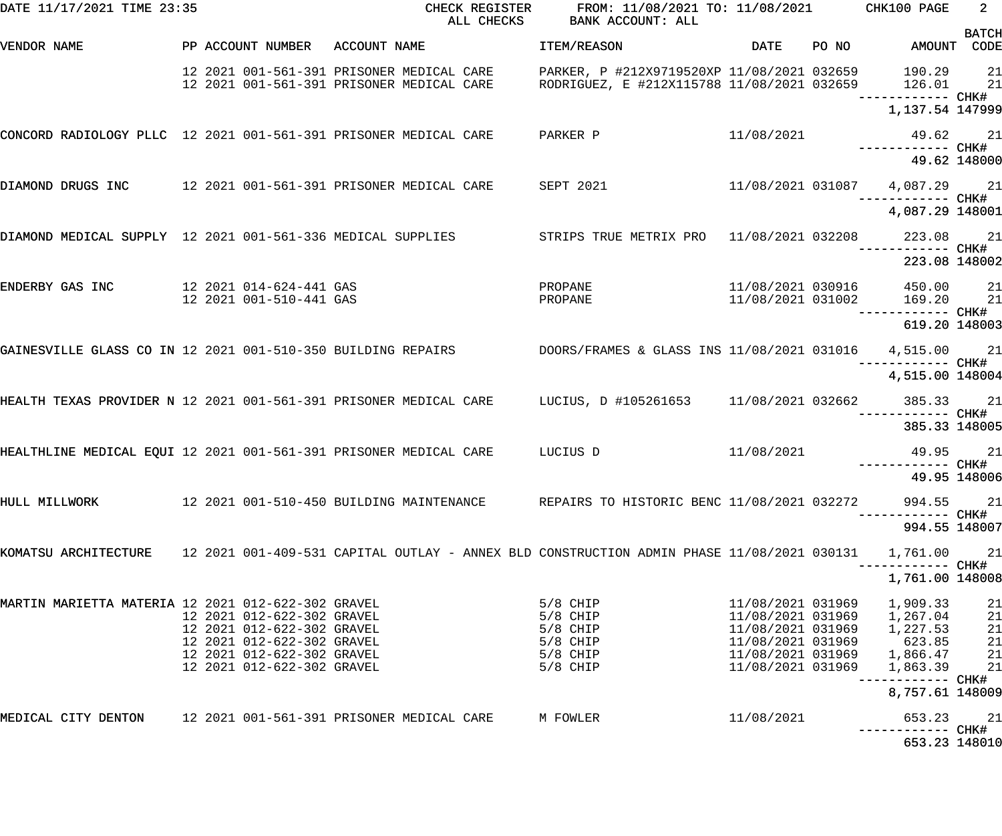| DATE 11/17/2021 TIME 23:35                                       |                                                                                                                                                    | CHECK REGISTER<br>ALL CHECKS                                                                                     | FROM: 11/08/2021 TO: 11/08/2021 CHK100 PAGE<br>BANK ACCOUNT: ALL                         |                                                                                                       |       |                                                                                                         | $2^{\circ}$                      |
|------------------------------------------------------------------|----------------------------------------------------------------------------------------------------------------------------------------------------|------------------------------------------------------------------------------------------------------------------|------------------------------------------------------------------------------------------|-------------------------------------------------------------------------------------------------------|-------|---------------------------------------------------------------------------------------------------------|----------------------------------|
| VENDOR NAME                                                      |                                                                                                                                                    | PP ACCOUNT NUMBER ACCOUNT NAME                                                                                   | ITEM/REASON                                                                              | DATE                                                                                                  | PO NO | AMOUNT CODE                                                                                             | <b>BATCH</b>                     |
|                                                                  |                                                                                                                                                    | 12 2021 001-561-391 PRISONER MEDICAL CARE                                                                        | PARKER, P #212X9719520XP 11/08/2021 032659<br>RODRIGUEZ, E #212X115788 11/08/2021 032659 |                                                                                                       |       | 190.29<br>126.01<br>------------ CHK#                                                                   | 21<br>21                         |
|                                                                  |                                                                                                                                                    |                                                                                                                  |                                                                                          |                                                                                                       |       | 1,137.54 147999                                                                                         |                                  |
| CONCORD RADIOLOGY PLLC 12 2021 001-561-391 PRISONER MEDICAL CARE |                                                                                                                                                    |                                                                                                                  | PARKER P                                                                                 | 11/08/2021                                                                                            |       | 49.62 21<br>------------ CHK#                                                                           |                                  |
|                                                                  |                                                                                                                                                    |                                                                                                                  |                                                                                          |                                                                                                       |       | 49.62 148000                                                                                            |                                  |
|                                                                  |                                                                                                                                                    | DIAMOND DRUGS INC     12 2021 001-561-391 PRISONER MEDICAL CARE    SEPT 2021                                     |                                                                                          |                                                                                                       |       | 11/08/2021 031087 4,087.29 21                                                                           |                                  |
|                                                                  |                                                                                                                                                    |                                                                                                                  |                                                                                          |                                                                                                       |       | 4,087.29 148001                                                                                         |                                  |
| DIAMOND MEDICAL SUPPLY 12 2021 001-561-336 MEDICAL SUPPLIES      |                                                                                                                                                    |                                                                                                                  | STRIPS TRUE METRIX PRO  11/08/2021 032208  223.08  21                                    |                                                                                                       |       |                                                                                                         |                                  |
|                                                                  |                                                                                                                                                    |                                                                                                                  |                                                                                          |                                                                                                       |       | 223.08 148002                                                                                           |                                  |
| ENDERBY GAS INC                                                  | 12 2021 014-624-441 GAS<br>12 2021 001-510-441 GAS                                                                                                 |                                                                                                                  | PROPANE<br>PROPANE                                                                       | 11/08/2021 030916<br>11/08/2021 031002                                                                |       | 450.00<br>169.20                                                                                        | 21<br>21                         |
|                                                                  |                                                                                                                                                    |                                                                                                                  |                                                                                          |                                                                                                       |       | 619.20 148003                                                                                           |                                  |
| GAINESVILLE GLASS CO IN 12 2021 001-510-350 BUILDING REPAIRS     |                                                                                                                                                    |                                                                                                                  | DOORS/FRAMES & GLASS INS 11/08/2021 031016 4,515.00                                      |                                                                                                       |       | ------ CHK#                                                                                             | 21                               |
|                                                                  |                                                                                                                                                    |                                                                                                                  |                                                                                          |                                                                                                       |       | 4,515.00 148004                                                                                         |                                  |
|                                                                  |                                                                                                                                                    | HEALTH TEXAS PROVIDER N 12 2021 001-561-391 PRISONER MEDICAL CARE LUCIUS, D #105261653 11/08/2021 032662 385.33  |                                                                                          |                                                                                                       |       |                                                                                                         | 21                               |
|                                                                  |                                                                                                                                                    |                                                                                                                  |                                                                                          |                                                                                                       |       | 385.33 148005                                                                                           |                                  |
|                                                                  |                                                                                                                                                    | HEALTHLINE MEDICAL EQUI 12 2021 001-561-391 PRISONER MEDICAL CARE LUCIUS D                                       |                                                                                          | 11/08/2021                                                                                            |       | 49.95                                                                                                   | 21                               |
|                                                                  |                                                                                                                                                    |                                                                                                                  |                                                                                          |                                                                                                       |       | 49.95 148006                                                                                            |                                  |
| HULL MILLWORK                                                    |                                                                                                                                                    | 12 2021 001-510-450 BUILDING MAINTENANCE                                                                         | REPAIRS TO HISTORIC BENC 11/08/2021 032272                                               |                                                                                                       |       | 994.55                                                                                                  | 21                               |
|                                                                  |                                                                                                                                                    |                                                                                                                  |                                                                                          |                                                                                                       |       | 994.55 148007                                                                                           |                                  |
|                                                                  |                                                                                                                                                    | KOMATSU ARCHITECTURE   12 2021 001-409-531 CAPITAL OUTLAY - ANNEX BLD CONSTRUCTION ADMIN PHASE 11/08/2021 030131 |                                                                                          |                                                                                                       |       | 1,761.00                                                                                                | 21                               |
|                                                                  |                                                                                                                                                    |                                                                                                                  |                                                                                          |                                                                                                       |       | 1,761.00 148008                                                                                         |                                  |
| MARTIN MARIETTA MATERIA 12 2021 012-622-302 GRAVEL               | 12 2021 012-622-302 GRAVEL<br>12 2021 012-622-302 GRAVEL<br>12 2021 012-622-302 GRAVEL<br>12 2021 012-622-302 GRAVEL<br>12 2021 012-622-302 GRAVEL |                                                                                                                  | $5/8$ CHIP<br>5/8 CHIP<br>$5/8$ CHIP<br>5/8 CHIP<br>5/8 CHIP<br>5/8 CHIP                 | 11/08/2021 031969<br>11/08/2021 031969<br>11/08/2021 031969<br>11/08/2021 031969<br>11/08/2021 031969 |       | 1,909.33<br>1,267.04<br>1,227.53<br>623.85<br>11/08/2021 031969 1,866.47<br>1,863.39<br>8,757.61 148009 | 21<br>21<br>21<br>21<br>21<br>21 |
| MEDICAL CITY DENTON                                              |                                                                                                                                                    |                                                                                                                  | M FOWLER                                                                                 | 11/08/2021                                                                                            |       | 653.23                                                                                                  | 21                               |
|                                                                  |                                                                                                                                                    |                                                                                                                  |                                                                                          |                                                                                                       |       | 653.23 148010                                                                                           |                                  |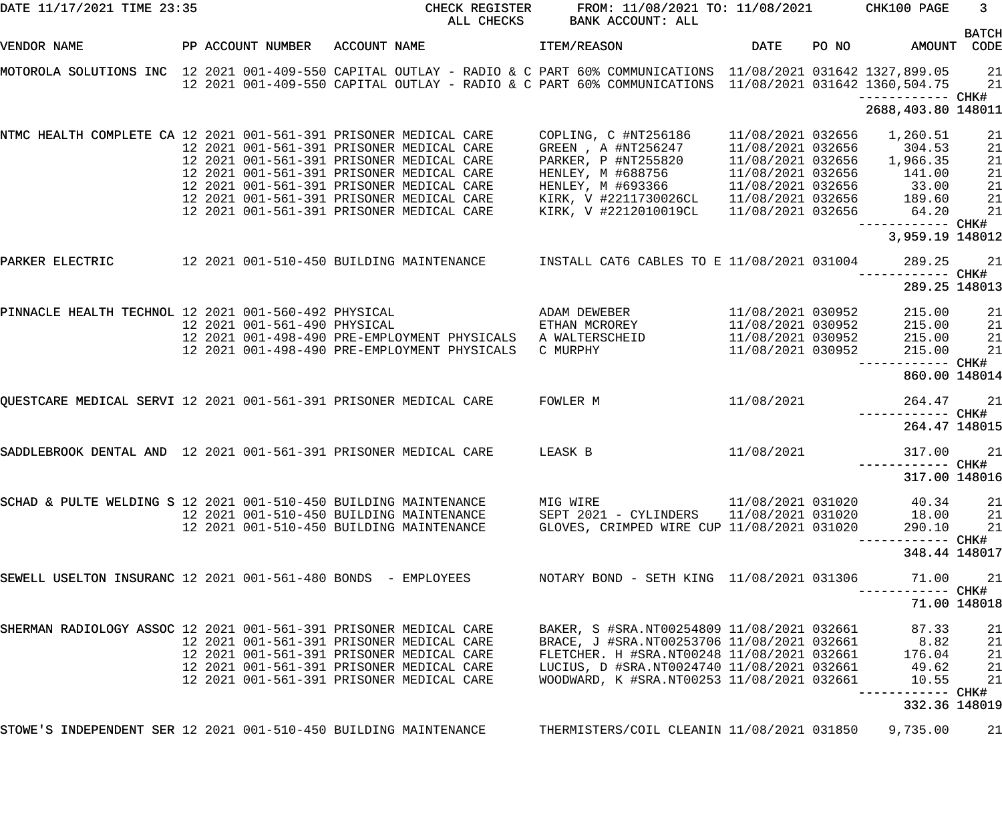| DATE 11/17/2021 TIME 23:35                                        |                                | CHECK REGISTER<br>ALL CHECKS                                                                                                                                                                                                        | FROM: 11/08/2021 TO: 11/08/2021 CHK100 PAGE<br>BANK ACCOUNT: ALL                        |                                                        |                                   | 3 <sup>7</sup> |
|-------------------------------------------------------------------|--------------------------------|-------------------------------------------------------------------------------------------------------------------------------------------------------------------------------------------------------------------------------------|-----------------------------------------------------------------------------------------|--------------------------------------------------------|-----------------------------------|----------------|
| VENDOR NAME                                                       | PP ACCOUNT NUMBER ACCOUNT NAME |                                                                                                                                                                                                                                     | ITEM/REASON                                                                             | DATE                                                   | PO NO<br>AMOUNT CODE              | <b>BATCH</b>   |
|                                                                   |                                | MOTOROLA SOLUTIONS INC 12 2021 001-409-550 CAPITAL OUTLAY - RADIO & C PART 60% COMMUNICATIONS 11/08/2021 031642 1327,899.05<br>12 2021 001-409-550 CAPITAL OUTLAY - RADIO & C PART 60% COMMUNICATIONS 11/08/2021 031642 1360,504.75 |                                                                                         |                                                        |                                   | 21<br>21       |
|                                                                   |                                |                                                                                                                                                                                                                                     |                                                                                         |                                                        | 2688,403.80 148011                |                |
| NTMC HEALTH COMPLETE CA 12 2021 001-561-391 PRISONER MEDICAL CARE |                                |                                                                                                                                                                                                                                     | COPLING, C #NT256186                                                                    | 11/08/2021 032656 1,260.51                             |                                   | 21             |
|                                                                   |                                | 12 2021 001-561-391 PRISONER MEDICAL CARE<br>12 2021 001-561-391 PRISONER MEDICAL CARE                                                                                                                                              | GREEN , A #NT256247<br>PARKER, P #NT255820                                              | 11/08/2021 032656 304.53<br>11/08/2021 032656 1,966.35 |                                   | 21<br>21       |
|                                                                   |                                | 12 2021 001-561-391 PRISONER MEDICAL CARE                                                                                                                                                                                           |                                                                                         |                                                        |                                   | 21             |
|                                                                   |                                | 12 2021 001-561-391 PRISONER MEDICAL CARE                                                                                                                                                                                           | HENLEY, M #688756 11/08/2021 032656 141.00<br>HENLEY, M #693366 11/08/2021 032656 33.00 |                                                        |                                   | 21             |
|                                                                   |                                | 12 2021 001-561-391 PRISONER MEDICAL CARE                                                                                                                                                                                           | KIRK, V #2211730026CL 11/08/2021 032656 189.60                                          |                                                        |                                   | 21             |
|                                                                   |                                | 12 2021 001-561-391 PRISONER MEDICAL CARE                                                                                                                                                                                           | KIRK, V #2212010019CL                                                                   | 11/08/2021 032656 64.20                                |                                   | 21             |
|                                                                   |                                |                                                                                                                                                                                                                                     |                                                                                         |                                                        |                                   |                |
|                                                                   |                                |                                                                                                                                                                                                                                     |                                                                                         |                                                        | 3,959.19 148012                   |                |
| PARKER ELECTRIC                                                   |                                | 12 2021 001-510-450 BUILDING MAINTENANCE     INSTALL CAT6 CABLES TO E 11/08/2021 031004                                                                                                                                             |                                                                                         |                                                        | 289.25                            | 21             |
|                                                                   |                                |                                                                                                                                                                                                                                     |                                                                                         |                                                        | 289.25 148013                     |                |
|                                                                   |                                | PINNACLE HEALTH TECHNOL 12 2021 001-560-492 PHYSICAL                           ADAM DEWEBER                                                                                                                                         |                                                                                         | 11/08/2021 030952                                      | 215.00                            | 21             |
|                                                                   | 12 2021 001-561-490 PHYSICAL   |                                                                                                                                                                                                                                     | ETHAN MCROREY                                                                           | 11/08/2021 030952 215.00                               |                                   | 21             |
|                                                                   |                                | 12 2021 001-498-490 PRE-EMPLOYMENT PHYSICALS                                                                                                                                                                                        | A WALTERSCHEID                                                                          | 11/08/2021 030952 215.00                               |                                   | 21             |
|                                                                   |                                | 12 2021 001-498-490 PRE-EMPLOYMENT PHYSICALS                                                                                                                                                                                        | C MURPHY                                                                                | 11/08/2021 030952                                      | 215.00                            | 21             |
|                                                                   |                                |                                                                                                                                                                                                                                     |                                                                                         |                                                        | 860.00 148014                     |                |
|                                                                   |                                | QUESTCARE MEDICAL SERVI 12 2021 001-561-391 PRISONER MEDICAL CARE                                                                                                                                                                   | FOWLER M                                                                                | 11/08/2021                                             | 264.47                            | 21             |
|                                                                   |                                |                                                                                                                                                                                                                                     |                                                                                         |                                                        | 264.47 148015                     |                |
| SADDLEBROOK DENTAL AND 12 2021 001-561-391 PRISONER MEDICAL CARE  |                                |                                                                                                                                                                                                                                     | LEASK B                                                                                 | 11/08/2021                                             | 317.00                            | 21             |
|                                                                   |                                |                                                                                                                                                                                                                                     |                                                                                         |                                                        |                                   |                |
|                                                                   |                                |                                                                                                                                                                                                                                     |                                                                                         |                                                        | 317.00 148016                     |                |
| SCHAD & PULTE WELDING S 12 2021 001-510-450 BUILDING MAINTENANCE  |                                |                                                                                                                                                                                                                                     | MIG WIRE                                                                                | 11/08/2021 031020                                      | 40.34                             | 21             |
|                                                                   |                                | 12 2021 001-510-450 BUILDING MAINTENANCE                                                                                                                                                                                            | SEPT 2021 - CYLINDERS 11/08/2021 031020 18.00                                           |                                                        |                                   | 21             |
|                                                                   |                                | 12 2021 001-510-450 BUILDING MAINTENANCE                                                                                                                                                                                            | GLOVES, CRIMPED WIRE CUP 11/08/2021 031020                                              |                                                        | 290.10                            | 21             |
|                                                                   |                                |                                                                                                                                                                                                                                     |                                                                                         |                                                        | ----------- CHK#<br>348.44 148017 |                |
| SEWELL USELTON INSURANC 12 2021 001-561-480 BONDS - EMPLOYEES     |                                |                                                                                                                                                                                                                                     | NOTARY BOND - SETH KING 11/08/2021 031306                                               |                                                        | 71.00                             | 21             |
|                                                                   |                                |                                                                                                                                                                                                                                     |                                                                                         |                                                        | ------ CHK#<br>71.00 148018       |                |
| SHERMAN RADIOLOGY ASSOC 12 2021 001-561-391 PRISONER MEDICAL CARE |                                |                                                                                                                                                                                                                                     | BAKER, S #SRA.NT00254809 11/08/2021 032661                                              |                                                        | 87.33                             | 21             |
|                                                                   |                                | 12 2021 001-561-391 PRISONER MEDICAL CARE                                                                                                                                                                                           | BRACE, J #SRA.NT00253706 11/08/2021 032661 8.82                                         |                                                        |                                   | 21             |
|                                                                   |                                | 12 2021 001-561-391 PRISONER MEDICAL CARE                                                                                                                                                                                           | FLETCHER. H #SRA.NT00248 11/08/2021 032661                                              |                                                        | 176.04                            | 21             |
|                                                                   |                                | 12 2021 001-561-391 PRISONER MEDICAL CARE                                                                                                                                                                                           | LUCIUS, D #SRA.NT0024740 11/08/2021 032661 49.62                                        |                                                        |                                   | 21             |
|                                                                   |                                | 12 2021 001-561-391 PRISONER MEDICAL CARE                                                                                                                                                                                           | WOODWARD, K #SRA.NT00253 11/08/2021 032661                                              |                                                        | 10.55                             | 21             |
|                                                                   |                                |                                                                                                                                                                                                                                     |                                                                                         |                                                        | ------------<br>332.36 148019     | CHK#           |
| STOWE'S INDEPENDENT SER 12 2021 001-510-450 BUILDING MAINTENANCE  |                                |                                                                                                                                                                                                                                     | THERMISTERS/COIL CLEANIN 11/08/2021 031850 9,735.00                                     |                                                        |                                   | 21             |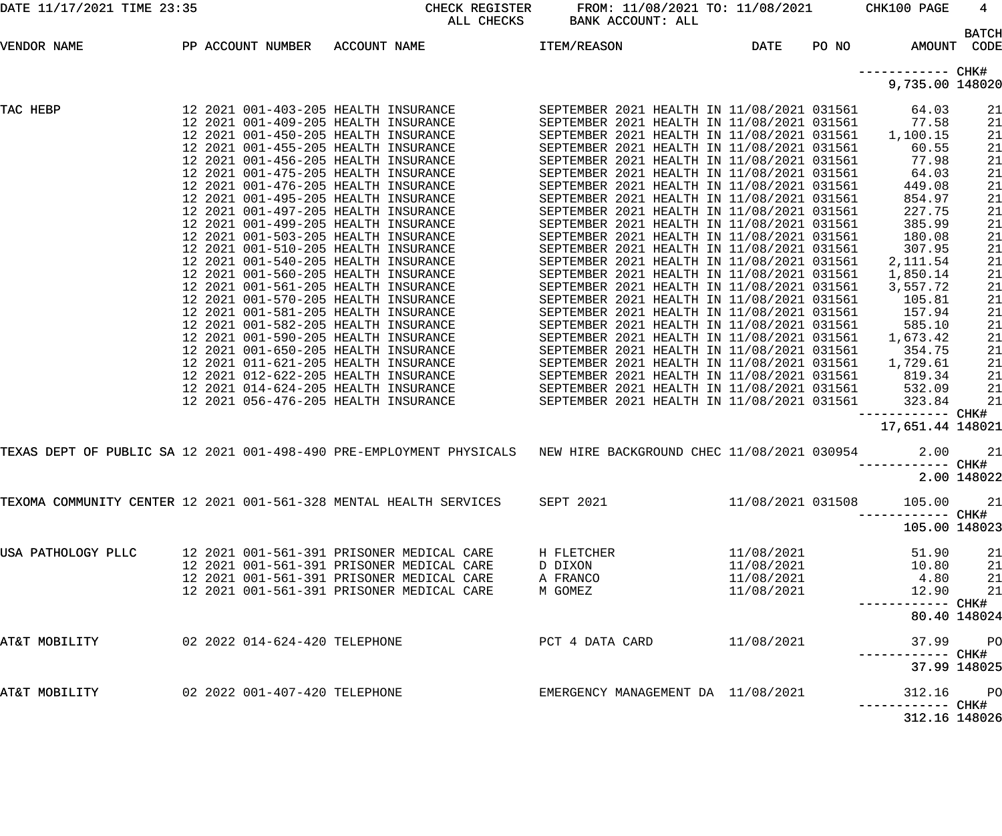| DATE 11/17/2021 TIME 23:35                                                   |                   |                                                                                                                                                                                                                                                                                                                                                                                                                                                                                                                                                                                                                                                                                                                                                                                                                              | CHECK REGISTER<br>ALL CHECKS                                                                                                                                                     | FROM: 11/08/2021 TO: 11/08/2021<br>BANK ACCOUNT: ALL                                                                                                                                                                                                                                                                                                                                                                                                                                                                                                                                                                                                                                                                                                                                                                                                                                                                                                 |                                                      |       | CHK100 PAGE                                                                                                                                                                                                | 4                                                                                                                    |
|------------------------------------------------------------------------------|-------------------|------------------------------------------------------------------------------------------------------------------------------------------------------------------------------------------------------------------------------------------------------------------------------------------------------------------------------------------------------------------------------------------------------------------------------------------------------------------------------------------------------------------------------------------------------------------------------------------------------------------------------------------------------------------------------------------------------------------------------------------------------------------------------------------------------------------------------|----------------------------------------------------------------------------------------------------------------------------------------------------------------------------------|------------------------------------------------------------------------------------------------------------------------------------------------------------------------------------------------------------------------------------------------------------------------------------------------------------------------------------------------------------------------------------------------------------------------------------------------------------------------------------------------------------------------------------------------------------------------------------------------------------------------------------------------------------------------------------------------------------------------------------------------------------------------------------------------------------------------------------------------------------------------------------------------------------------------------------------------------|------------------------------------------------------|-------|------------------------------------------------------------------------------------------------------------------------------------------------------------------------------------------------------------|----------------------------------------------------------------------------------------------------------------------|
| VENDOR NAME                                                                  | PP ACCOUNT NUMBER | ACCOUNT NAME                                                                                                                                                                                                                                                                                                                                                                                                                                                                                                                                                                                                                                                                                                                                                                                                                 |                                                                                                                                                                                  | <b>ITEM/REASON</b>                                                                                                                                                                                                                                                                                                                                                                                                                                                                                                                                                                                                                                                                                                                                                                                                                                                                                                                                   | DATE                                                 | PO NO | AMOUNT                                                                                                                                                                                                     | <b>BATCH</b><br>CODE                                                                                                 |
|                                                                              |                   |                                                                                                                                                                                                                                                                                                                                                                                                                                                                                                                                                                                                                                                                                                                                                                                                                              |                                                                                                                                                                                  |                                                                                                                                                                                                                                                                                                                                                                                                                                                                                                                                                                                                                                                                                                                                                                                                                                                                                                                                                      |                                                      |       | —————————— CHK#<br>9,735.00 148020                                                                                                                                                                         |                                                                                                                      |
| TAC HEBP                                                                     |                   | 12 2021 001-403-205 HEALTH INSURANCE<br>12 2021 001-409-205 HEALTH INSURANCE<br>12 2021 001-450-205 HEALTH INSURANCE<br>12 2021 001-455-205 HEALTH INSURANCE<br>12 2021 001-456-205 HEALTH INSURANCE<br>12 2021 001-475-205 HEALTH INSURANCE<br>12 2021 001-476-205 HEALTH INSURANCE<br>12 2021 001-495-205 HEALTH INSURANCE<br>12 2021 001-497-205 HEALTH INSURANCE<br>12 2021 001-499-205 HEALTH INSURANCE<br>12 2021 001-503-205 HEALTH INSURANCE<br>12 2021 001-510-205 HEALTH INSURANCE<br>12 2021 001-540-205 HEALTH INSURANCE<br>12 2021 001-560-205 HEALTH INSURANCE<br>12 2021 001-561-205 HEALTH INSURANCE<br>12 2021 001-570-205 HEALTH INSURANCE<br>12 2021 001-581-205 HEALTH INSURANCE<br>12 2021 001-582-205 HEALTH INSURANCE<br>12 2021 001-590-205 HEALTH INSURANCE<br>12 2021 001-650-205 HEALTH INSURANCE |                                                                                                                                                                                  | SEPTEMBER 2021 HEALTH IN 11/08/2021 031561<br>SEPTEMBER 2021 HEALTH IN 11/08/2021 031561<br>SEPTEMBER 2021 HEALTH IN 11/08/2021 031561<br>SEPTEMBER 2021 HEALTH IN 11/08/2021 031561<br>SEPTEMBER 2021 HEALTH IN 11/08/2021 031561<br>SEPTEMBER 2021 HEALTH IN 11/08/2021 031561<br>SEPTEMBER 2021 HEALTH IN 11/08/2021 031561<br>SEPTEMBER 2021 HEALTH IN 11/08/2021 031561<br>SEPTEMBER 2021 HEALTH IN 11/08/2021 031561<br>SEPTEMBER 2021 HEALTH IN 11/08/2021 031561<br>SEPTEMBER 2021 HEALTH IN 11/08/2021 031561<br>SEPTEMBER 2021 HEALTH IN 11/08/2021 031561<br>SEPTEMBER 2021 HEALTH IN 11/08/2021 031561<br>SEPTEMBER 2021 HEALTH IN 11/08/2021 031561<br>SEPTEMBER 2021 HEALTH IN 11/08/2021 031561<br>SEPTEMBER 2021 HEALTH IN 11/08/2021 031561<br>SEPTEMBER 2021 HEALTH IN 11/08/2021 031561<br>SEPTEMBER 2021 HEALTH IN 11/08/2021 031561<br>SEPTEMBER 2021 HEALTH IN 11/08/2021 031561<br>SEPTEMBER 2021 HEALTH IN 11/08/2021 031561 |                                                      |       | 64.03<br>77.58<br>1,100.15<br>60.55<br>77.98<br>64.03<br>449.08<br>854.97<br>227.75<br>385.99<br>180.08<br>307.95<br>2, 111.54<br>1,850.14<br>3,557.72<br>105.81<br>157.94<br>585.10<br>1,673.42<br>354.75 | 21<br>21<br>21<br>21<br>21<br>21<br>21<br>21<br>21<br>21<br>21<br>21<br>21<br>21<br>21<br>21<br>21<br>21<br>21<br>21 |
|                                                                              |                   | 12 2021 011-621-205 HEALTH INSURANCE<br>12 2021 012-622-205 HEALTH INSURANCE<br>12 2021 014-624-205 HEALTH INSURANCE<br>12 2021 056-476-205 HEALTH INSURANCE                                                                                                                                                                                                                                                                                                                                                                                                                                                                                                                                                                                                                                                                 |                                                                                                                                                                                  | SEPTEMBER 2021 HEALTH IN 11/08/2021 031561<br>SEPTEMBER 2021 HEALTH IN 11/08/2021 031561<br>SEPTEMBER 2021 HEALTH IN 11/08/2021 031561<br>SEPTEMBER 2021 HEALTH IN 11/08/2021 031561                                                                                                                                                                                                                                                                                                                                                                                                                                                                                                                                                                                                                                                                                                                                                                 |                                                      |       | 1,729.61<br>819.34<br>532.09<br>323.84<br>------------ CHK#<br>17,651.44 148021                                                                                                                            | 21<br>21<br>21<br>21                                                                                                 |
|                                                                              |                   |                                                                                                                                                                                                                                                                                                                                                                                                                                                                                                                                                                                                                                                                                                                                                                                                                              |                                                                                                                                                                                  | TEXAS DEPT OF PUBLIC SA 12 2021 001-498-490 PRE-EMPLOYMENT PHYSICALS MEW HIRE BACKGROUND CHEC 11/08/2021 030954                                                                                                                                                                                                                                                                                                                                                                                                                                                                                                                                                                                                                                                                                                                                                                                                                                      |                                                      |       | 2.00                                                                                                                                                                                                       | 21<br>2.00 148022                                                                                                    |
| TEXOMA COMMUNITY CENTER 12 2021 001-561-328 MENTAL HEALTH SERVICES SEPT 2021 |                   |                                                                                                                                                                                                                                                                                                                                                                                                                                                                                                                                                                                                                                                                                                                                                                                                                              |                                                                                                                                                                                  |                                                                                                                                                                                                                                                                                                                                                                                                                                                                                                                                                                                                                                                                                                                                                                                                                                                                                                                                                      | 11/08/2021 031508                                    |       | 105.00<br>105.00 148023                                                                                                                                                                                    | 21                                                                                                                   |
| USA PATHOLOGY PLLC                                                           |                   |                                                                                                                                                                                                                                                                                                                                                                                                                                                                                                                                                                                                                                                                                                                                                                                                                              | 12 2021 001-561-391 PRISONER MEDICAL CARE<br>12 2021 001-561-391 PRISONER MEDICAL CARE<br>12 2021 001-561-391 PRISONER MEDICAL CARE<br>12 2021 001-561-391 PRISONER MEDICAL CARE | H FLETCHER<br>D DIXON<br>A FRANCO<br>M GOMEZ                                                                                                                                                                                                                                                                                                                                                                                                                                                                                                                                                                                                                                                                                                                                                                                                                                                                                                         | 11/08/2021<br>11/08/2021<br>11/08/2021<br>11/08/2021 |       | 51.90<br>10.80<br>4.80<br>12.90                                                                                                                                                                            | 21<br>21<br>21<br>21                                                                                                 |
| AT&T MOBILITY                                                                |                   | 02 2022 014-624-420 TELEPHONE                                                                                                                                                                                                                                                                                                                                                                                                                                                                                                                                                                                                                                                                                                                                                                                                |                                                                                                                                                                                  | PCT 4 DATA CARD                                                                                                                                                                                                                                                                                                                                                                                                                                                                                                                                                                                                                                                                                                                                                                                                                                                                                                                                      | 11/08/2021                                           |       | 37.99<br>----------- CHK#                                                                                                                                                                                  | 80.40 148024<br><b>PO</b>                                                                                            |
| AT&T MOBILITY                                                                |                   | 02 2022 001-407-420 TELEPHONE                                                                                                                                                                                                                                                                                                                                                                                                                                                                                                                                                                                                                                                                                                                                                                                                |                                                                                                                                                                                  | EMERGENCY MANAGEMENT DA 11/08/2021                                                                                                                                                                                                                                                                                                                                                                                                                                                                                                                                                                                                                                                                                                                                                                                                                                                                                                                   |                                                      |       | 312.16<br>312.16 148026                                                                                                                                                                                    | 37.99 148025<br>$P$ O                                                                                                |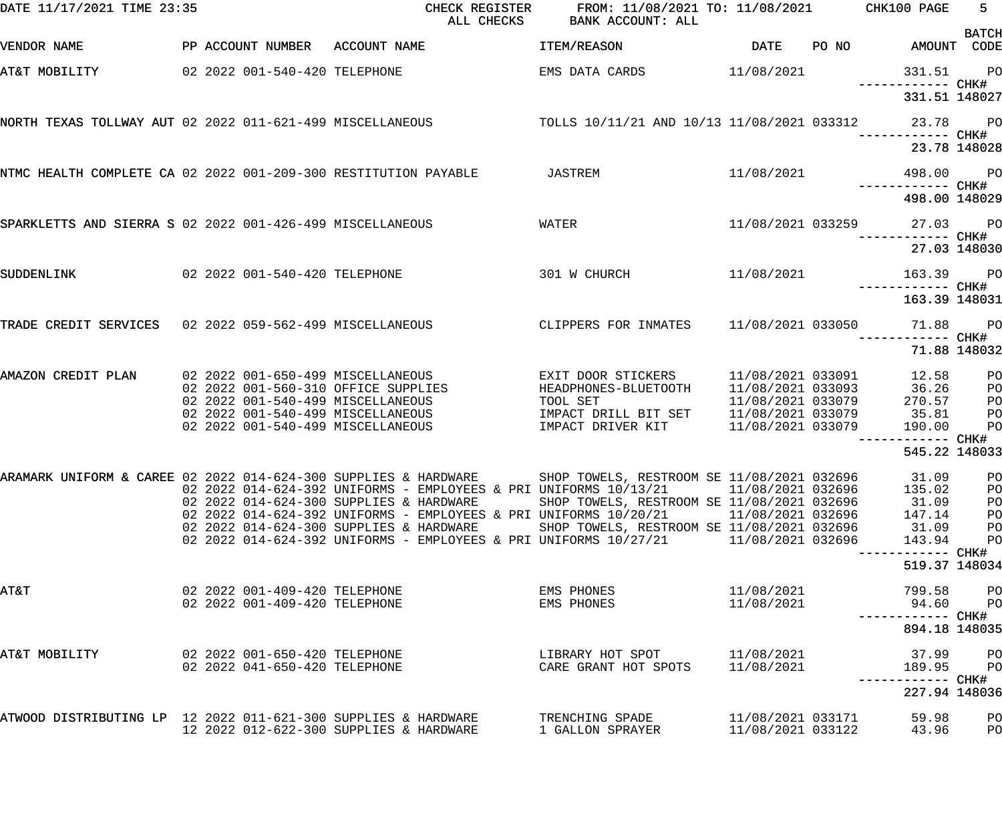| DATE 11/17/2021 TIME 23:35                                      |                                                                          | CHECK REGISTER<br>ALL CHECKS                                                                                    | FROM: 11/08/2021 TO: 11/08/2021<br>BANK ACCOUNT: ALL |                                        |       | CHK100 PAGE                        | $5 -$<br><b>BATCH</b> |
|-----------------------------------------------------------------|--------------------------------------------------------------------------|-----------------------------------------------------------------------------------------------------------------|------------------------------------------------------|----------------------------------------|-------|------------------------------------|-----------------------|
| VENDOR NAME                                                     | PP ACCOUNT NUMBER ACCOUNT NAME                                           |                                                                                                                 | ITEM/REASON                                          | DATE                                   | PO NO | AMOUNT CODE                        |                       |
| AT&T MOBILITY                                                   | 02 2022 001-540-420 TELEPHONE                                            |                                                                                                                 | EMS DATA CARDS                                       | 11/08/2021                             |       | 331.51<br>------------ CHK#        | <b>PO</b>             |
|                                                                 |                                                                          |                                                                                                                 |                                                      |                                        |       | 331.51 148027                      |                       |
| NORTH TEXAS TOLLWAY AUT 02 2022 011-621-499 MISCELLANEOUS       |                                                                          |                                                                                                                 | TOLLS 10/11/21 AND 10/13 11/08/2021 033312 23.78     |                                        |       |                                    | <b>PO</b>             |
|                                                                 |                                                                          |                                                                                                                 |                                                      |                                        |       |                                    | 23.78 148028          |
| NTMC HEALTH COMPLETE CA 02 2022 001-209-300 RESTITUTION PAYABLE |                                                                          |                                                                                                                 | JASTREM                                              | 11/08/2021                             |       | 498.00 PO<br>------------ CHK#     |                       |
|                                                                 |                                                                          |                                                                                                                 |                                                      |                                        |       | 498.00 148029                      |                       |
| SPARKLETTS AND SIERRA S 02 2022 001-426-499 MISCELLANEOUS       |                                                                          |                                                                                                                 | WATER                                                |                                        |       | 11/08/2021 033259 27.03            | <b>PO</b>             |
|                                                                 |                                                                          |                                                                                                                 |                                                      |                                        |       |                                    | 27.03 148030          |
| SUDDENLINK                                                      | 02 2022 001-540-420 TELEPHONE                                            |                                                                                                                 | 301 W CHURCH                                         | 11/08/2021                             |       | 163.39                             | <b>PO</b>             |
|                                                                 |                                                                          |                                                                                                                 |                                                      |                                        |       | ------------ CHK#<br>163.39 148031 |                       |
| TRADE CREDIT SERVICES 02 2022 059-562-499 MISCELLANEOUS         |                                                                          |                                                                                                                 | CLIPPERS FOR INMATES                                 | 11/08/2021 033050                      |       | 71.88                              | $P$ O                 |
|                                                                 |                                                                          |                                                                                                                 |                                                      |                                        |       |                                    | 71.88 148032          |
| AMAZON CREDIT PLAN                                              | 02 2022 001-650-499 MISCELLANEOUS<br>02 2022 001-560-310 OFFICE SUPPLIES |                                                                                                                 | EXIT DOOR STICKERS                                   | 11/08/2021 033091                      |       | 12.58<br>36.26                     | PO                    |
|                                                                 | 02 2022 001-540-499 MISCELLANEOUS                                        |                                                                                                                 | HEADPHONES-BLUETOOTH<br>TOOL SET                     | 11/08/2021 033093<br>11/08/2021 033079 |       | 270.57                             | PO<br>PO              |
|                                                                 | 02 2022 001-540-499 MISCELLANEOUS                                        |                                                                                                                 | IMPACT DRILL BIT SET                                 | 11/08/2021 033079                      |       | 35.81                              | PO                    |
|                                                                 | 02 2022 001-540-499 MISCELLANEOUS                                        |                                                                                                                 | IMPACT DRIVER KIT                                    | 11/08/2021 033079                      |       | 190.00                             | PO                    |
|                                                                 |                                                                          |                                                                                                                 |                                                      |                                        |       | ------------ CHK#                  |                       |
|                                                                 |                                                                          |                                                                                                                 |                                                      |                                        |       | 545.22 148033                      |                       |
|                                                                 |                                                                          | ARAMARK UNIFORM & CAREE 02 2022 014-624-300 SUPPLIES & HARDWARE SHOP TOWELS, RESTROOM SE 11/08/2021 032696      |                                                      |                                        |       | 31.09 PO                           |                       |
|                                                                 |                                                                          | 02  2022  014-624-392  UNIFORMS - EMPLOYEES & PRI UNIFORMS  10/13/21                                            |                                                      | 11/08/2021 032696                      |       | 135.02                             | PO                    |
|                                                                 |                                                                          | 02 2022 014-624-300 SUPPLIES & HARDWARE<br>02  2022  014-624-392  UNIFORMS - EMPLOYEES & PRI UNIFORMS  10/20/21 | SHOP TOWELS, RESTROOM SE 11/08/2021 032696           | 11/08/2021 032696                      |       | 31.09<br>147.14                    | PO                    |
|                                                                 |                                                                          | 02 2022 014-624-300 SUPPLIES & HARDWARE                                                                         | SHOP TOWELS, RESTROOM SE 11/08/2021 032696           |                                        |       | 31.09                              | PO<br>PO              |
|                                                                 |                                                                          | 02  2022  014-624-392  UNIFORMS - EMPLOYEES & PRI UNIFORMS  10/27/21                                            |                                                      | 11/08/2021 032696                      |       | 143.94                             | PO                    |
|                                                                 |                                                                          |                                                                                                                 |                                                      |                                        |       | 519.37 148034                      |                       |
| <b>AT&amp;T</b>                                                 | 02 2022 001-409-420 TELEPHONE<br>02 2022 001-409-420 TELEPHONE           |                                                                                                                 | EMS PHONES<br>EMS PHONES                             | 11/08/2021<br>11/08/2021               |       | 799.58<br>94.60                    | PO<br>PO              |
|                                                                 |                                                                          |                                                                                                                 |                                                      |                                        |       | ----------- CHK#                   |                       |
|                                                                 |                                                                          |                                                                                                                 |                                                      |                                        |       | 894.18 148035                      |                       |
| AT&T MOBILITY                                                   | 02 2022 001-650-420 TELEPHONE<br>02 2022 041-650-420 TELEPHONE           |                                                                                                                 | LIBRARY HOT SPOT<br>CARE GRANT HOT SPOTS             | 11/08/2021<br>11/08/2021               |       | 37.99<br>189.95                    | PO<br>PO              |
|                                                                 |                                                                          |                                                                                                                 |                                                      |                                        |       |                                    |                       |
|                                                                 |                                                                          |                                                                                                                 |                                                      |                                        |       | 227.94 148036                      |                       |
| ATWOOD DISTRIBUTING LP 12 2022 011-621-300 SUPPLIES & HARDWARE  |                                                                          | 12 2022 012-622-300 SUPPLIES & HARDWARE                                                                         | TRENCHING SPADE<br>1 GALLON SPRAYER                  | 11/08/2021 033171<br>11/08/2021 033122 |       | 59.98<br>43.96                     | PO<br>PO              |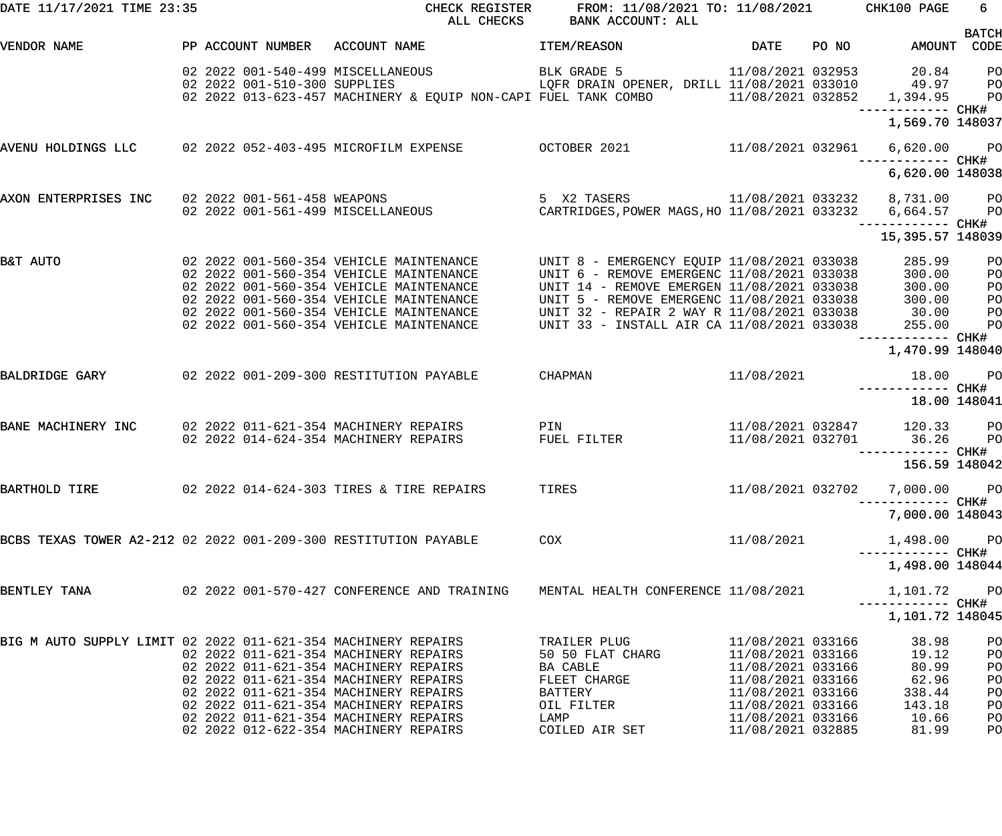| DATE 11/17/2021 TIME 23:35                                      |  |                              |                                                                                                                                                                                                                                                                | CHECK REGISTER FROM: 11/08/2021 TO: 11/08/2021 CHK100 PAGE<br>ALL CHECKS BANK ACCOUNT: ALL                                                                                                                                                                                             |                                                                                                                                                 |                                                                             | 6                                                                                                        |
|-----------------------------------------------------------------|--|------------------------------|----------------------------------------------------------------------------------------------------------------------------------------------------------------------------------------------------------------------------------------------------------------|----------------------------------------------------------------------------------------------------------------------------------------------------------------------------------------------------------------------------------------------------------------------------------------|-------------------------------------------------------------------------------------------------------------------------------------------------|-----------------------------------------------------------------------------|----------------------------------------------------------------------------------------------------------|
| VENDOR NAME                                                     |  |                              | PP ACCOUNT NUMBER ACCOUNT NAME                                                                                                                                                                                                                                 | <b>ITEM/REASON</b>                                                                                                                                                                                                                                                                     | DATE PONO                                                                                                                                       | AMOUNT CODE                                                                 | <b>BATCH</b>                                                                                             |
|                                                                 |  | 02 2022 001-510-300 SUPPLIES | 02 2022 001-540-499 MISCELLANEOUS<br>02 2022 013-623-457 MACHINERY & EQUIP NON-CAPI FUEL TANK COMBO 11/08/2021 032852 1,394.95 PO                                                                                                                              | BLK GRADE 5<br>LQFR DRAIN OPENER, DRILL 11/08/2021 033010 49.97 PO                                                                                                                                                                                                                     |                                                                                                                                                 | 11/08/2021 032953 20.84 PO<br>1,569.70 148037                               |                                                                                                          |
|                                                                 |  |                              | AVENU HOLDINGS LLC    02 2022 052-403-495 MICROFILM EXPENSE       OCTOBER 2021        11/08/2021 032961                                                                                                                                                        |                                                                                                                                                                                                                                                                                        |                                                                                                                                                 | 6,620.00 PO                                                                 |                                                                                                          |
|                                                                 |  |                              |                                                                                                                                                                                                                                                                |                                                                                                                                                                                                                                                                                        |                                                                                                                                                 | 6,620.00 148038                                                             |                                                                                                          |
| AXON ENTERPRISES INC                                            |  | 02 2022 001-561-458 WEAPONS  | 02 2022 001-561-499 MISCELLANEOUS                                                                                                                                                                                                                              | 5 X2 TASERS 11/08/2021 033232 8,731.00 PO<br>NEOUS CARTRIDGES,POWER MAGS,HO 11/08/2021 033232 6,664.57 PO                                                                                                                                                                              |                                                                                                                                                 | ------------ CHK#                                                           |                                                                                                          |
|                                                                 |  |                              |                                                                                                                                                                                                                                                                |                                                                                                                                                                                                                                                                                        |                                                                                                                                                 | 15,395.57 148039                                                            |                                                                                                          |
| B&T AUTO                                                        |  |                              | 02 2022 001-560-354 VEHICLE MAINTENANCE<br>02 2022 001-560-354 VEHICLE MAINTENANCE<br>02 2022 001-560-354 VEHICLE MAINTENANCE<br>02 2022 001-560-354 VEHICLE MAINTENANCE<br>02 2022 001-560-354 VEHICLE MAINTENANCE<br>02 2022 001-560-354 VEHICLE MAINTENANCE | UNIT 8 - EMERGENCY EQUIP 11/08/2021 033038<br>UNIT 6 - REMOVE EMERGENC 11/08/2021 033038<br>UNIT 14 - REMOVE EMERGEN 11/08/2021 033038<br>UNIT 5 - REMOVE EMERGENC 11/08/2021 033038<br>UNIT 32 - REPAIR 2 WAY R 11/08/2021 033038 30.00<br>UNIT 33 - INSTALL AIR CA 11/08/2021 033038 |                                                                                                                                                 | 285.99<br>300.00<br>300.00<br>300.00<br>255.00                              | P <sub>O</sub><br>P <sub>O</sub><br>P <sub>O</sub><br>P <sub>O</sub><br>P <sub>O</sub><br>P <sub>O</sub> |
|                                                                 |  |                              |                                                                                                                                                                                                                                                                |                                                                                                                                                                                                                                                                                        |                                                                                                                                                 | 1,470.99 148040                                                             |                                                                                                          |
| BALDRIDGE GARY                                                  |  |                              | 02  2022  001-209-300 RESTITUTION PAYABLE  CHAPMAN                                                                                                                                                                                                             |                                                                                                                                                                                                                                                                                        | 11/08/2021                                                                                                                                      | 18.00                                                                       | $P$ O                                                                                                    |
|                                                                 |  |                              |                                                                                                                                                                                                                                                                |                                                                                                                                                                                                                                                                                        |                                                                                                                                                 | 18.00 148041                                                                |                                                                                                          |
| BANE MACHINERY INC                                              |  |                              | 02 2022 011-621-354 MACHINERY REPAIRS PIN<br>02 2022 014-624-354 MACHINERY REPAIRS                                                                                                                                                                             | FUEL FILTER                                                                                                                                                                                                                                                                            |                                                                                                                                                 | 11/08/2021 032847 120.33 PO<br>11/08/2021 032701 36.26<br>------------ CHK# | <b>PO</b>                                                                                                |
|                                                                 |  |                              |                                                                                                                                                                                                                                                                |                                                                                                                                                                                                                                                                                        |                                                                                                                                                 | 156.59 148042                                                               |                                                                                                          |
| BARTHOLD TIRE                                                   |  |                              | 02 2022 014-624-303 TIRES & TIRE REPAIRS                                                                                                                                                                                                                       | TIRES                                                                                                                                                                                                                                                                                  |                                                                                                                                                 | 11/08/2021 032702 7,000.00 PO<br>------------ CHK#<br>7,000.00 148043       |                                                                                                          |
| BCBS TEXAS TOWER A2-212 02 2022 001-209-300 RESTITUTION PAYABLE |  |                              |                                                                                                                                                                                                                                                                | COX                                                                                                                                                                                                                                                                                    | 11/08/2021                                                                                                                                      | 1,498.00                                                                    | <b>PO</b>                                                                                                |
|                                                                 |  |                              |                                                                                                                                                                                                                                                                |                                                                                                                                                                                                                                                                                        |                                                                                                                                                 | 1,498.00 148044                                                             |                                                                                                          |
| BENTLEY TANA                                                    |  |                              | 02  2022  001-570-427  CONFERENCE  AND TRAINING                                                                                                                                                                                                                | MENTAL HEALTH CONFERENCE 11/08/2021                                                                                                                                                                                                                                                    |                                                                                                                                                 | 1,101.72<br>—————————— CHK#                                                 | <b>PO</b>                                                                                                |
|                                                                 |  |                              |                                                                                                                                                                                                                                                                |                                                                                                                                                                                                                                                                                        |                                                                                                                                                 | 1,101.72 148045                                                             |                                                                                                          |
| BIG M AUTO SUPPLY LIMIT 02 2022 011-621-354 MACHINERY REPAIRS   |  |                              | 02 2022 011-621-354 MACHINERY REPAIRS<br>02 2022 011-621-354 MACHINERY REPAIRS<br>02 2022 011-621-354 MACHINERY REPAIRS<br>02 2022 011-621-354 MACHINERY REPAIRS<br>02 2022 011-621-354 MACHINERY REPAIRS<br>02 2022 011-621-354 MACHINERY REPAIRS             | TRAILER PLUG<br>50 50 FLAT CHARG<br>BA CABLE<br>FLEET CHARGE<br>BATTERY<br>OIL FILTER<br>LAMP                                                                                                                                                                                          | 11/08/2021 033166<br>11/08/2021 033166<br>11/08/2021 033166<br>11/08/2021 033166<br>11/08/2021 033166<br>11/08/2021 033166<br>11/08/2021 033166 | 38.98<br>19.12<br>80.99<br>62.96<br>338.44<br>143.18<br>10.66               | PO<br>PO<br>PO<br>PO<br>PO<br>PO<br>PO                                                                   |
|                                                                 |  |                              | 02 2022 012-622-354 MACHINERY REPAIRS                                                                                                                                                                                                                          | COILED AIR SET                                                                                                                                                                                                                                                                         | 11/08/2021 032885                                                                                                                               | 81.99                                                                       | PO                                                                                                       |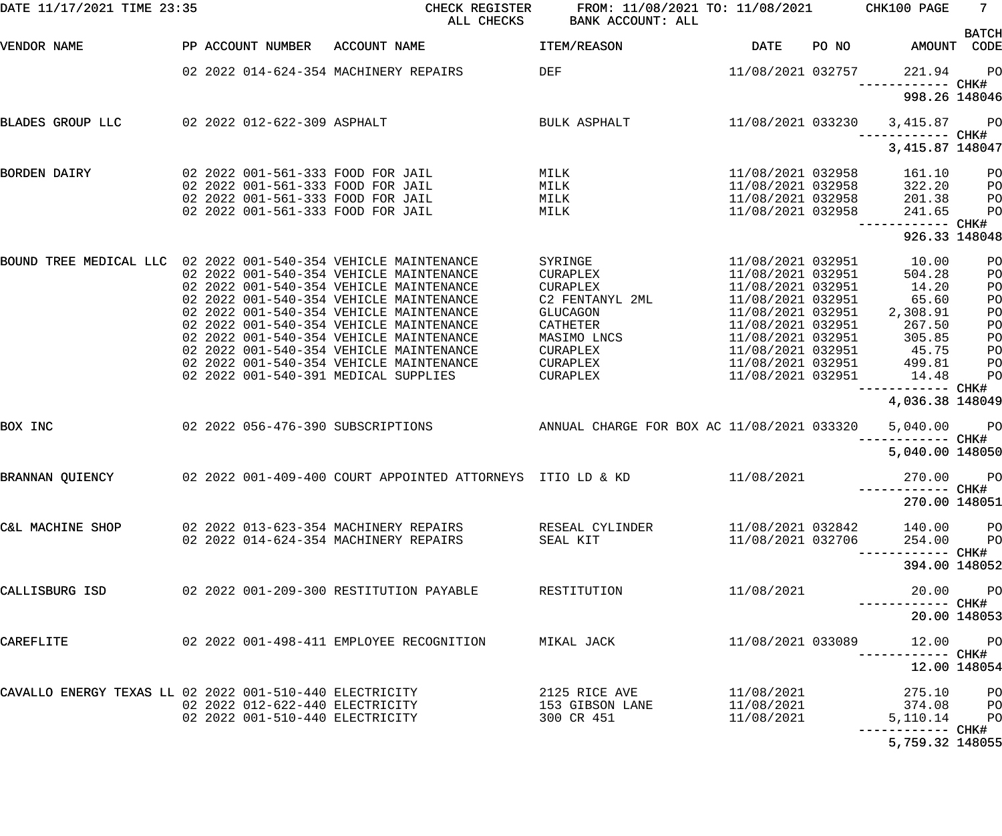| DATE 11/17/2021 TIME 23:35                                     |                                 | CHECK REGISTER<br>ALL CHECKS                                   | FROM: 11/08/2021 TO: 11/08/2021<br>BANK ACCOUNT: ALL |                   |       | CHK100 PAGE                        | 7 <sup>7</sup>       |
|----------------------------------------------------------------|---------------------------------|----------------------------------------------------------------|------------------------------------------------------|-------------------|-------|------------------------------------|----------------------|
| VENDOR NAME                                                    | PP ACCOUNT NUMBER               | ACCOUNT NAME                                                   | ITEM/REASON                                          | DATE              | PO NO | AMOUNT                             | <b>BATCH</b><br>CODE |
|                                                                |                                 | 02 2022 014-624-354 MACHINERY REPAIRS                          | DEF                                                  | 11/08/2021 032757 |       | 221.94                             | PO                   |
|                                                                |                                 |                                                                |                                                      |                   |       | ------------ CHK#<br>998.26 148046 |                      |
| BLADES GROUP LLC                                               | 02 2022 012-622-309 ASPHALT     |                                                                | BULK ASPHALT                                         | 11/08/2021 033230 |       | 3,415.87<br>------------ CHK#      | <b>PO</b>            |
|                                                                |                                 |                                                                |                                                      |                   |       | 3, 415.87 148047                   |                      |
| BORDEN DAIRY                                                   |                                 | 02 2022 001-561-333 FOOD FOR JAIL                              | MILK                                                 | 11/08/2021 032958 |       | 161.10                             | PO                   |
|                                                                |                                 | 02 2022 001-561-333 FOOD FOR JAIL                              | MILK                                                 | 11/08/2021 032958 |       | 322.20                             | PO                   |
|                                                                |                                 | 02 2022 001-561-333 FOOD FOR JAIL                              | MILK                                                 | 11/08/2021 032958 |       | 201.38                             | PO                   |
|                                                                |                                 | 02 2022 001-561-333 FOOD FOR JAIL                              | MILK                                                 | 11/08/2021 032958 |       | 241.65                             | PO                   |
|                                                                |                                 |                                                                |                                                      |                   |       | 926.33 148048                      |                      |
|                                                                |                                 |                                                                |                                                      |                   |       |                                    |                      |
| BOUND TREE MEDICAL LLC 02 2022 001-540-354 VEHICLE MAINTENANCE |                                 |                                                                | SYRINGE                                              | 11/08/2021 032951 |       | 10.00                              | PO                   |
|                                                                |                                 | 02 2022 001-540-354 VEHICLE MAINTENANCE                        | CURAPLEX                                             | 11/08/2021 032951 |       | 504.28                             | PO                   |
|                                                                |                                 | 02 2022 001-540-354 VEHICLE MAINTENANCE                        | <b>CURAPLEX</b>                                      | 11/08/2021 032951 |       | 14.20                              | PO                   |
|                                                                |                                 | 02 2022 001-540-354 VEHICLE MAINTENANCE                        | C2 FENTANYL 2ML                                      | 11/08/2021 032951 |       | 65.60                              | PO                   |
|                                                                |                                 | 02 2022 001-540-354 VEHICLE MAINTENANCE                        | <b>GLUCAGON</b>                                      | 11/08/2021 032951 |       | 2,308.91                           | PO                   |
|                                                                |                                 | 02 2022 001-540-354 VEHICLE MAINTENANCE                        | CATHETER                                             | 11/08/2021 032951 |       | 267.50                             | PO                   |
|                                                                |                                 | 02 2022 001-540-354 VEHICLE MAINTENANCE                        | MASIMO LNCS                                          | 11/08/2021 032951 |       | 305.85                             | PO                   |
|                                                                |                                 | 02 2022 001-540-354 VEHICLE MAINTENANCE                        | CURAPLEX                                             | 11/08/2021 032951 |       | 45.75                              | PO                   |
|                                                                |                                 | 02 2022 001-540-354 VEHICLE MAINTENANCE                        | CURAPLEX                                             | 11/08/2021 032951 |       | 499.81                             | PO                   |
|                                                                |                                 | 02 2022 001-540-391 MEDICAL SUPPLIES                           | CURAPLEX                                             | 11/08/2021 032951 |       | 14.48<br>------ CHK#               | PO                   |
|                                                                |                                 |                                                                |                                                      |                   |       | 4,036.38 148049                    |                      |
| BOX INC                                                        |                                 | 02 2022 056-476-390 SUBSCRIPTIONS                              | ANNUAL CHARGE FOR BOX AC 11/08/2021 033320           |                   |       | 5,040.00                           | $P$ O                |
|                                                                |                                 |                                                                |                                                      |                   |       | ------ CHK#<br>5,040.00 148050     |                      |
| BRANNAN QUIENCY                                                |                                 | 02  2022  001-409-400  COURT APPOINTED ATTORNEYS  ITIO LD & KD |                                                      | 11/08/2021        |       | 270.00 PO                          |                      |
|                                                                |                                 |                                                                |                                                      |                   |       | 270.00 148051                      |                      |
| C&L MACHINE SHOP                                               |                                 | 02 2022 013-623-354 MACHINERY REPAIRS                          | RESEAL CYLINDER                                      | 11/08/2021 032842 |       | 140.00 PO                          |                      |
|                                                                |                                 | 02 2022 014-624-354 MACHINERY REPAIRS                          | SEAL KIT                                             | 11/08/2021 032706 |       | 254.00 PO                          |                      |
|                                                                |                                 |                                                                |                                                      |                   |       |                                    |                      |
|                                                                |                                 |                                                                |                                                      |                   |       | 394.00 148052                      |                      |
| CALLISBURG ISD                                                 |                                 | 02  2022  001-209-300 RESTITUTION PAYABLE                      | RESTITUTION                                          | 11/08/2021        |       |                                    | 20.00 PO             |
|                                                                |                                 |                                                                |                                                      |                   |       |                                    | 20.00 148053         |
| CAREFLITE                                                      |                                 | 02 2022 001-498-411 EMPLOYEE RECOGNITION                       | MIKAL JACK                                           | 11/08/2021 033089 |       | 12.00 PO                           |                      |
|                                                                |                                 |                                                                |                                                      |                   |       |                                    | 12.00 148054         |
| CAVALLO ENERGY TEXAS LL 02 2022 001-510-440 ELECTRICITY        |                                 |                                                                | 2125 RICE AVE                                        | 11/08/2021        |       | 275.10                             | P <sub>O</sub>       |
|                                                                | 02 2022 012-622-440 ELECTRICITY |                                                                | 153 GIBSON LANE                                      | 11/08/2021        |       | 374.08 PO                          |                      |
|                                                                | 02 2022 001-510-440 ELECTRICITY |                                                                | 300 CR 451                                           | 11/08/2021        |       | 5,110.14                           | <b>PO</b>            |
|                                                                |                                 |                                                                |                                                      |                   |       | ----------- CHK#                   |                      |
|                                                                |                                 |                                                                |                                                      |                   |       | 5,759.32 148055                    |                      |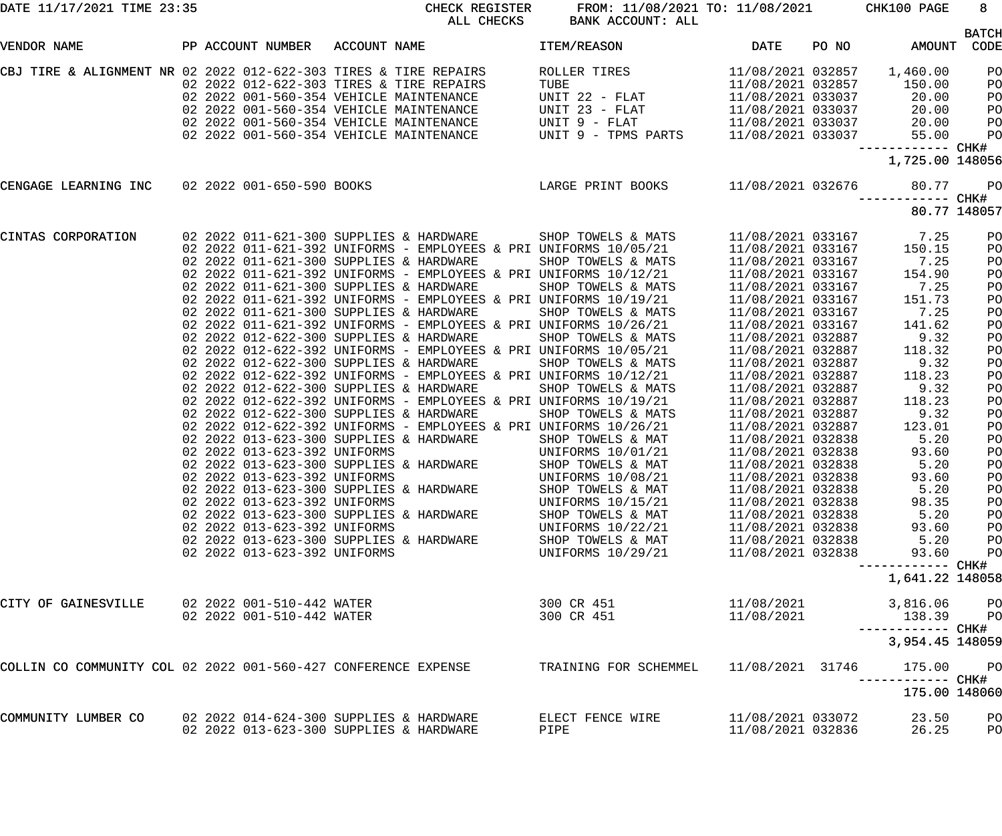| DATE 11/17/2021 TIME 23:35                                     |                                                                                                                                                              | CHECK REGISTER<br>ALL CHECKS                                                                                                                                                                                                                                                                                                                                                                                                                                                                                                                                                                                                                                                                                                                                                                                                                                                                                                                                                                                                                                                                                                                                                                                                                                                             | FROM: 11/08/2021 TO: 11/08/2021 CHK100 PAGE<br>BANK ACCOUNT: ALL                                                                                                                                                                                                                                                                                    |                                                                                                                                                                                                                                                                                                                                                                                                                                                                                                                                           |                                                                                                                                                                                                                                                     | $8 -$                                                                                                                                                    |
|----------------------------------------------------------------|--------------------------------------------------------------------------------------------------------------------------------------------------------------|------------------------------------------------------------------------------------------------------------------------------------------------------------------------------------------------------------------------------------------------------------------------------------------------------------------------------------------------------------------------------------------------------------------------------------------------------------------------------------------------------------------------------------------------------------------------------------------------------------------------------------------------------------------------------------------------------------------------------------------------------------------------------------------------------------------------------------------------------------------------------------------------------------------------------------------------------------------------------------------------------------------------------------------------------------------------------------------------------------------------------------------------------------------------------------------------------------------------------------------------------------------------------------------|-----------------------------------------------------------------------------------------------------------------------------------------------------------------------------------------------------------------------------------------------------------------------------------------------------------------------------------------------------|-------------------------------------------------------------------------------------------------------------------------------------------------------------------------------------------------------------------------------------------------------------------------------------------------------------------------------------------------------------------------------------------------------------------------------------------------------------------------------------------------------------------------------------------|-----------------------------------------------------------------------------------------------------------------------------------------------------------------------------------------------------------------------------------------------------|----------------------------------------------------------------------------------------------------------------------------------------------------------|
| VENDOR NAME                                                    |                                                                                                                                                              | PP ACCOUNT NUMBER ACCOUNT NAME                                                                                                                                                                                                                                                                                                                                                                                                                                                                                                                                                                                                                                                                                                                                                                                                                                                                                                                                                                                                                                                                                                                                                                                                                                                           | <b>ITEM/REASON</b>                                                                                                                                                                                                                                                                                                                                  | <b>DATE</b>                                                                                                                                                                                                                                                                                                                                                                                                                                                                                                                               | PO NO                                                                                                                                                                                                                                               | <b>BATCH</b><br>AMOUNT CODE                                                                                                                              |
|                                                                |                                                                                                                                                              | CBJ TIRE & ALIGNMENT NR 02 2022 012-622-303 TIRES & TIRE REPAIRS<br>02 2022 012-622-303 TIRES & TIRE REPAIRS<br>02 2022 001-560-354 VEHICLE MAINTENANCE<br>02 2022 001-560-354 VEHICLE MAINTENANCE<br>02 2022 001-560-354 VEHICLE MAINTENANCE<br>02 2022 001-560-354 VEHICLE MAINTENANCE                                                                                                                                                                                                                                                                                                                                                                                                                                                                                                                                                                                                                                                                                                                                                                                                                                                                                                                                                                                                 | ROLLER TIRES<br>TUBE<br>UNIT 22 - FLAT<br>UNIT 23 - FLAT<br>UNIT 9 - FLAT<br>UNIT 9 - TPMS PARTS                                                                                                                                                                                                                                                    | 11/08/2021 032857<br>11/08/2021 032857<br>11/08/2021 033037<br>11/08/2021 033037<br>11/08/2021 033037<br>11/08/2021 033037                                                                                                                                                                                                                                                                                                                                                                                                                | 1,460.00<br>150.00<br>20.00<br>20.00<br>20.00<br>55.00                                                                                                                                                                                              | PO<br>PO<br>PO<br>PO<br>PO<br>PO                                                                                                                         |
|                                                                |                                                                                                                                                              |                                                                                                                                                                                                                                                                                                                                                                                                                                                                                                                                                                                                                                                                                                                                                                                                                                                                                                                                                                                                                                                                                                                                                                                                                                                                                          |                                                                                                                                                                                                                                                                                                                                                     |                                                                                                                                                                                                                                                                                                                                                                                                                                                                                                                                           | ------------ CHK#<br>1,725.00 148056                                                                                                                                                                                                                |                                                                                                                                                          |
|                                                                |                                                                                                                                                              | CENGAGE LEARNING INC 02 2022 001-650-590 BOOKS LARGE PRINT BOOKS 21/08/2021 032676                                                                                                                                                                                                                                                                                                                                                                                                                                                                                                                                                                                                                                                                                                                                                                                                                                                                                                                                                                                                                                                                                                                                                                                                       |                                                                                                                                                                                                                                                                                                                                                     |                                                                                                                                                                                                                                                                                                                                                                                                                                                                                                                                           | 80.77                                                                                                                                                                                                                                               | <b>PO</b>                                                                                                                                                |
|                                                                |                                                                                                                                                              |                                                                                                                                                                                                                                                                                                                                                                                                                                                                                                                                                                                                                                                                                                                                                                                                                                                                                                                                                                                                                                                                                                                                                                                                                                                                                          |                                                                                                                                                                                                                                                                                                                                                     |                                                                                                                                                                                                                                                                                                                                                                                                                                                                                                                                           |                                                                                                                                                                                                                                                     | 80.77 148057                                                                                                                                             |
| CINTAS CORPORATION                                             | 02 2022 013-623-392 UNIFORMS<br>02 2022 013-623-392 UNIFORMS<br>02 2022 013-623-392 UNIFORMS<br>02 2022 013-623-392 UNIFORMS<br>02 2022 013-623-392 UNIFORMS | 02 2022 011-621-300 SUPPLIES & HARDWARE SHOP TOWELS & MATS<br>02 2022 011-621-392 UNIFORMS - EMPLOYEES & PRI UNIFORMS 10/05/21<br>02 2022 011-621-300 SUPPLIES & HARDWARE<br>02  2022  011-621-392  UNIFORMS - EMPLOYEES & PRI  UNIFORMS  10/12/21<br>02 2022 011-621-300 SUPPLIES & HARDWARE<br>02  2022  011-621-392  UNIFORMS - EMPLOYEES & PRI  UNIFORMS  10/19/21<br>02 2022 011-621-300 SUPPLIES & HARDWARE<br>02  2022  011-621-392  UNIFORMS - EMPLOYEES & PRI  UNIFORMS  10/26/21<br>02 2022 012-622-300 SUPPLIES & HARDWARE<br>02  2022  012-622-392  UNIFORMS - EMPLOYEES & PRI  UNIFORMS  10/05/21<br>02 2022 012-622-300 SUPPLIES & HARDWARE<br>02  2022  012-622-392  UNIFORMS - EMPLOYEES & PRI UNIFORMS  10/12/21<br>02 2022 012-622-300 SUPPLIES & HARDWARE<br>02  2022  012-622-392  UNIFORMS - EMPLOYEES & PRI UNIFORMS  10/19/21<br>02 2022 012-622-300 SUPPLIES & HARDWARE<br>02 2022 012-622-300 SUPPLIES & HARDWARE<br>02 2022 012-622-392 UNIFORMS - EMPLOYEES & PRI UNIFORMS 10/26/21<br>02 2022 013-623-300 SUPPLIES & HARDWARE SHOP TOWELS & MAT<br>02 2022 013-623-300 SUPPLIES & HARDWARE<br>02 2022 012-622 200 IBITEODMS<br>02 2022 013-623-300 SUPPLIES & HARDWARE<br>02 2022 013-623-300 SUPPLIES & HARDWARE<br>02 2022 013-623-300 SUPPLIES & HARDWARE | SHOP TOWELS & MATS<br>SHOP TOWELS & MATS<br>SHOP TOWELS & MATS<br>SHOP TOWELS & MATS<br>SHOP TOWELS & MATS<br>SHOP TOWELS & MATS<br>SHOP TOWELS & MATS<br>UNIFORMS 10/01/21<br>SHOP TOWELS & MAT<br>UNIFORMS 10/08/21<br>SHOP TOWELS & MAT<br>UNIFORMS 10/15/21<br>SHOP TOWELS & MAT<br>UNIFORMS 10/22/21<br>SHOP TOWELS & MAT<br>UNIFORMS 10/29/21 | 11/08/2021 033167<br>11/08/2021 033167<br>11/08/2021 033167<br>11/08/2021 033167<br>11/08/2021 033167<br>11/08/2021 033167<br>11/08/2021 033167<br>11/08/2021 032887<br>11/08/2021 032887<br>11/08/2021 032887<br>11/08/2021 032887<br>11/08/2021 032887<br>11/08/2021 032887<br>11/08/2021 032887<br>11/08/2021 032887<br>11/08/2021 032838<br>11/08/2021 032838<br>11/08/2021 032838<br>11/08/2021 032838<br>11/08/2021 032838<br>11/08/2021 032838<br>11/08/2021 032838<br>11/08/2021 032838<br>11/08/2021 032838<br>11/08/2021 032838 | 11/08/2021 033167 7.25<br>150.15<br>7.25<br>154.90<br>7.25<br>151.73<br>7.25<br>141.62<br>9.32<br>118.32<br>9.32<br>118.23<br>9.32<br>118.23<br>9.32<br>123.01<br>5.20<br>93.60<br>5.20<br>93.60<br>5.20<br>98.35<br>5.20<br>93.60<br>5.20<br>93.60 | PO<br>PO<br>PO<br>PO<br>PO<br>PO<br>PO<br>PO<br>PO<br>PO<br>PO<br>PO<br>PO<br>PO<br>PO<br>PO<br>PO<br>PO<br>PO<br>PO<br>PO<br>PO<br>PO<br>PO<br>PO<br>PO |
|                                                                |                                                                                                                                                              |                                                                                                                                                                                                                                                                                                                                                                                                                                                                                                                                                                                                                                                                                                                                                                                                                                                                                                                                                                                                                                                                                                                                                                                                                                                                                          |                                                                                                                                                                                                                                                                                                                                                     |                                                                                                                                                                                                                                                                                                                                                                                                                                                                                                                                           | 1,641.22 148058                                                                                                                                                                                                                                     |                                                                                                                                                          |
| CITY OF GAINESVILLE                                            | 02 2022 001-510-442 WATER<br>02 2022 001-510-442 WATER                                                                                                       |                                                                                                                                                                                                                                                                                                                                                                                                                                                                                                                                                                                                                                                                                                                                                                                                                                                                                                                                                                                                                                                                                                                                                                                                                                                                                          | 300 CR 451<br>300 CR 451                                                                                                                                                                                                                                                                                                                            | 11/08/2021<br>11/08/2021                                                                                                                                                                                                                                                                                                                                                                                                                                                                                                                  | 3,816.06<br>138.39<br>3,954.45 148059                                                                                                                                                                                                               | P <sub>O</sub><br>P <sub>O</sub>                                                                                                                         |
| COLLIN CO COMMUNITY COL 02 2022 001-560-427 CONFERENCE EXPENSE |                                                                                                                                                              |                                                                                                                                                                                                                                                                                                                                                                                                                                                                                                                                                                                                                                                                                                                                                                                                                                                                                                                                                                                                                                                                                                                                                                                                                                                                                          | TRAINING FOR SCHEMMEL                                                                                                                                                                                                                                                                                                                               | 11/08/2021 31746                                                                                                                                                                                                                                                                                                                                                                                                                                                                                                                          | 175.00                                                                                                                                                                                                                                              | P <sub>O</sub>                                                                                                                                           |
|                                                                |                                                                                                                                                              |                                                                                                                                                                                                                                                                                                                                                                                                                                                                                                                                                                                                                                                                                                                                                                                                                                                                                                                                                                                                                                                                                                                                                                                                                                                                                          |                                                                                                                                                                                                                                                                                                                                                     |                                                                                                                                                                                                                                                                                                                                                                                                                                                                                                                                           | 175.00 148060                                                                                                                                                                                                                                       |                                                                                                                                                          |
| COMMUNITY LUMBER CO                                            |                                                                                                                                                              | 02 2022 014-624-300 SUPPLIES & HARDWARE<br>02 2022 013-623-300 SUPPLIES & HARDWARE                                                                                                                                                                                                                                                                                                                                                                                                                                                                                                                                                                                                                                                                                                                                                                                                                                                                                                                                                                                                                                                                                                                                                                                                       | ELECT FENCE WIRE<br>PIPE                                                                                                                                                                                                                                                                                                                            | 11/08/2021 033072<br>11/08/2021 032836                                                                                                                                                                                                                                                                                                                                                                                                                                                                                                    | 23.50<br>26.25                                                                                                                                                                                                                                      | PO<br>PO                                                                                                                                                 |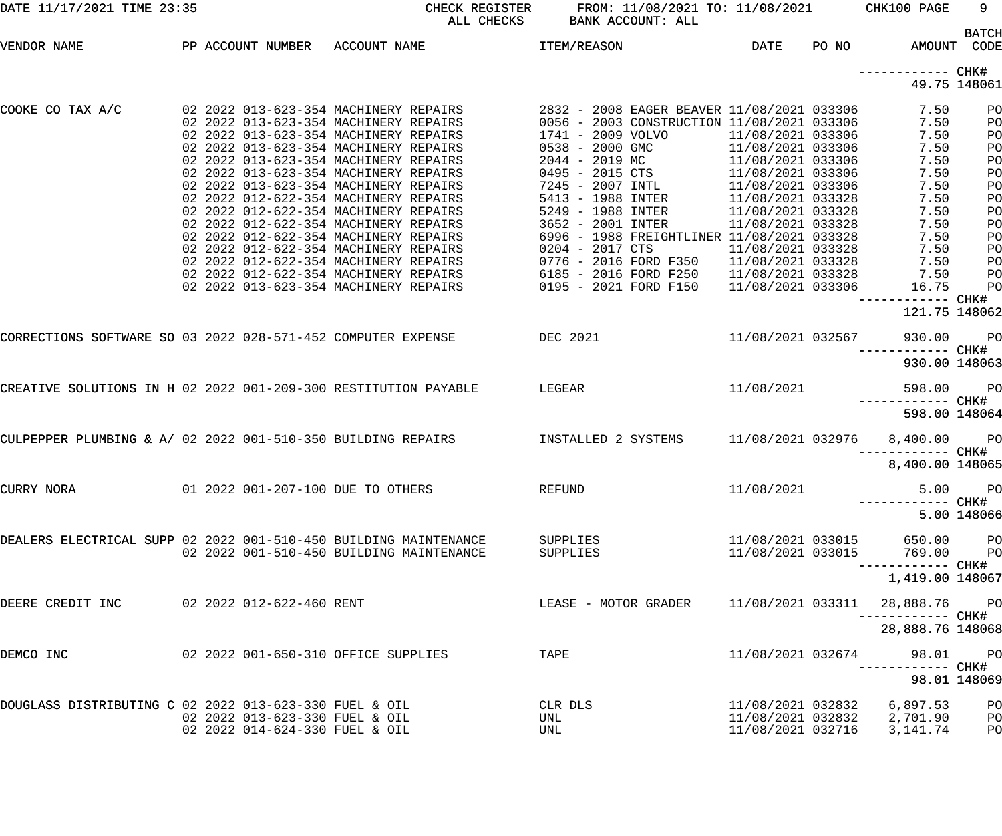| DATE 11/17/2021 TIME 23:35                                       |                                                                  | CHECK REGISTER<br>ALL CHECKS                                                                                                                                                                                                                                                                                                                                                                                                                                                                                                                      | FROM: 11/08/2021 TO: 11/08/2021 CHK100 PAGE<br>BANK ACCOUNT: ALL                                                                                                                                                                                                                                           |                                                                                                                                                                                                                                                          |       |                                                                                                                       | 9                                                                                                  |
|------------------------------------------------------------------|------------------------------------------------------------------|---------------------------------------------------------------------------------------------------------------------------------------------------------------------------------------------------------------------------------------------------------------------------------------------------------------------------------------------------------------------------------------------------------------------------------------------------------------------------------------------------------------------------------------------------|------------------------------------------------------------------------------------------------------------------------------------------------------------------------------------------------------------------------------------------------------------------------------------------------------------|----------------------------------------------------------------------------------------------------------------------------------------------------------------------------------------------------------------------------------------------------------|-------|-----------------------------------------------------------------------------------------------------------------------|----------------------------------------------------------------------------------------------------|
| VENDOR NAME                                                      |                                                                  | PP ACCOUNT NUMBER ACCOUNT NAME                                                                                                                                                                                                                                                                                                                                                                                                                                                                                                                    | <b>ITEM/REASON</b>                                                                                                                                                                                                                                                                                         | DATE                                                                                                                                                                                                                                                     | PO NO |                                                                                                                       | <b>BATCH</b><br>AMOUNT CODE                                                                        |
|                                                                  |                                                                  |                                                                                                                                                                                                                                                                                                                                                                                                                                                                                                                                                   |                                                                                                                                                                                                                                                                                                            |                                                                                                                                                                                                                                                          |       |                                                                                                                       | 49.75 148061                                                                                       |
| COOKE CO TAX A/C                                                 |                                                                  | 02 2022 013-623-354 MACHINERY REPAIRS<br>02 2022 013-623-354 MACHINERY REPAIRS<br>02 2022 013-623-354 MACHINERY REPAIRS<br>02 2022 013-623-354 MACHINERY REPAIRS<br>02 2022 013-623-354 MACHINERY REPAIRS<br>02 2022 012-622-354 MACHINERY REPAIRS<br>02 2022 012-622-354 MACHINERY REPAIRS<br>02 2022 012-622-354 MACHINERY REPAIRS<br>02 2022 012-622-354 MACHINERY REPAIRS<br>02 2022 012-622-354 MACHINERY REPAIRS<br>02 2022 012-622-354 MACHINERY REPAIRS<br>02 2022 012-622-354 MACHINERY REPAIRS<br>02 2022 013-623-354 MACHINERY REPAIRS | 1741 - 2009 VOLVO<br>0538 - 2000 GMC<br>$2044 - 2019$ MC<br>0495 - 2015 CTS<br>7245 - 2007 INTL<br>5413 - 1988 INTER<br>5249 - 1988 INTER<br>3652 - 2001 INTER<br>6996 - 1988 FREIGHTLINER 11/08/2021 033328<br>0204 - 2017 CTS<br>0776 - 2016 FORD F350<br>6185 - 2016 FORD F250<br>0195 - 2021 FORD F150 | 11/08/2021 033306<br>11/08/2021 033306<br>11/08/2021 033306<br>11/08/2021 033306<br>11/08/2021 033306<br>11/08/2021 033328<br>11/08/2021 033328<br>11/08/2021 033328<br>11/08/2021 033328<br>11/08/2021 033328<br>11/08/2021 033328<br>11/08/2021 033306 |       | 7.50<br>7.50<br>7.50<br>7.50<br>7.50<br>7.50<br>7.50<br>7.50<br>7.50<br>7.50<br>7.50<br>7.50<br>7.50<br>7.50<br>16.75 | PO<br>PO<br>PO<br>PO<br>PO<br>PO<br>PO<br>PO<br>PO<br>PO<br>PO<br>PO<br>PO<br>P <sub>O</sub><br>PO |
|                                                                  |                                                                  | CORRECTIONS SOFTWARE SO 03 2022 028-571-452 COMPUTER EXPENSE DEC 2021                                                                                                                                                                                                                                                                                                                                                                                                                                                                             |                                                                                                                                                                                                                                                                                                            | 11/08/2021 032567                                                                                                                                                                                                                                        |       | 121.75 148062<br>930.00                                                                                               | $P$ O                                                                                              |
|                                                                  |                                                                  | CREATIVE SOLUTIONS IN H 02 2022 001-209-300 RESTITUTION PAYABLE LEGEAR                                                                                                                                                                                                                                                                                                                                                                                                                                                                            |                                                                                                                                                                                                                                                                                                            | 11/08/2021                                                                                                                                                                                                                                               |       | 930.00 148063<br>598.00<br>598.00 148064                                                                              | $P$ O                                                                                              |
|                                                                  |                                                                  | CULPEPPER PLUMBING & A/ 02 2022 001-510-350 BUILDING REPAIRS $\qquad \qquad$ INSTALLED 2 SYSTEMS                                                                                                                                                                                                                                                                                                                                                                                                                                                  |                                                                                                                                                                                                                                                                                                            | 11/08/2021 032976                                                                                                                                                                                                                                        |       | 8,400.00<br>8,400.00 148065                                                                                           | <b>PO</b>                                                                                          |
| CURRY NORA                                                       |                                                                  | 01 2022 001-207-100 DUE TO OTHERS                                                                                                                                                                                                                                                                                                                                                                                                                                                                                                                 | REFUND                                                                                                                                                                                                                                                                                                     | 11/08/2021                                                                                                                                                                                                                                               |       | 5.00                                                                                                                  | $P$ O<br>5.00 148066                                                                               |
| DEALERS ELECTRICAL SUPP 02 2022 001-510-450 BUILDING MAINTENANCE |                                                                  | 02 2022 001-510-450 BUILDING MAINTENANCE                                                                                                                                                                                                                                                                                                                                                                                                                                                                                                          | SUPPLIES<br>SUPPLIES                                                                                                                                                                                                                                                                                       | 11/08/2021 033015<br>11/08/2021 033015                                                                                                                                                                                                                   |       | 650.00<br>769.00                                                                                                      | <b>PO</b><br><b>PO</b>                                                                             |
| DEERE CREDIT INC                                                 | 02 2022 012-622-460 RENT                                         |                                                                                                                                                                                                                                                                                                                                                                                                                                                                                                                                                   | LEASE - MOTOR GRADER                                                                                                                                                                                                                                                                                       | 11/08/2021 033311                                                                                                                                                                                                                                        |       | 1,419.00 148067<br>28,888.76 PO<br>-----------  CHK#<br>28,888.76 148068                                              |                                                                                                    |
| DEMCO INC                                                        |                                                                  | 02 2022 001-650-310 OFFICE SUPPLIES                                                                                                                                                                                                                                                                                                                                                                                                                                                                                                               | TAPE                                                                                                                                                                                                                                                                                                       | 11/08/2021 032674                                                                                                                                                                                                                                        |       | 98.01                                                                                                                 | <b>PO</b><br>98.01 148069                                                                          |
| DOUGLASS DISTRIBUTING C 02 2022 013-623-330 FUEL & OIL           | 02 2022 013-623-330 FUEL & OIL<br>02 2022 014-624-330 FUEL & OIL |                                                                                                                                                                                                                                                                                                                                                                                                                                                                                                                                                   | CLR DLS<br>UNL<br>UNL                                                                                                                                                                                                                                                                                      | 11/08/2021 032832<br>11/08/2021 032832<br>11/08/2021 032716                                                                                                                                                                                              |       | 6,897.53<br>2,701.90<br>3,141.74                                                                                      | $P$ O<br>$P$ O<br>PO                                                                               |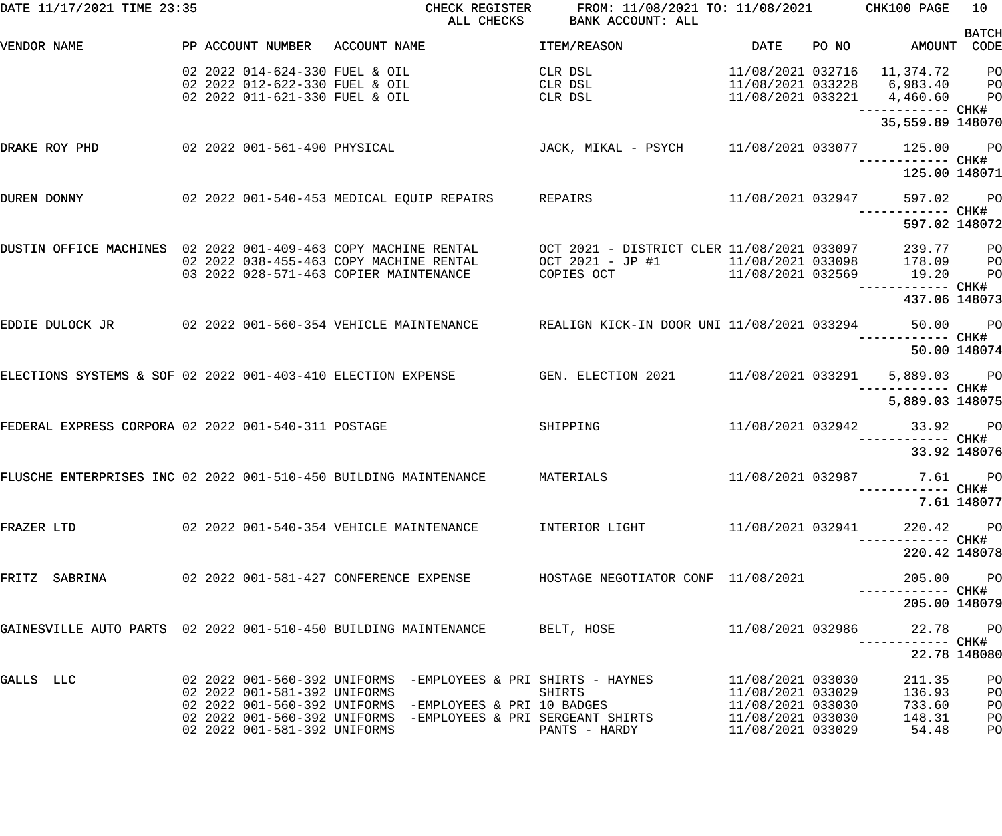| DATE 11/17/2021 TIME 23:35                                      |                                                                                                    | CHECK REGISTER<br>ALL CHECKS                                                                                    | FROM: 11/08/2021 TO: 11/08/2021 CHK100 PAGE<br>BANK ACCOUNT: ALL                                                              |                                        |       |                                                                                                        | 10           |
|-----------------------------------------------------------------|----------------------------------------------------------------------------------------------------|-----------------------------------------------------------------------------------------------------------------|-------------------------------------------------------------------------------------------------------------------------------|----------------------------------------|-------|--------------------------------------------------------------------------------------------------------|--------------|
| VENDOR NAME                                                     |                                                                                                    | PP ACCOUNT NUMBER ACCOUNT NAME                                                                                  | ITEM/REASON                                                                                                                   | DATE                                   | PO NO | AMOUNT CODE                                                                                            | <b>BATCH</b> |
|                                                                 | 02 2022 014-624-330 FUEL & OIL<br>02 2022 012-622-330 FUEL & OIL<br>02 2022 011-621-330 FUEL & OIL |                                                                                                                 | CLR DSL<br>CLR DSL<br>CLR DSL                                                                                                 |                                        |       | 11/08/2021 032716    11,374.72<br>11/08/2021 033228    6,983.40    PO<br>11/08/2021 033221 4,460.60 PO | <b>PO</b>    |
|                                                                 |                                                                                                    |                                                                                                                 |                                                                                                                               |                                        |       | 35,559.89 148070                                                                                       |              |
| DRAKE ROY PHD                                                   |                                                                                                    | 02 2022 001-561-490 PHYSICAL                                                                                    | JACK, MIKAL - PSYCH 11/08/2021 033077                                                                                         |                                        |       | 125.00 PO                                                                                              |              |
|                                                                 |                                                                                                    |                                                                                                                 |                                                                                                                               |                                        |       | 125.00 148071                                                                                          |              |
| DUREN DONNY                                                     |                                                                                                    | 02 2022 001-540-453 MEDICAL EQUIP REPAIRS REPAIRS                                                               |                                                                                                                               | 11/08/2021 032947                      |       | 597.02 PO<br>—————————— CHK#                                                                           |              |
|                                                                 |                                                                                                    |                                                                                                                 |                                                                                                                               |                                        |       | 597.02 148072                                                                                          |              |
| DUSTIN OFFICE MACHINES 02 2022 001-409-463 COPY MACHINE RENTAL  |                                                                                                    | 02 2022 038-455-463 COPY MACHINE RENTAL<br>03  2022  028-571-463  COPIER MAINTENANCE                            | OCT 2021 - DISTRICT CLER 11/08/2021 033097<br>OCT 2021 - JP #1 1/08/2021 033098 178.09<br>COPIES OCT 11/08/2021 033098 178.09 |                                        |       | 239.77 PO<br>178.09 PO<br>—————————— CHK#                                                              | <b>PO</b>    |
|                                                                 |                                                                                                    |                                                                                                                 |                                                                                                                               |                                        |       | 437.06 148073                                                                                          |              |
|                                                                 |                                                                                                    | EDDIE DULOCK JR          02 2022 001-560-354 VEHICLE MAINTENANCE     REALIGN KICK-IN DOOR UNI 11/08/2021 033294 |                                                                                                                               |                                        |       | 50.00 PO                                                                                               |              |
|                                                                 |                                                                                                    |                                                                                                                 |                                                                                                                               |                                        |       |                                                                                                        | 50.00 148074 |
| ELECTIONS SYSTEMS & SOF 02 2022 001-403-410 ELECTION EXPENSE    |                                                                                                    |                                                                                                                 | GEN. ELECTION 2021 11/08/2021 033291                                                                                          |                                        |       | 5,889.03 PO                                                                                            |              |
|                                                                 |                                                                                                    |                                                                                                                 |                                                                                                                               |                                        |       | 5,889.03 148075                                                                                        |              |
| FEDERAL EXPRESS CORPORA 02 2022 001-540-311 POSTAGE             |                                                                                                    |                                                                                                                 | SHIPPING                                                                                                                      |                                        |       | 11/08/2021 032942 33.92 PO                                                                             |              |
|                                                                 |                                                                                                    |                                                                                                                 |                                                                                                                               |                                        |       | 33.92 148076                                                                                           |              |
|                                                                 |                                                                                                    | FLUSCHE ENTERPRISES INC 02 2022 001-510-450 BUILDING MAINTENANCE MATERIALS                                      |                                                                                                                               | 11/08/2021 032987                      |       | 7.61 PO<br>--------- CHK#                                                                              |              |
|                                                                 |                                                                                                    |                                                                                                                 |                                                                                                                               |                                        |       |                                                                                                        | 7.61 148077  |
| FRAZER LTD                                                      |                                                                                                    | 02  2022  001-540-354  VEHICLE MAINTENANCE  INTERIOR LIGHT                                                      |                                                                                                                               | 11/08/2021 032941                      |       | 220.42                                                                                                 | <b>PO</b>    |
|                                                                 |                                                                                                    |                                                                                                                 |                                                                                                                               |                                        |       | 220.42 148078                                                                                          |              |
| FRITZ SABRINA                                                   |                                                                                                    | 02 2022 001-581-427 CONFERENCE EXPENSE FOR HOSTAGE NEGOTIATOR CONF 11/08/2021                                   |                                                                                                                               |                                        |       | 205.00 PO                                                                                              |              |
|                                                                 |                                                                                                    |                                                                                                                 |                                                                                                                               |                                        |       | 205.00 148079                                                                                          |              |
| GAINESVILLE AUTO PARTS 02 2022 001-510-450 BUILDING MAINTENANCE |                                                                                                    |                                                                                                                 | BELT, HOSE                                                                                                                    | 11/08/2021 032986                      |       |                                                                                                        | 22.78 PO     |
|                                                                 |                                                                                                    |                                                                                                                 |                                                                                                                               |                                        |       |                                                                                                        | 22.78 148080 |
| GALLS LLC                                                       | 02 2022 001-581-392 UNIFORMS                                                                       | 02  2022  001-560-392  UNIFORMS  -EMPLOYEES & PRI SHIRTS - HAYNES                                               | SHIRTS                                                                                                                        | 11/08/2021 033030<br>11/08/2021 033029 |       | 211.35<br>136.93                                                                                       | PO<br>PO     |
|                                                                 |                                                                                                    | 02 2022 001-560-392 UNIFORMS -EMPLOYEES & PRI SERGEANT SHIRTS                                                   |                                                                                                                               | 11/08/2021 033030<br>11/08/2021 033030 |       | 733.60<br>148.31                                                                                       | PO<br>PO     |
|                                                                 | 02 2022 001-581-392 UNIFORMS                                                                       |                                                                                                                 | PANTS - HARDY                                                                                                                 | 11/08/2021 033029                      |       | 54.48                                                                                                  | PO           |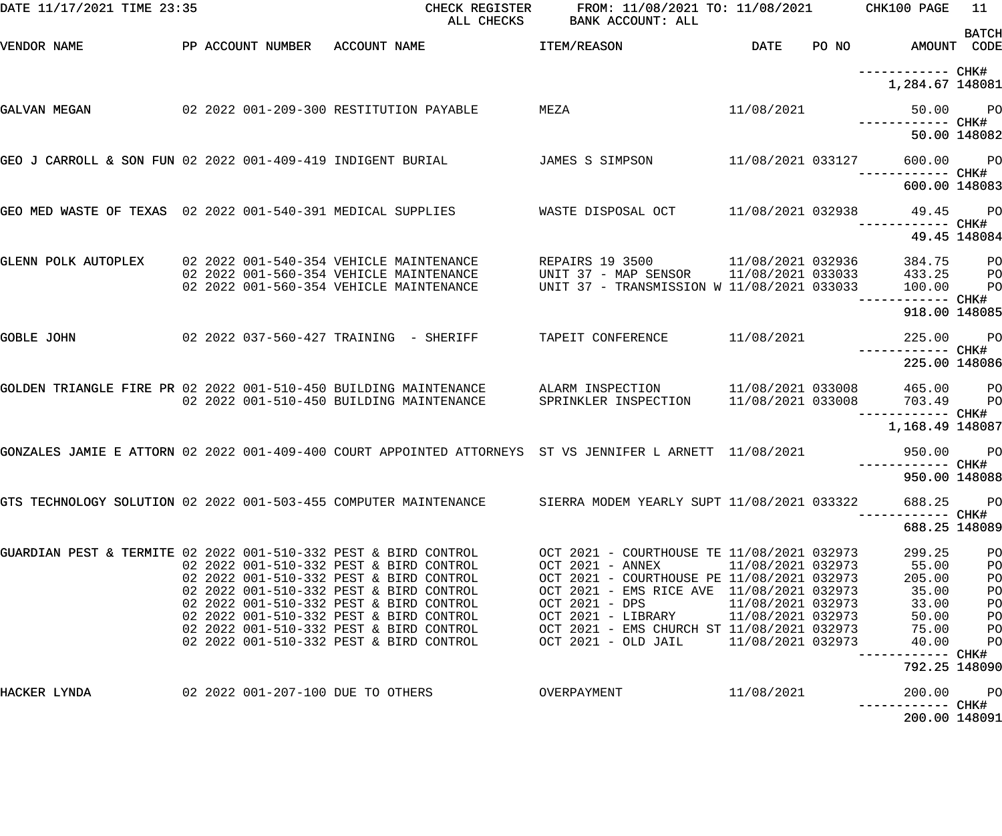| DATE 11/17/2021 TIME 23:35                                       |  | CHECK REGISTER<br>ALL CHECKS                                                                                | FROM: 11/08/2021 TO: 11/08/2021 CHK100 PAGE<br>BANK ACCOUNT: ALL                                                          |                   |                                                                   | 11<br><b>BATCH</b>      |
|------------------------------------------------------------------|--|-------------------------------------------------------------------------------------------------------------|---------------------------------------------------------------------------------------------------------------------------|-------------------|-------------------------------------------------------------------|-------------------------|
| VENDOR NAME                                                      |  | PP ACCOUNT NUMBER ACCOUNT NAME                                                                              | <b>ITEM/REASON</b>                                                                                                        | DATE              | PO NO AMOUNT CODE                                                 |                         |
|                                                                  |  |                                                                                                             |                                                                                                                           |                   | -----------         CHK#<br>1,284.67 148081                       |                         |
| GALVAN MEGAN                                                     |  | 02 2022 001-209-300 RESTITUTION PAYABLE                                                                     | MEZA                                                                                                                      | 11/08/2021        |                                                                   | 50.00 PO                |
|                                                                  |  |                                                                                                             |                                                                                                                           |                   |                                                                   | 50.00 148082            |
| GEO J CARROLL & SON FUN 02 2022 001-409-419 INDIGENT BURIAL      |  |                                                                                                             | JAMES S SIMPSON                                                                                                           | 11/08/2021 033127 | 600.00 PO                                                         |                         |
|                                                                  |  |                                                                                                             |                                                                                                                           |                   | 600.00 148083                                                     |                         |
| GEO MED WASTE OF TEXAS 02 2022 001-540-391 MEDICAL SUPPLIES      |  |                                                                                                             | WASTE DISPOSAL OCT 11/08/2021 032938 49.45 PO                                                                             |                   | —————————— CHK#                                                   |                         |
|                                                                  |  |                                                                                                             |                                                                                                                           |                   |                                                                   | 49.45 148084            |
| GLENN POLK AUTOPLEX 02 2022 001-540-354 VEHICLE MAINTENANCE      |  | 02 2022 001-560-354 VEHICLE MAINTENANCE                                                                     |                                                                                                                           |                   | 384.75<br>433.25                                                  | P <sub>O</sub><br>$P$ O |
|                                                                  |  | 02 2022 001-560-354 VEHICLE MAINTENANCE                                                                     | REPAIRS 19 3500 11/08/2021 032936<br>UNIT 37 - MAP SENSOR 11/08/2021 033033<br>UNIT 37 - TRANSMISSION W 11/08/2021 033033 |                   | 100.00                                                            | P <sub>O</sub>          |
|                                                                  |  |                                                                                                             |                                                                                                                           |                   | —————————— CHK#<br>918.00 148085                                  |                         |
| GOBLE JOHN                                                       |  | 02  2022  037-560-427  TRAINING - SHERIFF                                                                   | TAPEIT CONFERENCE                                                                                                         | 11/08/2021        | 225.00 PO                                                         |                         |
|                                                                  |  |                                                                                                             |                                                                                                                           |                   | 225.00 148086                                                     |                         |
| GOLDEN TRIANGLE FIRE PR 02 2022 001-510-450 BUILDING MAINTENANCE |  | 02 2022 001-510-450 BUILDING MAINTENANCE                                                                    | ALARM INSPECTION<br>SPRINKLER INSPECTION                                                                                  |                   | 11/08/2021 033008 465.00<br>11/08/2021 033008 703.49<br>465.00 PO | <b>PO</b>               |
|                                                                  |  |                                                                                                             |                                                                                                                           |                   | ----------- CHK#<br>1,168.49 148087                               |                         |
|                                                                  |  | GONZALES JAMIE E ATTORN 02 2022 001-409-400 COURT APPOINTED ATTORNEYS ST VS JENNIFER L ARNETT 11/08/2021    |                                                                                                                           |                   | 950.00 PO                                                         |                         |
|                                                                  |  |                                                                                                             |                                                                                                                           |                   | 950.00 148088                                                     |                         |
|                                                                  |  | GTS TECHNOLOGY SOLUTION 02 2022 001-503-455 COMPUTER MAINTENANCE SIERRA MODEM YEARLY SUPT 11/08/2021 033322 |                                                                                                                           |                   | 688.25<br>----------- CHK#                                        | <b>PO</b>               |
|                                                                  |  |                                                                                                             |                                                                                                                           |                   | 688.25 148089                                                     |                         |
| GUARDIAN PEST & TERMITE 02 2022 001-510-332 PEST & BIRD CONTROL  |  |                                                                                                             | OCT 2021 - COURTHOUSE TE 11/08/2021 032973                                                                                |                   | 299.25                                                            | PO                      |
|                                                                  |  | 02 2022 001-510-332 PEST & BIRD CONTROL<br>02 2022 001-510-332 PEST & BIRD CONTROL                          | OCT 2021 - ANNEX<br>OCT 2021 - COURTHOUSE PE 11/08/2021 032973                                                            | 11/08/2021 032973 | 55.00<br>205.00                                                   | PO<br>PO                |
|                                                                  |  | 02 2022 001-510-332 PEST & BIRD CONTROL                                                                     | OCT 2021 - EMS RICE AVE 11/08/2021 032973                                                                                 |                   | 35.00                                                             | P <sub>O</sub>          |
|                                                                  |  | 02 2022 001-510-332 PEST & BIRD CONTROL                                                                     | OCT 2021 - DPS                                                                                                            | 11/08/2021 032973 | 33.00                                                             | P <sub>O</sub>          |
|                                                                  |  | 02 2022 001-510-332 PEST & BIRD CONTROL                                                                     | OCT 2021 - LIBRARY 11/08/2021 032973                                                                                      |                   | 50.00                                                             | PO                      |
|                                                                  |  | 02 2022 001-510-332 PEST & BIRD CONTROL                                                                     | OCT 2021 - EMS CHURCH ST 11/08/2021 032973                                                                                |                   | 75.00                                                             | P <sub>O</sub>          |
|                                                                  |  | 02 2022 001-510-332 PEST & BIRD CONTROL                                                                     | OCT 2021 - OLD JAIL 11/08/2021 032973                                                                                     |                   | 40.00<br>—————————— CHK#                                          | P <sub>O</sub>          |
|                                                                  |  |                                                                                                             |                                                                                                                           |                   | 792.25 148090                                                     |                         |
| HACKER LYNDA                                                     |  | 02 2022 001-207-100 DUE TO OTHERS                                                                           | OVERPAYMENT                                                                                                               | 11/08/2021        | 200.00                                                            | <b>PO</b>               |
|                                                                  |  |                                                                                                             |                                                                                                                           |                   | 200.00 148091                                                     |                         |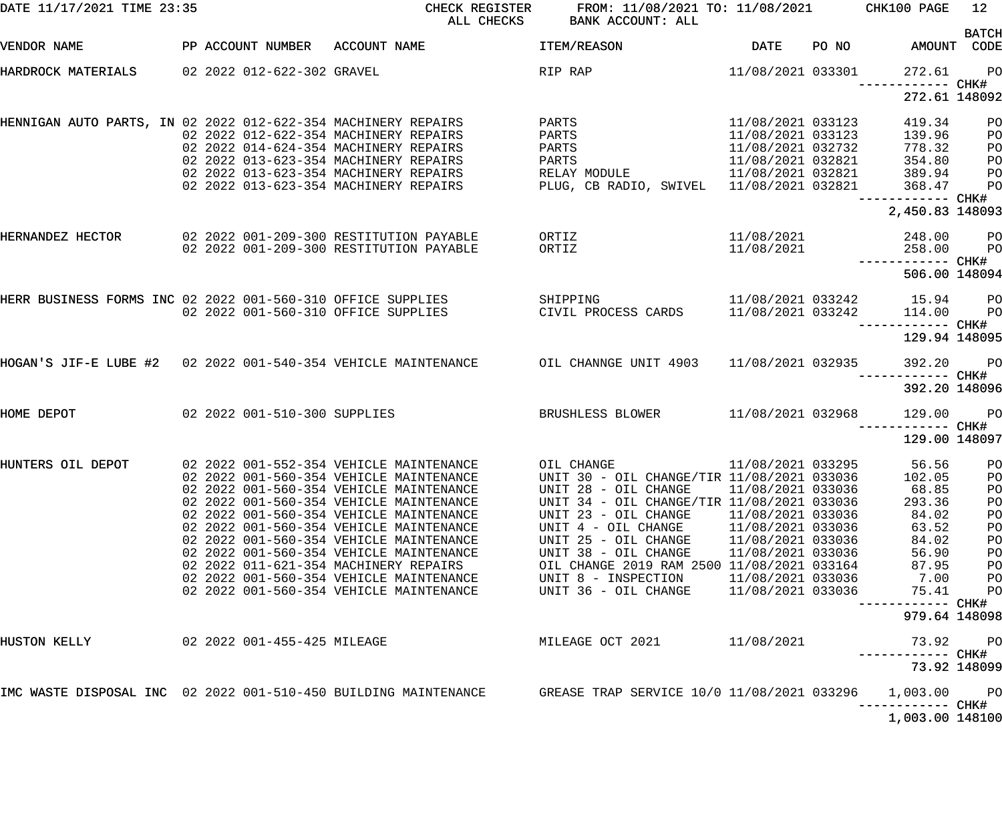| DATE 11/17/2021 TIME 23:35                                      |  |                             | CHECK REGISTER<br>ALL CHECKS                                                                                                                                                                                                                                                                                                                                                                                                                                                        | FROM: 11/08/2021 TO: 11/08/2021 CHK100 PAGE<br>BANK ACCOUNT: ALL                                                                                                                                                                                                                                                           |                                                                                                                                                                      |       |                                                                                                                                                         | 12                                                                    |
|-----------------------------------------------------------------|--|-----------------------------|-------------------------------------------------------------------------------------------------------------------------------------------------------------------------------------------------------------------------------------------------------------------------------------------------------------------------------------------------------------------------------------------------------------------------------------------------------------------------------------|----------------------------------------------------------------------------------------------------------------------------------------------------------------------------------------------------------------------------------------------------------------------------------------------------------------------------|----------------------------------------------------------------------------------------------------------------------------------------------------------------------|-------|---------------------------------------------------------------------------------------------------------------------------------------------------------|-----------------------------------------------------------------------|
| VENDOR NAME                                                     |  |                             | PP ACCOUNT NUMBER ACCOUNT NAME                                                                                                                                                                                                                                                                                                                                                                                                                                                      | <b>ITEM/REASON</b>                                                                                                                                                                                                                                                                                                         | <b>DATE</b>                                                                                                                                                          | PO NO |                                                                                                                                                         | <b>BATCH</b><br>AMOUNT CODE                                           |
| HARDROCK MATERIALS                                              |  | 02 2022 012-622-302 GRAVEL  |                                                                                                                                                                                                                                                                                                                                                                                                                                                                                     | RIP RAP                                                                                                                                                                                                                                                                                                                    | 11/08/2021 033301                                                                                                                                                    |       | 272.61<br>------------ CHK#                                                                                                                             | <b>PO</b>                                                             |
|                                                                 |  |                             |                                                                                                                                                                                                                                                                                                                                                                                                                                                                                     |                                                                                                                                                                                                                                                                                                                            |                                                                                                                                                                      |       | 272.61 148092                                                                                                                                           |                                                                       |
| HENNIGAN AUTO PARTS, IN 02 2022 012-622-354 MACHINERY REPAIRS   |  |                             | 02 2022 012-622-354 MACHINERY REPAIRS<br>02 2022 014-624-354 MACHINERY REPAIRS<br>02 2022 013-623-354 MACHINERY REPAIRS<br>02 2022 013-623-354 MACHINERY REPAIRS<br>02 2022 013-623-354 MACHINERY REPAIRS                                                                                                                                                                                                                                                                           | PARTS<br>PARTS<br>PARTS<br>PARTS<br>RELAY MODULE<br>PLUG, CB RADIO, SWIVEL 11/08/2021 032821                                                                                                                                                                                                                               | 11/08/2021 033123<br>11/08/2021 033123<br>11/08/2021 032732<br>11/08/2021 032821<br>11/08/2021 032821                                                                |       | 419.34<br>139.96<br>778.32<br>354.80<br>389.94<br>368.47<br>------------ CHK#<br>2,450.83 148093                                                        | PO<br>PO<br>PO<br>PO<br>PO<br>PO                                      |
| HERNANDEZ HECTOR                                                |  |                             | 02 2022 001-209-300 RESTITUTION PAYABLE<br>02 2022 001-209-300 RESTITUTION PAYABLE                                                                                                                                                                                                                                                                                                                                                                                                  | ORTIZ<br>ORTIZ                                                                                                                                                                                                                                                                                                             | 11/08/2021<br>11/08/2021                                                                                                                                             |       | 248.00<br>258.00<br>------------ CHK#                                                                                                                   | <b>PO</b><br>PO                                                       |
|                                                                 |  |                             |                                                                                                                                                                                                                                                                                                                                                                                                                                                                                     |                                                                                                                                                                                                                                                                                                                            |                                                                                                                                                                      |       | 506.00 148094                                                                                                                                           |                                                                       |
|                                                                 |  |                             | HERR BUSINESS FORMS INC 02 2022 001-560-310 OFFICE SUPPLIES<br>02 2022 001-560-310 OFFICE SUPPLIES                                                                                                                                                                                                                                                                                                                                                                                  | SHIPPING<br>CIVIL PROCESS CARDS                                                                                                                                                                                                                                                                                            | 11/08/2021 033242                                                                                                                                                    |       | 11/08/2021 033242 15.94<br>114.00<br>------------ CHK#                                                                                                  | <b>PO</b><br>PO                                                       |
|                                                                 |  |                             |                                                                                                                                                                                                                                                                                                                                                                                                                                                                                     |                                                                                                                                                                                                                                                                                                                            |                                                                                                                                                                      |       | 129.94 148095                                                                                                                                           |                                                                       |
|                                                                 |  |                             | HOGAN'S JIF-E LUBE #2 02 2022 001-540-354 VEHICLE MAINTENANCE OIL CHANNGE UNIT 4903 11/08/2021 032935                                                                                                                                                                                                                                                                                                                                                                               |                                                                                                                                                                                                                                                                                                                            |                                                                                                                                                                      |       | 392.20<br>392.20 148096                                                                                                                                 | <b>PO</b>                                                             |
| HOME DEPOT                                                      |  |                             | 02 2022 001-510-300 SUPPLIES                                                                                                                                                                                                                                                                                                                                                                                                                                                        | BRUSHLESS BLOWER                                                                                                                                                                                                                                                                                                           | 11/08/2021 032968                                                                                                                                                    |       | 129.00<br>------------ CHK#                                                                                                                             | <b>PO</b>                                                             |
| HUNTERS OIL DEPOT                                               |  |                             | 02 2022 001-552-354 VEHICLE MAINTENANCE<br>02 2022 001-560-354 VEHICLE MAINTENANCE<br>02 2022 001-560-354 VEHICLE MAINTENANCE<br>02 2022 001-560-354 VEHICLE MAINTENANCE<br>02 2022 001-560-354 VEHICLE MAINTENANCE<br>02 2022 001-560-354 VEHICLE MAINTENANCE<br>02 2022 001-560-354 VEHICLE MAINTENANCE<br>02 2022 001-560-354 VEHICLE MAINTENANCE<br>02 2022 011-621-354 MACHINERY REPAIRS<br>02 2022 001-560-354 VEHICLE MAINTENANCE<br>02 2022 001-560-354 VEHICLE MAINTENANCE | OIL CHANGE<br>UNIT 30 - OIL CHANGE/TIR 11/08/2021 033036<br>UNIT 28 - OIL CHANGE<br>UNIT 34 - OIL CHANGE/TIR 11/08/2021 033036<br>UNIT 23 - OIL CHANGE<br>UNIT 4 - OIL CHANGE<br>UNIT 25 - OIL CHANGE<br>UNIT 38 - OIL CHANGE<br>OIL CHANGE 2019 RAM 2500 11/08/2021 033164<br>UNIT 8 - INSPECTION<br>UNIT 36 - OIL CHANGE | 11/08/2021 033295<br>11/08/2021 033036<br>11/08/2021 033036<br>11/08/2021 033036<br>11/08/2021 033036<br>11/08/2021 033036<br>11/08/2021 033036<br>11/08/2021 033036 |       | 129.00 148097<br>56.56<br>102.05<br>68.85<br>293.36<br>84.02<br>63.52<br>84.02<br>56.90<br>87.95<br>7.00<br>75.41<br>------------ CHK#<br>979.64 148098 | PO<br><b>PO</b><br>PO<br>PO<br>PO<br>PO<br>PO<br>PO<br>PO<br>PO<br>PO |
| HUSTON KELLY                                                    |  | 02 2022 001-455-425 MILEAGE |                                                                                                                                                                                                                                                                                                                                                                                                                                                                                     | MILEAGE OCT 2021                                                                                                                                                                                                                                                                                                           | 11/08/2021                                                                                                                                                           |       | 73.92                                                                                                                                                   | PO<br>73.92 148099                                                    |
| IMC WASTE DISPOSAL INC 02 2022 001-510-450 BUILDING MAINTENANCE |  |                             |                                                                                                                                                                                                                                                                                                                                                                                                                                                                                     | GREASE TRAP SERVICE 10/0 11/08/2021 033296                                                                                                                                                                                                                                                                                 |                                                                                                                                                                      |       | 1,003.00                                                                                                                                                | PO                                                                    |
|                                                                 |  |                             |                                                                                                                                                                                                                                                                                                                                                                                                                                                                                     |                                                                                                                                                                                                                                                                                                                            |                                                                                                                                                                      |       | ------------ CHK#<br>1,003.00 148100                                                                                                                    |                                                                       |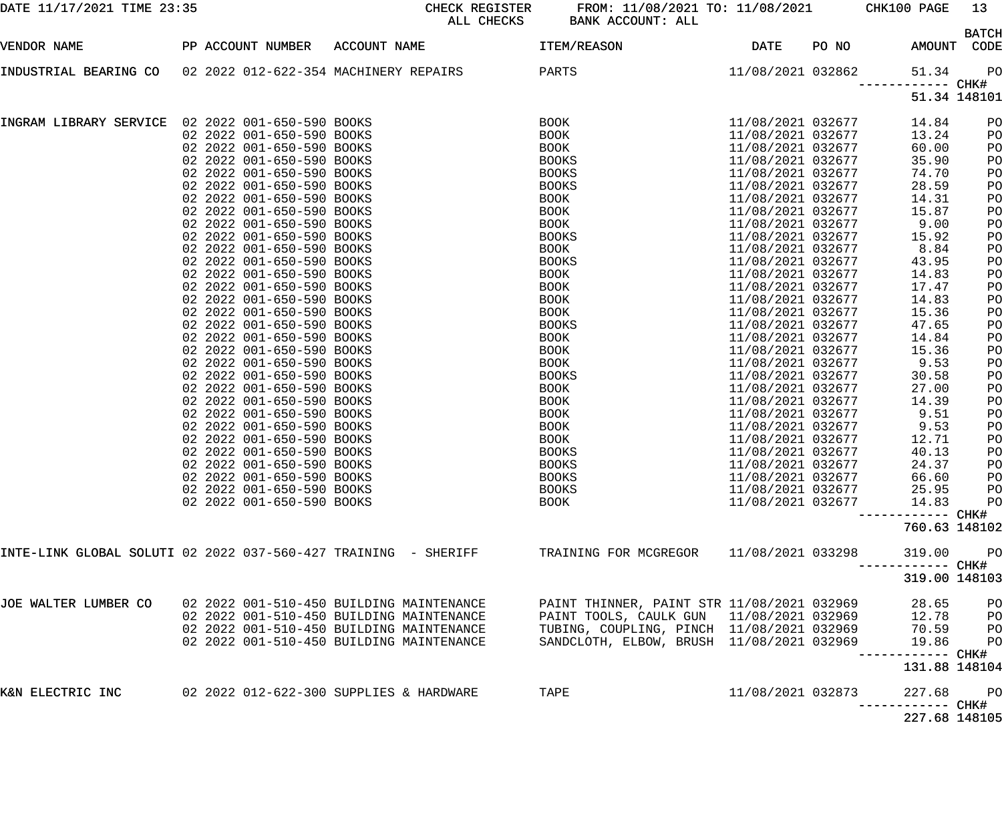|  |  | DATE 11/17/2021 TIME 23:35 |  |
|--|--|----------------------------|--|

DATE 11/17/2021 TIME 23:35 CHECK REGISTER FROM: 11/08/2021 TO: 11/08/2021 CHK100 PAGE 13 ALL CHECKS BANK ACCOUNT: ALL

| VENDOR NAME                                      |  | PP ACCOUNT NUMBER         | ACCOUNT NAME                                                    | ITEM/REASON                                | DATE              | PO NO |        | <b>BATCH</b><br>AMOUNT CODE |
|--------------------------------------------------|--|---------------------------|-----------------------------------------------------------------|--------------------------------------------|-------------------|-------|--------|-----------------------------|
|                                                  |  |                           |                                                                 |                                            |                   |       |        |                             |
| INDUSTRIAL BEARING CO                            |  |                           | 02 2022 012-622-354 MACHINERY REPAIRS                           | PARTS                                      | 11/08/2021 032862 |       | 51.34  | PO<br>------ CHK#           |
|                                                  |  |                           |                                                                 |                                            |                   |       |        | 51.34 148101                |
| INGRAM LIBRARY SERVICE 02 2022 001-650-590 BOOKS |  |                           |                                                                 | BOOK                                       | 11/08/2021 032677 |       | 14.84  | PO                          |
|                                                  |  | 02 2022 001-650-590 BOOKS |                                                                 | BOOK                                       | 11/08/2021 032677 |       | 13.24  | PO                          |
|                                                  |  | 02 2022 001-650-590 BOOKS |                                                                 | <b>BOOK</b>                                | 11/08/2021 032677 |       | 60.00  | PO                          |
|                                                  |  | 02 2022 001-650-590 BOOKS |                                                                 | <b>BOOKS</b>                               | 11/08/2021 032677 |       | 35.90  | PO                          |
|                                                  |  | 02 2022 001-650-590 BOOKS |                                                                 | <b>BOOKS</b>                               | 11/08/2021 032677 |       | 74.70  | PO                          |
|                                                  |  | 02 2022 001-650-590 BOOKS |                                                                 | <b>BOOKS</b>                               | 11/08/2021 032677 |       | 28.59  | PO                          |
|                                                  |  | 02 2022 001-650-590 BOOKS |                                                                 | BOOK                                       | 11/08/2021 032677 |       | 14.31  | PO                          |
|                                                  |  | 02 2022 001-650-590 BOOKS |                                                                 | BOOK                                       | 11/08/2021 032677 |       | 15.87  | PO                          |
|                                                  |  | 02 2022 001-650-590 BOOKS |                                                                 | BOOK                                       | 11/08/2021 032677 |       | 9.00   | PO                          |
|                                                  |  | 02 2022 001-650-590 BOOKS |                                                                 | <b>BOOKS</b>                               | 11/08/2021 032677 |       | 15.92  | PO                          |
|                                                  |  | 02 2022 001-650-590 BOOKS |                                                                 | <b>BOOK</b>                                | 11/08/2021 032677 |       | 8.84   | PO                          |
|                                                  |  | 02 2022 001-650-590 BOOKS |                                                                 | <b>BOOKS</b>                               | 11/08/2021 032677 |       | 43.95  | PO                          |
|                                                  |  | 02 2022 001-650-590 BOOKS |                                                                 | <b>BOOK</b>                                | 11/08/2021 032677 |       | 14.83  | PO                          |
|                                                  |  | 02 2022 001-650-590 BOOKS |                                                                 | <b>BOOK</b>                                | 11/08/2021 032677 |       | 17.47  | PO                          |
|                                                  |  | 02 2022 001-650-590 BOOKS |                                                                 | <b>BOOK</b>                                | 11/08/2021 032677 |       | 14.83  | PO                          |
|                                                  |  | 02 2022 001-650-590 BOOKS |                                                                 | BOOK                                       | 11/08/2021 032677 |       | 15.36  | PO                          |
|                                                  |  | 02 2022 001-650-590 BOOKS |                                                                 | <b>BOOKS</b>                               | 11/08/2021 032677 |       | 47.65  | PO                          |
|                                                  |  | 02 2022 001-650-590 BOOKS |                                                                 | BOOK                                       | 11/08/2021 032677 |       | 14.84  | PO                          |
|                                                  |  | 02 2022 001-650-590 BOOKS |                                                                 | <b>BOOK</b>                                | 11/08/2021 032677 |       | 15.36  | PO                          |
|                                                  |  | 02 2022 001-650-590 BOOKS |                                                                 | <b>BOOK</b>                                | 11/08/2021 032677 |       | 9.53   | PO                          |
|                                                  |  | 02 2022 001-650-590 BOOKS |                                                                 | <b>BOOKS</b>                               | 11/08/2021 032677 |       | 30.58  | PO                          |
|                                                  |  | 02 2022 001-650-590 BOOKS |                                                                 | <b>BOOK</b>                                | 11/08/2021 032677 |       | 27.00  | PO                          |
|                                                  |  | 02 2022 001-650-590 BOOKS |                                                                 | <b>BOOK</b>                                | 11/08/2021 032677 |       | 14.39  | PO                          |
|                                                  |  | 02 2022 001-650-590 BOOKS |                                                                 | <b>BOOK</b>                                | 11/08/2021 032677 |       | 9.51   | PO                          |
|                                                  |  | 02 2022 001-650-590 BOOKS |                                                                 | BOOK                                       | 11/08/2021 032677 |       | 9.53   | PO                          |
|                                                  |  | 02 2022 001-650-590 BOOKS |                                                                 | BOOK                                       | 11/08/2021 032677 |       | 12.71  | PO                          |
|                                                  |  | 02 2022 001-650-590 BOOKS |                                                                 | <b>BOOKS</b>                               | 11/08/2021 032677 |       | 40.13  | PO                          |
|                                                  |  | 02 2022 001-650-590 BOOKS |                                                                 | <b>BOOKS</b>                               | 11/08/2021 032677 |       | 24.37  | PO                          |
|                                                  |  | 02 2022 001-650-590 BOOKS |                                                                 | <b>BOOKS</b>                               | 11/08/2021 032677 |       | 66.60  | PO                          |
|                                                  |  | 02 2022 001-650-590 BOOKS |                                                                 | <b>BOOKS</b>                               | 11/08/2021 032677 |       | 25.95  | PO                          |
|                                                  |  | 02 2022 001-650-590 BOOKS |                                                                 | BOOK                                       | 11/08/2021 032677 |       |        | 14.83 PO                    |
|                                                  |  |                           |                                                                 |                                            |                   |       |        |                             |
|                                                  |  |                           |                                                                 |                                            |                   |       |        | 760.63 148102               |
|                                                  |  |                           | INTE-LINK GLOBAL SOLUTI 02 2022 037-560-427 TRAINING  - SHERIFF | TRAINING FOR MCGREGOR 11/08/2021 033298    |                   |       | 319.00 | <b>PO</b>                   |
|                                                  |  |                           |                                                                 |                                            |                   |       |        | ----------- CHK#            |
|                                                  |  |                           |                                                                 |                                            |                   |       |        | 319.00 148103               |
| JOE WALTER LUMBER CO                             |  |                           | 02 2022 001-510-450 BUILDING MAINTENANCE                        | PAINT THINNER, PAINT STR 11/08/2021 032969 |                   |       |        | 28.65 PO                    |
|                                                  |  |                           | 02 2022 001-510-450 BUILDING MAINTENANCE                        | PAINT TOOLS, CAULK GUN 11/08/2021 032969   |                   |       |        | 12.78 PO                    |
|                                                  |  |                           | 02 2022 001-510-450 BUILDING MAINTENANCE                        | TUBING, COUPLING, PINCH 11/08/2021 032969  |                   |       |        | 70.59 PO                    |
|                                                  |  |                           | 02 2022 001-510-450 BUILDING MAINTENANCE                        | SANDCLOTH, ELBOW, BRUSH 11/08/2021 032969  |                   |       | 19.86  | PO                          |
|                                                  |  |                           |                                                                 |                                            |                   |       |        |                             |
|                                                  |  |                           |                                                                 |                                            |                   |       |        | 131.88 148104               |
| K&N ELECTRIC INC                                 |  |                           | 02 2022 012-622-300 SUPPLIES & HARDWARE                         | TAPE                                       | 11/08/2021 032873 |       | 227.68 | <b>PO</b>                   |
|                                                  |  |                           |                                                                 |                                            |                   |       |        |                             |
|                                                  |  |                           |                                                                 |                                            |                   |       |        | 227.68 148105               |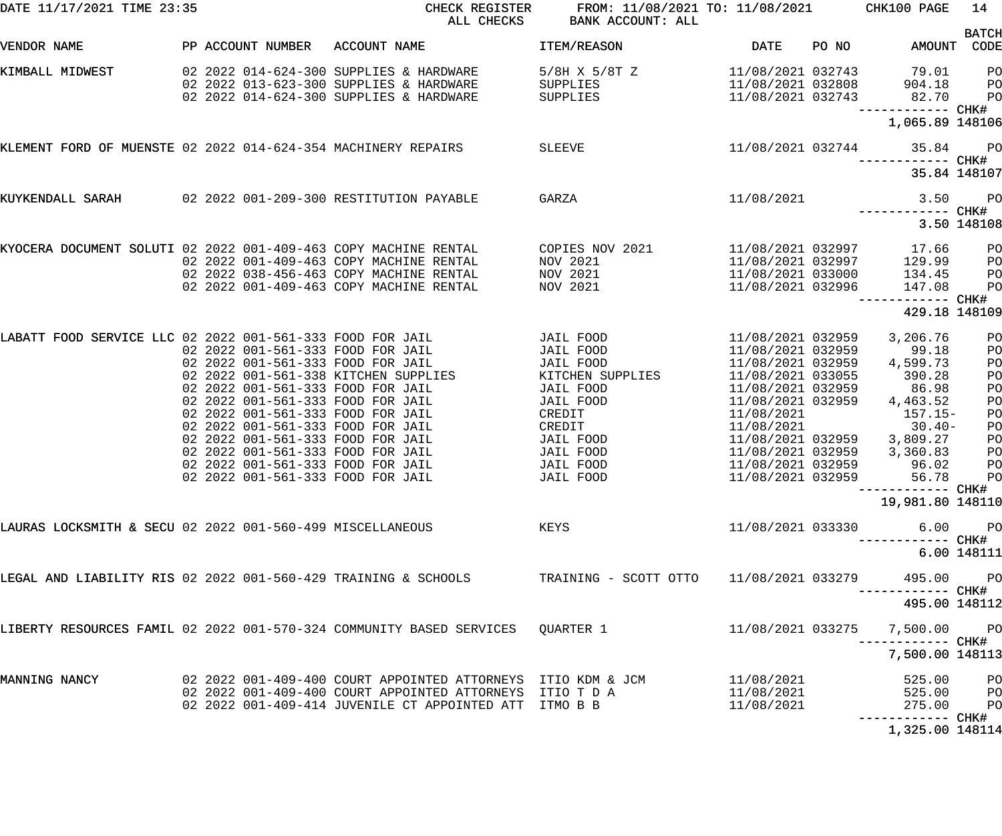| DATE 11/17/2021 TIME 23:35                                                                                             |                   | CHECK REGISTER<br>ALL CHECKS                                                                                                                                                                                                                                                                                                                                                                                           | FROM: 11/08/2021 TO: 11/08/2021<br>BANK ACCOUNT: ALL                                                                                                              |                                                                                                                                                                                                                                                                 |       | CHK100 PAGE                                                                                                                                                               | 14                                                                                       |
|------------------------------------------------------------------------------------------------------------------------|-------------------|------------------------------------------------------------------------------------------------------------------------------------------------------------------------------------------------------------------------------------------------------------------------------------------------------------------------------------------------------------------------------------------------------------------------|-------------------------------------------------------------------------------------------------------------------------------------------------------------------|-----------------------------------------------------------------------------------------------------------------------------------------------------------------------------------------------------------------------------------------------------------------|-------|---------------------------------------------------------------------------------------------------------------------------------------------------------------------------|------------------------------------------------------------------------------------------|
| VENDOR NAME                                                                                                            | PP ACCOUNT NUMBER | ACCOUNT NAME                                                                                                                                                                                                                                                                                                                                                                                                           | ITEM/REASON                                                                                                                                                       | <b>DATE</b>                                                                                                                                                                                                                                                     | PO NO | AMOUNT CODE                                                                                                                                                               | <b>BATCH</b>                                                                             |
| KIMBALL MIDWEST                                                                                                        |                   | 02  2022  014-624-300  SUPPLIES & HARDWARE<br>02 2022 013-623-300 SUPPLIES & HARDWARE<br>02 2022 014-624-300 SUPPLIES & HARDWARE                                                                                                                                                                                                                                                                                       | $5/8H$ X $5/8T$ Z<br>SUPPLIES<br>SUPPLIES                                                                                                                         | 11/08/2021 032743<br>11/08/2021 032808<br>11/08/2021 032743                                                                                                                                                                                                     |       | 79.01<br>904.18<br>82.70                                                                                                                                                  | PO<br>PО<br>P <sub>O</sub>                                                               |
|                                                                                                                        |                   |                                                                                                                                                                                                                                                                                                                                                                                                                        |                                                                                                                                                                   |                                                                                                                                                                                                                                                                 |       | ------------ CHK#<br>1,065.89 148106                                                                                                                                      |                                                                                          |
| KLEMENT FORD OF MUENSTE 02 2022 014-624-354 MACHINERY REPAIRS                                                          |                   |                                                                                                                                                                                                                                                                                                                                                                                                                        | SLEEVE                                                                                                                                                            | 11/08/2021 032744                                                                                                                                                                                                                                               |       | 35.84                                                                                                                                                                     | <b>PO</b>                                                                                |
|                                                                                                                        |                   |                                                                                                                                                                                                                                                                                                                                                                                                                        |                                                                                                                                                                   |                                                                                                                                                                                                                                                                 |       | 35.84 148107                                                                                                                                                              |                                                                                          |
| KUYKENDALL SARAH 602 2022 001-209-300 RESTITUTION PAYABLE                                                              |                   |                                                                                                                                                                                                                                                                                                                                                                                                                        | GARZA                                                                                                                                                             | 11/08/2021                                                                                                                                                                                                                                                      |       | 3.50<br>------------ CHK#                                                                                                                                                 | $P$ O                                                                                    |
|                                                                                                                        |                   |                                                                                                                                                                                                                                                                                                                                                                                                                        |                                                                                                                                                                   |                                                                                                                                                                                                                                                                 |       |                                                                                                                                                                           | 3.50 148108                                                                              |
| KYOCERA DOCUMENT SOLUTI 02 2022 001-409-463 COPY MACHINE RENTAL                                                        |                   | 02 2022 001-409-463 COPY MACHINE RENTAL<br>02 2022 038-456-463 COPY MACHINE RENTAL<br>02 2022 001-409-463 COPY MACHINE RENTAL                                                                                                                                                                                                                                                                                          | COPIES NOV 2021<br>NOV 2021<br>NOV 2021<br>NOV 2021                                                                                                               | 11/08/2021 032997<br>11/08/2021 032997<br>11/08/2021 033000<br>11/08/2021 032996                                                                                                                                                                                |       | 17.66<br>129.99<br>134.45<br>147.08                                                                                                                                       | PO<br>PO<br>PO<br>PO                                                                     |
|                                                                                                                        |                   |                                                                                                                                                                                                                                                                                                                                                                                                                        |                                                                                                                                                                   |                                                                                                                                                                                                                                                                 |       | ----------- CHK#<br>429.18 148109                                                                                                                                         |                                                                                          |
| LABATT FOOD SERVICE LLC 02 2022 001-561-333 FOOD FOR JAIL<br>LAURAS LOCKSMITH & SECU 02 2022 001-560-499 MISCELLANEOUS |                   | 02 2022 001-561-333 FOOD FOR JAIL<br>02 2022 001-561-333 FOOD FOR JAIL<br>02 2022 001-561-338 KITCHEN SUPPLIES<br>02 2022 001-561-333 FOOD FOR JAIL<br>02 2022 001-561-333 FOOD FOR JAIL<br>02 2022 001-561-333 FOOD FOR JAIL<br>02 2022 001-561-333 FOOD FOR JAIL<br>02 2022 001-561-333 FOOD FOR JAIL<br>02 2022 001-561-333 FOOD FOR JAIL<br>02 2022 001-561-333 FOOD FOR JAIL<br>02 2022 001-561-333 FOOD FOR JAIL | JAIL FOOD<br>JAIL FOOD<br>JAIL FOOD<br>KITCHEN SUPPLIES<br>JAIL FOOD<br>JAIL FOOD<br>CREDIT<br>CREDIT<br>JAIL FOOD<br>JAIL FOOD<br>JAIL FOOD<br>JAIL FOOD<br>KEYS | 11/08/2021 032959<br>11/08/2021 032959<br>11/08/2021 032959<br>11/08/2021 033055<br>11/08/2021 032959<br>11/08/2021 032959<br>11/08/2021<br>11/08/2021<br>11/08/2021 032959<br>11/08/2021 032959<br>11/08/2021 032959<br>11/08/2021 032959<br>11/08/2021 033330 |       | 3,206.76<br>99.18<br>4,599.73<br>390.28<br>86.98<br>4,463.52<br>$157.15-$<br>$30.40 -$<br>3,809.27<br>3,360.83<br>96.02<br>56.78 PO<br>19,981.80 148110<br>--------- CHK# | PO<br>PO<br>PO<br>PO<br>PO<br>PO<br>PO<br>PO<br>PO<br>PO<br>PO<br>6.00 PO<br>6.00 148111 |
|                                                                                                                        |                   | LEGAL AND LIABILITY RIS 02 2022 001-560-429 TRAINING & SCHOOLS TRAINING - SCOTT OTTO                                                                                                                                                                                                                                                                                                                                   |                                                                                                                                                                   | 11/08/2021 033279                                                                                                                                                                                                                                               |       | 495.00 PO<br>495.00 148112                                                                                                                                                |                                                                                          |
|                                                                                                                        |                   | LIBERTY RESOURCES FAMIL 02 2022 001-570-324 COMMUNITY BASED SERVICES     QUARTER 1                                                                                                                                                                                                                                                                                                                                     |                                                                                                                                                                   |                                                                                                                                                                                                                                                                 |       | 11/08/2021 033275 7,500.00 PO<br>7,500.00 148113                                                                                                                          |                                                                                          |
| MANNING NANCY                                                                                                          |                   | 02  2022  001-409-400  COURT APPOINTED ATTORNEYS  ITIO KDM & JCM<br>02 2022 001-409-400 COURT APPOINTED ATTORNEYS ITIO T D A<br>02   2022   001-409-414   JUVENILE   CT   APPOINTED   ATT   ITMO   B   B                                                                                                                                                                                                               |                                                                                                                                                                   | 11/08/2021<br>11/08/2021<br>11/08/2021<br>11/08/2021                                                                                                                                                                                                            |       | 525.00<br>525.00 PO<br>275.00                                                                                                                                             | $P$ O<br>PO <sub>1</sub>                                                                 |
|                                                                                                                        |                   |                                                                                                                                                                                                                                                                                                                                                                                                                        |                                                                                                                                                                   |                                                                                                                                                                                                                                                                 |       | 1,325.00 148114                                                                                                                                                           |                                                                                          |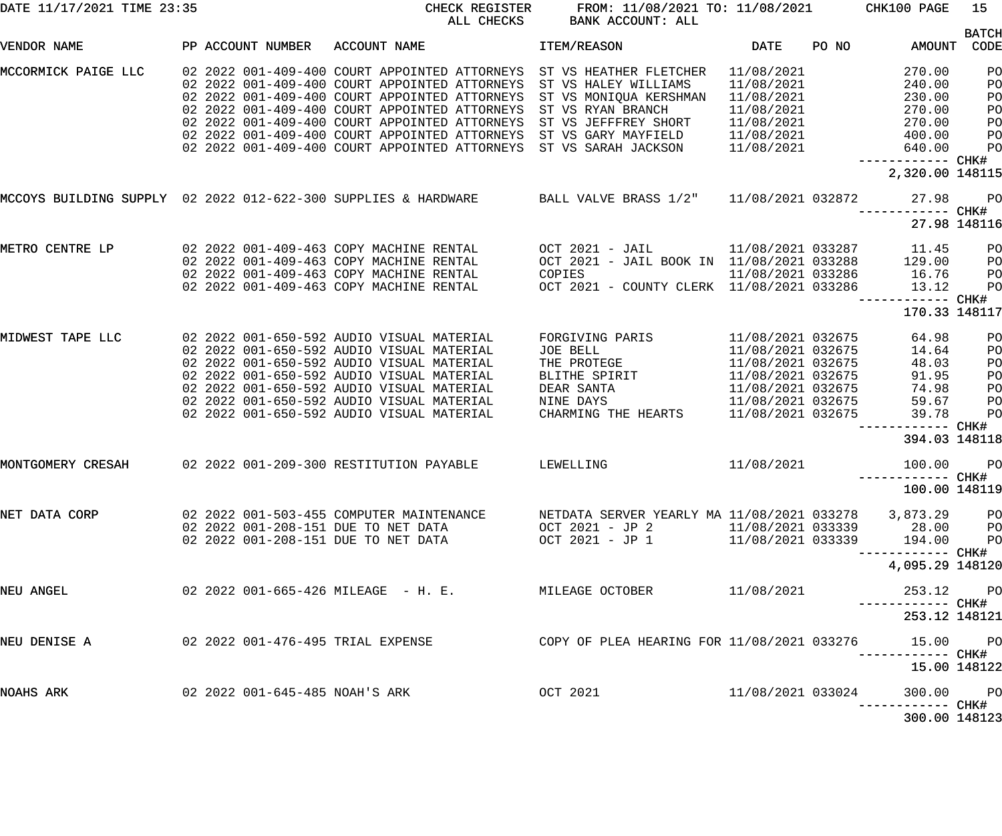| DATE 11/17/2021 TIME 23:35 |                                     | CHECK REGISTER<br>ALL CHECKS                                                         | FROM: 11/08/2021 TO: 11/08/2021<br>BANK ACCOUNT: ALL   |                   |       | CHK100 PAGE                          | 15                   |
|----------------------------|-------------------------------------|--------------------------------------------------------------------------------------|--------------------------------------------------------|-------------------|-------|--------------------------------------|----------------------|
| VENDOR NAME                | PP ACCOUNT NUMBER                   | ACCOUNT NAME                                                                         | ITEM/REASON                                            | DATE              | PO NO | AMOUNT                               | <b>BATCH</b><br>CODE |
| MCCORMICK PAIGE LLC        |                                     | 02 2022 001-409-400 COURT APPOINTED ATTORNEYS                                        | ST VS HEATHER FLETCHER                                 | 11/08/2021        |       | 270.00                               | PO                   |
|                            |                                     | 02 2022 001-409-400 COURT APPOINTED ATTORNEYS                                        | ST VS HALEY WILLIAMS                                   | 11/08/2021        |       | 240.00                               | PO                   |
|                            |                                     | 02 2022 001-409-400 COURT APPOINTED ATTORNEYS                                        | ST VS MONIQUA KERSHMAN                                 | 11/08/2021        |       | 230.00                               | PO                   |
|                            |                                     | 02 2022 001-409-400 COURT APPOINTED ATTORNEYS                                        | ST VS RYAN BRANCH                                      | 11/08/2021        |       | 270.00                               | PO                   |
|                            |                                     | 02 2022 001-409-400 COURT APPOINTED ATTORNEYS                                        | ST VS JEFFFREY SHORT                                   | 11/08/2021        |       | 270.00                               | PO                   |
|                            |                                     | 02 2022 001-409-400 COURT APPOINTED ATTORNEYS                                        | ST VS GARY MAYFIELD                                    | 11/08/2021        |       | 400.00                               | PO                   |
|                            |                                     | 02 2022 001-409-400 COURT APPOINTED ATTORNEYS                                        | ST VS SARAH JACKSON                                    | 11/08/2021        |       | 640.00                               | PO                   |
|                            |                                     |                                                                                      |                                                        |                   |       | ------------ CHK#<br>2,320.00 148115 |                      |
|                            |                                     |                                                                                      |                                                        |                   |       |                                      |                      |
|                            |                                     | MCCOYS BUILDING SUPPLY 02 2022 012-622-300 SUPPLIES & HARDWARE BALL VALVE BRASS 1/2" |                                                        | 11/08/2021 032872 |       | 27.98<br>------------ CHK#           | P <sub>O</sub>       |
|                            |                                     |                                                                                      |                                                        |                   |       | 27.98 148116                         |                      |
| METRO CENTRE LP            |                                     | 02  2022  001-409-463  COPY  MACHINE  RENTAL                                         | OCT 2021 - JAIL                                        | 11/08/2021 033287 |       | 11.45                                | PO                   |
|                            |                                     | 02 2022 001-409-463 COPY MACHINE RENTAL                                              | OCT 2021 - JAIL BOOK IN 11/08/2021 033288              |                   |       | 129.00                               | PO                   |
|                            |                                     | 02 2022 001-409-463 COPY MACHINE RENTAL                                              | COPIES                                                 | 11/08/2021 033286 |       | 16.76                                | PO                   |
|                            |                                     | 02 2022 001-409-463 COPY MACHINE RENTAL                                              | OCT 2021 - COUNTY CLERK 11/08/2021 033286              |                   |       | 13.12                                | PO                   |
|                            |                                     |                                                                                      |                                                        |                   |       | 170.33 148117                        |                      |
| MIDWEST TAPE LLC           |                                     | 02 2022 001-650-592 AUDIO VISUAL MATERIAL                                            | FORGIVING PARIS                                        | 11/08/2021 032675 |       | 64.98                                | PO                   |
|                            |                                     | 02 2022 001-650-592 AUDIO VISUAL MATERIAL                                            | JOE BELL                                               | 11/08/2021 032675 |       | 14.64                                | PO                   |
|                            |                                     | 02 2022 001-650-592 AUDIO VISUAL MATERIAL                                            | THE PROTEGE                                            | 11/08/2021 032675 |       | 48.03                                | PO                   |
|                            |                                     | 02 2022 001-650-592 AUDIO VISUAL MATERIAL                                            | BLITHE SPIRIT                                          | 11/08/2021 032675 |       | 91.95                                | PO                   |
|                            |                                     | 02 2022 001-650-592 AUDIO VISUAL MATERIAL                                            | DEAR SANTA                                             | 11/08/2021 032675 |       | 74.98                                | PO                   |
|                            |                                     | 02 2022 001-650-592 AUDIO VISUAL MATERIAL                                            | NINE DAYS                                              | 11/08/2021 032675 |       | 59.67                                | PO                   |
|                            |                                     | 02 2022 001-650-592 AUDIO VISUAL MATERIAL                                            | CHARMING THE HEARTS                                    | 11/08/2021 032675 |       | 39.78                                | PO                   |
|                            |                                     |                                                                                      |                                                        |                   |       | ------------ CHK#                    |                      |
|                            |                                     |                                                                                      |                                                        |                   |       | 394.03 148118                        |                      |
| MONTGOMERY CRESAH          |                                     | 02 2022 001-209-300 RESTITUTION PAYABLE                                              | LEWELLING                                              | 11/08/2021        |       | 100.00                               | P <sub>O</sub>       |
|                            |                                     |                                                                                      |                                                        |                   |       |                                      |                      |
|                            |                                     |                                                                                      |                                                        |                   |       | 100.00 148119                        |                      |
| NET DATA CORP              |                                     | 02  2022  001-503-455  COMPUTER MAINTENANCE                                          | NETDATA SERVER YEARLY MA 11/08/2021 033278 3,873.29 PO |                   |       |                                      |                      |
|                            | 02 2022 001-208-151 DUE TO NET DATA |                                                                                      | OCT 2021 - JP 2                                        |                   |       | 11/08/2021 033339 28.00 PO           |                      |
|                            | 02 2022 001-208-151 DUE TO NET DATA |                                                                                      | OCT 2021 - JP 1                                        |                   |       | 11/08/2021 033339 194.00 PO          |                      |
|                            |                                     |                                                                                      |                                                        |                   |       | 4,095.29 148120                      |                      |
|                            |                                     |                                                                                      |                                                        |                   |       |                                      |                      |
| NEU ANGEL                  |                                     | 02  2022  001-665-426  MILEAGE  - H. E.           MILEAGE OCTOBER                    |                                                        | 11/08/2021        |       | 253.12 PO                            |                      |
|                            |                                     |                                                                                      |                                                        |                   |       | 253.12 148121                        |                      |
| NEU DENISE A               | 02 2022 001-476-495 TRIAL EXPENSE   |                                                                                      | COPY OF PLEA HEARING FOR 11/08/2021 033276             |                   |       | 15.00 PO                             |                      |
|                            |                                     |                                                                                      |                                                        |                   |       | -----------         CHK#             |                      |
|                            |                                     |                                                                                      |                                                        |                   |       | 15.00 148122                         |                      |
| NOAHS ARK                  | 02 2022 001-645-485 NOAH'S ARK      |                                                                                      | OCT 2021                                               | 11/08/2021 033024 |       | 300.00 PO                            |                      |
|                            |                                     |                                                                                      |                                                        |                   |       | ----------- CHK#<br>300.00 148123    |                      |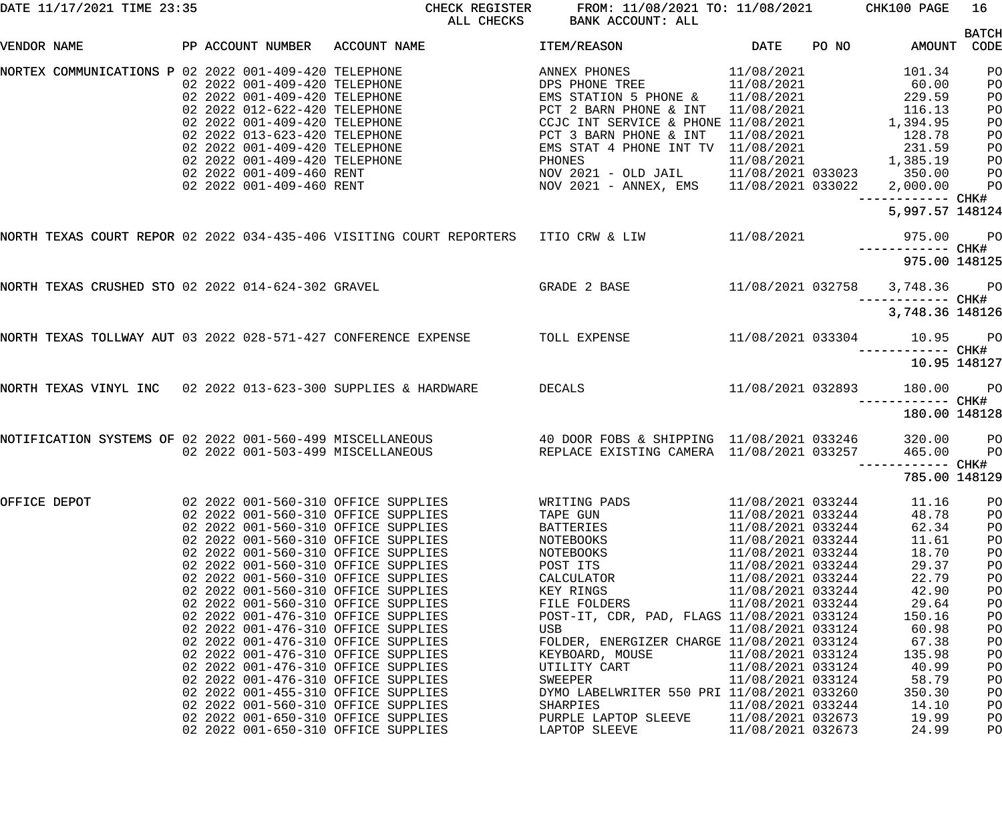|              | DATE 11/17/2021 TIME 23:35 |                                                                                                                                                                                                                                                                                                                                                      | CHECK REGISTER<br>ALL CHECKS                                                                                                                                                                                                                                                                                                                                                                                                                                                     | FROM: 11/08/2021 TO: 11/08/2021<br>BANK ACCOUNT: ALL                                                                                                                                                                                                                                                                                                                       |                                                                                                                                                                                                                                                                                                                                              |       | CHK100 PAGE                                                                                                                                                                | 16 <sup>1</sup>                                                                                                |
|--------------|----------------------------|------------------------------------------------------------------------------------------------------------------------------------------------------------------------------------------------------------------------------------------------------------------------------------------------------------------------------------------------------|----------------------------------------------------------------------------------------------------------------------------------------------------------------------------------------------------------------------------------------------------------------------------------------------------------------------------------------------------------------------------------------------------------------------------------------------------------------------------------|----------------------------------------------------------------------------------------------------------------------------------------------------------------------------------------------------------------------------------------------------------------------------------------------------------------------------------------------------------------------------|----------------------------------------------------------------------------------------------------------------------------------------------------------------------------------------------------------------------------------------------------------------------------------------------------------------------------------------------|-------|----------------------------------------------------------------------------------------------------------------------------------------------------------------------------|----------------------------------------------------------------------------------------------------------------|
| VENDOR NAME  |                            | PP ACCOUNT NUMBER ACCOUNT NAME                                                                                                                                                                                                                                                                                                                       |                                                                                                                                                                                                                                                                                                                                                                                                                                                                                  | ITEM/REASON                                                                                                                                                                                                                                                                                                                                                                | DATE                                                                                                                                                                                                                                                                                                                                         | PO NO | AMOUNT                                                                                                                                                                     | <b>BATCH</b><br>CODE                                                                                           |
|              |                            | NORTEX COMMUNICATIONS P 02 2022 001-409-420 TELEPHONE<br>02 2022 001-409-420 TELEPHONE<br>02 2022 001-409-420 TELEPHONE<br>02 2022 012-622-420 TELEPHONE<br>02 2022 001-409-420 TELEPHONE<br>02 2022 013-623-420 TELEPHONE<br>02 2022 001-409-420 TELEPHONE<br>02 2022 001-409-420 TELEPHONE<br>02 2022 001-409-460 RENT<br>02 2022 001-409-460 RENT |                                                                                                                                                                                                                                                                                                                                                                                                                                                                                  | ANNEX PHONES<br>DPS PHONE TREE<br>EMS STATION 5 PHONE &<br>PCT 2 BARN PHONE & INT<br>CCJC INT SERVICE & PHONE 11/08/2021<br>PCT 3 BARN PHONE & INT<br>EMS STAT 4 PHONE INT TV 11/08/2021<br>PHONES<br>NOV 2021 - OLD JAIL<br>NOV 2021 - ANNEX, EMS                                                                                                                         | 11/08/2021<br>11/08/2021<br>11/08/2021<br>11/08/2021<br>11/08/2021<br>11/08/2021<br>11/08/2021 033022                                                                                                                                                                                                                                        |       | 101.34<br>60.00<br>229.59<br>116.13<br>1,394.95<br>128.78<br>231.59<br>1,385.19<br>11/08/2021 033023 350.00<br>2,000.00<br>------------ CHK#<br>5,997.57 148124            | PO<br>PO<br>PO<br>PO<br>PO<br>PO<br>PO<br>PO<br>PO<br>PO                                                       |
|              |                            |                                                                                                                                                                                                                                                                                                                                                      | NORTH TEXAS COURT REPOR 02 2022 034-435-406 VISITING COURT REPORTERS   ITIO CRW & LIW               11/08/2021                                                                                                                                                                                                                                                                                                                                                                   |                                                                                                                                                                                                                                                                                                                                                                            |                                                                                                                                                                                                                                                                                                                                              |       | 975.00<br>------------ CHK#                                                                                                                                                | <b>PO</b>                                                                                                      |
|              |                            | NORTH TEXAS CRUSHED STO 02 2022 014-624-302 GRAVEL                                                                                                                                                                                                                                                                                                   | GRADE 2 BASE                                                                                                                                                                                                                                                                                                                                                                                                                                                                     | 11/08/2021 032758                                                                                                                                                                                                                                                                                                                                                          |                                                                                                                                                                                                                                                                                                                                              |       | 975.00 148125<br>3,748.36                                                                                                                                                  | <b>PO</b>                                                                                                      |
|              |                            |                                                                                                                                                                                                                                                                                                                                                      |                                                                                                                                                                                                                                                                                                                                                                                                                                                                                  |                                                                                                                                                                                                                                                                                                                                                                            |                                                                                                                                                                                                                                                                                                                                              |       | ------------ CHK#<br>3,748.36 148126                                                                                                                                       |                                                                                                                |
|              |                            |                                                                                                                                                                                                                                                                                                                                                      | NORTH TEXAS TOLLWAY AUT 03 2022 028-571-427 CONFERENCE EXPENSE                                                                                                                                                                                                                                                                                                                                                                                                                   | TOLL EXPENSE<br>$11/08/2021$ 033304                                                                                                                                                                                                                                                                                                                                        |                                                                                                                                                                                                                                                                                                                                              |       | 10.95 PO                                                                                                                                                                   |                                                                                                                |
|              |                            |                                                                                                                                                                                                                                                                                                                                                      | NORTH TEXAS VINYL INC 02 2022 013-623-300 SUPPLIES & HARDWARE                                                                                                                                                                                                                                                                                                                                                                                                                    | <b>DECALS</b>                                                                                                                                                                                                                                                                                                                                                              | 11/08/2021 032893                                                                                                                                                                                                                                                                                                                            |       | 10.95 148127<br>180.00                                                                                                                                                     | <b>PO</b>                                                                                                      |
|              |                            |                                                                                                                                                                                                                                                                                                                                                      | 033246/NOTIFICATION SYSTEMS OF 02 2022 001-560-499 MISCELLANEOUS 40 DOOR FOBS & SHIPPING 11/08<br>02 2022 001-503-499 MISCELLANEOUS REPLACE EXISTING CAMERA 11/08/2021 033257                                                                                                                                                                                                                                                                                                    |                                                                                                                                                                                                                                                                                                                                                                            |                                                                                                                                                                                                                                                                                                                                              |       | 180.00 148128<br>320.00<br>465.00<br>785.00 148129                                                                                                                         | PО<br>P <sub>O</sub>                                                                                           |
| OFFICE DEPOT |                            | 02 2022 001-476-310 OFFICE SUPPLIES<br>02 2022 001-476-310 OFFICE SUPPLIES<br>02 2022 001-476-310 OFFICE SUPPLIES<br>02 2022 001-476-310 OFFICE SUPPLIES<br>02 2022 001-476-310 OFFICE SUPPLIES<br>02 2022 001-455-310 OFFICE SUPPLIES<br>02 2022 001-650-310 OFFICE SUPPLIES                                                                        | 02 2022 001-560-310 OFFICE SUPPLIES<br>02 2022 001-560-310 OFFICE SUPPLIES<br>02 2022 001-560-310 OFFICE SUPPLIES<br>02 2022 001-560-310 OFFICE SUPPLIES<br>02 2022 001-560-310 OFFICE SUPPLIES<br>02 2022 001-560-310 OFFICE SUPPLIES<br>02 2022 001-560-310 OFFICE SUPPLIES<br>02 2022 001-560-310 OFFICE SUPPLIES<br>02 2022 001-560-310 OFFICE SUPPLIES<br>02 2022 001-476-310 OFFICE SUPPLIES<br>02 2022 001-560-310 OFFICE SUPPLIES<br>02 2022 001-650-310 OFFICE SUPPLIES | WRITING PADS<br>TAPE GUN<br>BATTERIES<br>NOTEBOOKS<br>NOTEBOOKS<br>POST ITS<br>CALCULATOR<br>KEY RINGS<br>FILE FOLDERS<br>POST-IT, CDR, PAD, FLAGS 11/08/2021 033124<br>USB<br>FOLDER, ENERGIZER CHARGE 11/08/2021 033124<br>KEYBOARD, MOUSE<br>UTILITY CART<br>SWEEPER<br>DYMO LABELWRITER 550 PRI 11/08/2021 033260<br>SHARPIES<br>PURPLE LAPTOP SLEEVE<br>LAPTOP SLEEVE | 11/08/2021 033244<br>11/08/2021 033244<br>11/08/2021 033244<br>11/08/2021 033244<br>11/08/2021 033244<br>11/08/2021 033244<br>11/08/2021 033244<br>11/08/2021 033244<br>11/08/2021 033244<br>11/08/2021 033124<br>11/08/2021 033124<br>11/08/2021 033124<br>11/08/2021 033124<br>11/08/2021 033244<br>11/08/2021 032673<br>11/08/2021 032673 |       | 11.16<br>48.78<br>62.34<br>11.61<br>18.70<br>29.37<br>22.79<br>42.90<br>29.64<br>150.16<br>60.98<br>67.38<br>135.98<br>40.99<br>58.79<br>350.30<br>14.10<br>19.99<br>24.99 | PO<br>PO<br>PO<br>PO<br>PO<br>PO<br>PO<br>PO<br>PO<br>PO<br>PO<br>PO<br>PO<br>PO<br>PO<br>PO<br>PO<br>PO<br>PO |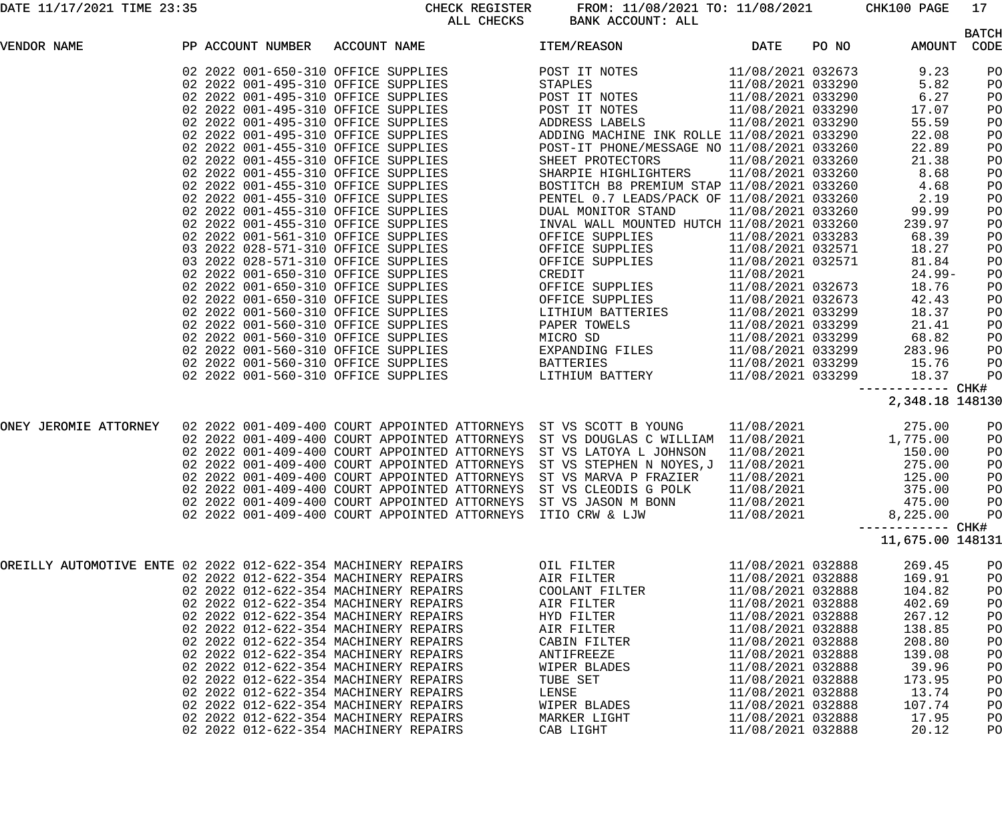DATE 11/17/2021 TIME 23:35 CHECK REGISTER FROM: 11/08/2021 TO: 11/08/2021 CHK100 PAGE 17 ALL CHECKS BANK ACCOUNT: ALL

|                                                               |  |                   |                                                                                  |                                            |                   |       |                  | <b>BATCH</b> |
|---------------------------------------------------------------|--|-------------------|----------------------------------------------------------------------------------|--------------------------------------------|-------------------|-------|------------------|--------------|
| VENDOR NAME                                                   |  | PP ACCOUNT NUMBER | ACCOUNT NAME                                                                     | ITEM/REASON                                | DATE              | PO NO | AMOUNT           | CODE         |
|                                                               |  |                   | 02 2022 001-650-310 OFFICE SUPPLIES                                              | POST IT NOTES                              | 11/08/2021 032673 |       | 9.23             | PO           |
|                                                               |  |                   | 02 2022 001-495-310 OFFICE SUPPLIES                                              | STAPLES                                    | 11/08/2021 033290 |       | 5.82             | PO           |
|                                                               |  |                   | 02 2022 001-495-310 OFFICE SUPPLIES                                              | POST IT NOTES                              | 11/08/2021 033290 |       | 6.27             | PO           |
|                                                               |  |                   | 02 2022 001-495-310 OFFICE SUPPLIES                                              | POST IT NOTES                              | 11/08/2021 033290 |       | 17.07            | PO           |
|                                                               |  |                   | 02 2022 001-495-310 OFFICE SUPPLIES                                              | ADDRESS LABELS                             | 11/08/2021 033290 |       | 55.59            | PO           |
|                                                               |  |                   | 02 2022 001-495-310 OFFICE SUPPLIES                                              | ADDING MACHINE INK ROLLE 11/08/2021 033290 |                   |       | 22.08            | PO           |
|                                                               |  |                   | 02 2022 001-455-310 OFFICE SUPPLIES                                              | POST-IT PHONE/MESSAGE NO 11/08/2021 033260 |                   |       | 22.89            | PO           |
|                                                               |  |                   | 02 2022 001-455-310 OFFICE SUPPLIES                                              | SHEET PROTECTORS                           | 11/08/2021 033260 |       | 21.38            | PO           |
|                                                               |  |                   | 02 2022 001-455-310 OFFICE SUPPLIES                                              | SHARPIE HIGHLIGHTERS 11/08/2021 033260     |                   |       | 8.68             | PO           |
|                                                               |  |                   | 02 2022 001-455-310 OFFICE SUPPLIES                                              | BOSTITCH B8 PREMIUM STAP 11/08/2021 033260 |                   |       | 4.68             | PO           |
|                                                               |  |                   | 02 2022 001-455-310 OFFICE SUPPLIES                                              | PENTEL 0.7 LEADS/PACK OF 11/08/2021 033260 |                   |       | 2.19             | PO           |
|                                                               |  |                   | 02 2022 001-455-310 OFFICE SUPPLIES                                              | DUAL MONITOR STAND                         | 11/08/2021 033260 |       | 99.99            | PO           |
|                                                               |  |                   | 02 2022 001-455-310 OFFICE SUPPLIES                                              | INVAL WALL MOUNTED HUTCH 11/08/2021 033260 |                   |       | 239.97           | PO           |
|                                                               |  |                   | 02 2022 001-561-310 OFFICE SUPPLIES                                              | OFFICE SUPPLIES                            | 11/08/2021 033283 |       | 68.39            | PO           |
|                                                               |  |                   | 03 2022 028-571-310 OFFICE SUPPLIES                                              | OFFICE SUPPLIES                            | 11/08/2021 032571 |       | 18.27            | PO           |
|                                                               |  |                   | 03 2022 028-571-310 OFFICE SUPPLIES                                              | OFFICE SUPPLIES                            | 11/08/2021 032571 |       | 81.84            | PO           |
|                                                               |  |                   | 02 2022 001-650-310 OFFICE SUPPLIES                                              | CREDIT                                     | 11/08/2021        |       | $24.99-$         | PO           |
|                                                               |  |                   | 02 2022 001-650-310 OFFICE SUPPLIES                                              | OFFICE SUPPLIES                            | 11/08/2021 032673 |       | 18.76            | PO           |
|                                                               |  |                   | 02 2022 001-650-310 OFFICE SUPPLIES                                              | OFFICE SUPPLIES                            | 11/08/2021 032673 |       | 42.43            | PO           |
|                                                               |  |                   | 02 2022 001-560-310 OFFICE SUPPLIES                                              | LITHIUM BATTERIES                          | 11/08/2021 033299 |       | 18.37            | PO           |
|                                                               |  |                   | 02 2022 001-560-310 OFFICE SUPPLIES                                              | PAPER TOWELS                               | 11/08/2021 033299 |       | 21.41            | PO           |
|                                                               |  |                   | 02 2022 001-560-310 OFFICE SUPPLIES                                              | MICRO SD                                   | 11/08/2021 033299 |       | 68.82            | PO           |
|                                                               |  |                   | 02 2022 001-560-310 OFFICE SUPPLIES                                              | EXPANDING FILES                            | 11/08/2021 033299 |       | 283.96           | PO           |
|                                                               |  |                   | 02 2022 001-560-310 OFFICE SUPPLIES                                              | BATTERIES                                  | 11/08/2021 033299 |       | 15.76            | PO           |
|                                                               |  |                   | 02 2022 001-560-310 OFFICE SUPPLIES                                              | LITHIUM BATTERY                            | 11/08/2021 033299 |       | 18.37            | PO           |
|                                                               |  |                   |                                                                                  |                                            |                   |       | ------------     | CHK#         |
|                                                               |  |                   |                                                                                  |                                            |                   |       | 2,348.18 148130  |              |
| ONEY JEROMIE ATTORNEY                                         |  |                   | 02 2022 001-409-400 COURT APPOINTED ATTORNEYS ST VS SCOTT B YOUNG                |                                            | 11/08/2021        |       | 275.00           | PO           |
|                                                               |  |                   | 02 2022 001-409-400 COURT APPOINTED ATTORNEYS ST VS DOUGLAS C WILLIAM 11/08/2021 |                                            |                   |       | 1,775.00         | PO           |
|                                                               |  |                   | 02 2022 001-409-400 COURT APPOINTED ATTORNEYS                                    | ST VS LATOYA L JOHNSON                     | 11/08/2021        |       |                  | PO           |
|                                                               |  |                   | 02 2022 001-409-400 COURT APPOINTED ATTORNEYS                                    | ST VS STEPHEN N NOYES, J 11/08/2021        |                   |       | 150.00<br>275.00 | PO           |
|                                                               |  |                   | 02 2022 001-409-400 COURT APPOINTED ATTORNEYS                                    | ST VS MARVA P FRAZIER                      | 11/08/2021        |       | 125.00           | PO           |
|                                                               |  |                   | 02 2022 001-409-400 COURT APPOINTED ATTORNEYS                                    | ST VS CLEODIS G POLK                       | 11/08/2021        |       | 375.00           | PO           |
|                                                               |  |                   | 02 2022 001-409-400 COURT APPOINTED ATTORNEYS ST VS JASON M BONN                 |                                            | 11/08/2021        |       | 475.00           | PO           |
|                                                               |  |                   | 02 2022 001-409-400 COURT APPOINTED ATTORNEYS ITIO CRW & LJW                     |                                            | 11/08/2021        |       | 8,225.00         | PO           |
|                                                               |  |                   |                                                                                  |                                            |                   |       | ------------     | CHK#         |
|                                                               |  |                   |                                                                                  |                                            |                   |       | 11,675.00 148131 |              |
| OREILLY AUTOMOTIVE ENTE 02 2022 012-622-354 MACHINERY REPAIRS |  |                   |                                                                                  | OIL FILTER                                 | 11/08/2021 032888 |       | 269.45           | PO           |
|                                                               |  |                   | 02 2022 012-622-354 MACHINERY REPAIRS                                            | AIR FILTER                                 | 11/08/2021 032888 |       | 169.91           | PO           |
|                                                               |  |                   | 02 2022 012-622-354 MACHINERY REPAIRS                                            | COOLANT FILTER                             | 11/08/2021 032888 |       | 104.82           | PO           |
|                                                               |  |                   | 02 2022 012-622-354 MACHINERY REPAIRS                                            | AIR FILTER                                 | 11/08/2021 032888 |       | 402.69           | PO           |
|                                                               |  |                   | 02 2022 012-622-354 MACHINERY REPAIRS                                            | HYD FILTER                                 | 11/08/2021 032888 |       | 267.12           | PO           |
|                                                               |  |                   | 02 2022 012-622-354 MACHINERY REPAIRS                                            | AIR FILTER                                 | 11/08/2021 032888 |       | 138.85           | PO           |
|                                                               |  |                   | 02 2022 012-622-354 MACHINERY REPAIRS                                            | CABIN FILTER                               | 11/08/2021 032888 |       | 208.80           | PO           |
|                                                               |  |                   | 02 2022 012-622-354 MACHINERY REPAIRS                                            | ANTIFREEZE                                 | 11/08/2021 032888 |       | 139.08           | PO           |
|                                                               |  |                   | 02 2022 012-622-354 MACHINERY REPAIRS                                            | WIPER BLADES                               | 11/08/2021 032888 |       | 39.96            | PO           |
|                                                               |  |                   | 02 2022 012-622-354 MACHINERY REPAIRS                                            | TUBE SET                                   | 11/08/2021 032888 |       | 173.95           | PO           |
|                                                               |  |                   | 02 2022 012-622-354 MACHINERY REPAIRS                                            | LENSE                                      | 11/08/2021 032888 |       | 13.74            | PO           |
|                                                               |  |                   | 02 2022 012-622-354 MACHINERY REPAIRS                                            | WIPER BLADES                               | 11/08/2021 032888 |       | 107.74           | PO           |
|                                                               |  |                   | 02 2022 012-622-354 MACHINERY REPAIRS                                            | MARKER LIGHT                               | 11/08/2021 032888 |       | 17.95            | PO           |
|                                                               |  |                   | 02 2022 012-622-354 MACHINERY REPAIRS                                            | CAB LIGHT                                  | 11/08/2021 032888 |       | 20.12            | PO           |
|                                                               |  |                   |                                                                                  |                                            |                   |       |                  |              |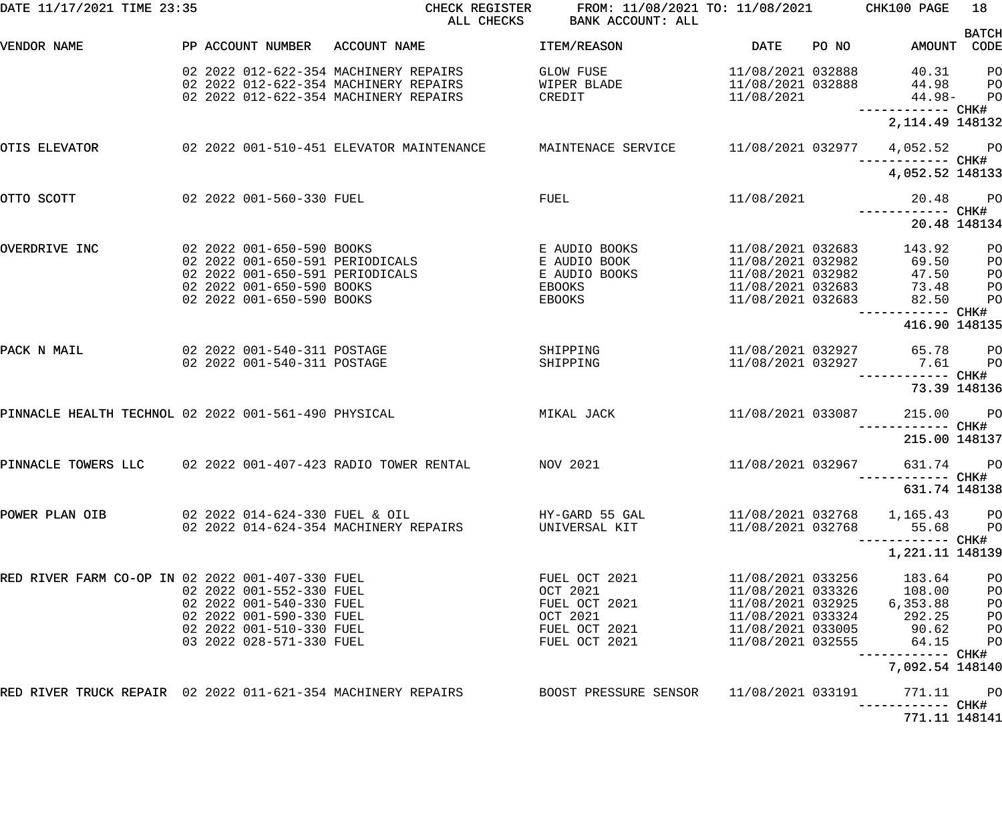| DATE 11/17/2021 TIME 23:35                                   |                                                                                                                                          | CHECK REGISTER<br>ALL CHECKS                                       | FROM: 11/08/2021 TO: 11/08/2021 CHK100 PAGE<br>BANK ACCOUNT: ALL                         |                                                                                                                            |       |                                                                 | 18                                                                                     |
|--------------------------------------------------------------|------------------------------------------------------------------------------------------------------------------------------------------|--------------------------------------------------------------------|------------------------------------------------------------------------------------------|----------------------------------------------------------------------------------------------------------------------------|-------|-----------------------------------------------------------------|----------------------------------------------------------------------------------------|
| VENDOR NAME                                                  | PP ACCOUNT NUMBER ACCOUNT NAME                                                                                                           |                                                                    | ITEM/REASON                                                                              | DATE                                                                                                                       | PO NO | AMOUNT CODE                                                     | <b>BATCH</b>                                                                           |
|                                                              | 02 2022 012-622-354 MACHINERY REPAIRS<br>02  2022  012-622-354  MACHINERY REPAIRS<br>02 2022 012-622-354 MACHINERY REPAIRS               | CREDIT                                                             | GLOW FUSE<br>WIPER BLADE                                                                 | 11/08/2021 032888<br>11/08/2021 032888<br>11/08/2021                                                                       |       | 40.31 PO<br>44.98 PO<br>44.98- PO                               |                                                                                        |
|                                                              |                                                                                                                                          |                                                                    |                                                                                          |                                                                                                                            |       | 2,114.49 148132                                                 |                                                                                        |
| OTIS ELEVATOR                                                |                                                                                                                                          | 02  2022  001-510-451  ELEVATOR MAINTENANCE  MAINTENACE SERVICE    |                                                                                          | 11/08/2021 032977 4,052.52 PO                                                                                              |       |                                                                 |                                                                                        |
|                                                              |                                                                                                                                          |                                                                    |                                                                                          |                                                                                                                            |       | 4,052.52 148133                                                 |                                                                                        |
| OTTO SCOTT                                                   | 02 2022 001-560-330 FUEL                                                                                                                 |                                                                    | FUEL                                                                                     | 11/08/2021                                                                                                                 |       | 20.48<br>------------ CHK#                                      | <b>PO</b>                                                                              |
|                                                              |                                                                                                                                          |                                                                    |                                                                                          |                                                                                                                            |       | 20.48 148134                                                    |                                                                                        |
| OVERDRIVE INC                                                | 02 2022 001-650-590 BOOKS<br>02 2022 001-650-591 PERIODICALS<br>02 2022 001-650-590 BOOKS<br>02 2022 001-650-590 BOOKS                   | 02  2022  001-650-590  BOOKS<br>02  2022  001-650-591  PERIODICALS | E AUDIO BOOKS<br>E AUDIO BOOK<br>E AUDIO BOOKS<br>EBOOKS<br><b>EBOOKS EBOOKS</b>         | 11/08/2021 032683<br>11/08/2021 032982<br>11/08/2021 032982<br>11/08/2021 032683<br>11/08/2021 032683                      |       | 143.92<br>69.50<br>47.50<br>73.48<br>82.50<br>------------ CHK# | P <sub>O</sub><br>P <sub>O</sub><br>P <sub>O</sub><br>P <sub>O</sub><br>P <sub>O</sub> |
|                                                              |                                                                                                                                          |                                                                    |                                                                                          |                                                                                                                            |       | 416.90 148135                                                   |                                                                                        |
| PACK N MAIL                                                  | 02 2022 001-540-311 POSTAGE<br>02 2022 001-540-311 POSTAGE                                                                               |                                                                    | SHIPPING<br>SHIPPING                                                                     | 11/08/2021 032927                                                                                                          |       | 11/08/2021 032927 65.78 PO<br>7.61                              | <b>PO</b>                                                                              |
|                                                              |                                                                                                                                          |                                                                    |                                                                                          |                                                                                                                            |       | ------------ CHK#<br>73.39 148136                               |                                                                                        |
|                                                              |                                                                                                                                          | PINNACLE HEALTH TECHNOL 02 2022 001-561-490 PHYSICAL               | MIKAL JACK                                                                               | 11/08/2021 033087                                                                                                          |       | 215.00                                                          | <b>PO</b>                                                                              |
|                                                              |                                                                                                                                          |                                                                    |                                                                                          |                                                                                                                            |       | 215.00 148137                                                   |                                                                                        |
| PINNACLE TOWERS LLC                                          | 02 2022 001-407-423 RADIO TOWER RENTAL                                                                                                   |                                                                    | 11/08/2021 032967<br>NOV 2021                                                            |                                                                                                                            |       | 631.74                                                          | <b>PO</b>                                                                              |
|                                                              |                                                                                                                                          |                                                                    |                                                                                          |                                                                                                                            |       | 631.74 148138                                                   |                                                                                        |
| POWER PLAN OIB                                               | 02 2022 014-624-354 MACHINERY REPAIRS                                                                                                    |                                                                    | UNIVERSAL KIT                                                                            | 11/08/2021 032768                                                                                                          |       | 11/08/2021 032768 1,165.43 PO<br>55.68 PO                       |                                                                                        |
|                                                              |                                                                                                                                          |                                                                    |                                                                                          |                                                                                                                            |       | 1,221.11 148139                                                 |                                                                                        |
| RED RIVER FARM CO-OP IN 02 2022 001-407-330 FUEL             | 02 2022 001-552-330 FUEL<br>02 2022 001-540-330 FUEL<br>02 2022 001-590-330 FUEL<br>02 2022 001-510-330 FUEL<br>03 2022 028-571-330 FUEL |                                                                    | FUEL OCT 2021<br>OCT 2021<br>FUEL OCT 2021<br>OCT 2021<br>FUEL OCT 2021<br>FUEL OCT 2021 | 11/08/2021 033256<br>11/08/2021 033326<br>11/08/2021 032925<br>11/08/2021 033324<br>11/08/2021 033005<br>11/08/2021 032555 |       | 183.64<br>108.00<br>6,353.88<br>292.25<br>90.62<br>64.15        | PO<br>PO<br>PO<br>PO<br>PО<br>P <sub>O</sub>                                           |
|                                                              |                                                                                                                                          |                                                                    |                                                                                          |                                                                                                                            |       | 7,092.54 148140                                                 |                                                                                        |
| RED RIVER TRUCK REPAIR 02 2022 011-621-354 MACHINERY REPAIRS |                                                                                                                                          |                                                                    | BOOST PRESSURE SENSOR                                                                    | 11/08/2021 033191                                                                                                          |       | 771.11                                                          | $P$ O                                                                                  |
|                                                              |                                                                                                                                          |                                                                    |                                                                                          |                                                                                                                            |       | 771.11 148141                                                   |                                                                                        |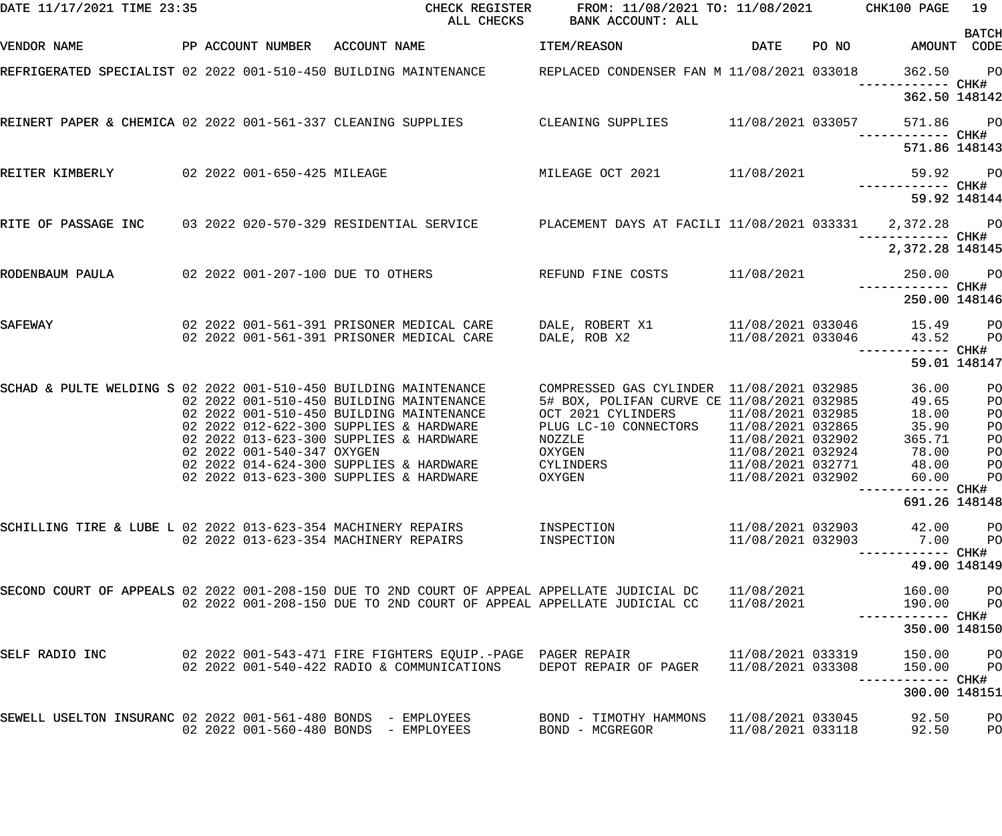| DATE 11/17/2021 TIME 23:35                                       |                             | CHECK REGISTER<br>ALL CHECKS                                                                                                                                               | FROM: 11/08/2021 TO: 11/08/2021 CHK100 PAGE<br>BANK ACCOUNT: ALL                                                                                 |                                                             |       |                                            | 19<br><b>BATCH</b>               |
|------------------------------------------------------------------|-----------------------------|----------------------------------------------------------------------------------------------------------------------------------------------------------------------------|--------------------------------------------------------------------------------------------------------------------------------------------------|-------------------------------------------------------------|-------|--------------------------------------------|----------------------------------|
| VENDOR NAME                                                      |                             | PP ACCOUNT NUMBER ACCOUNT NAME                                                                                                                                             | ITEM/REASON                                                                                                                                      | DATE                                                        | PO NO | AMOUNT CODE                                |                                  |
|                                                                  |                             | REFRIGERATED SPECIALIST 02 2022 001-510-450 BUILDING MAINTENANCE REPLACED CONDENSER FAN M 11/08/2021 033018                                                                |                                                                                                                                                  |                                                             |       | 362.50<br>------------ CHK#                | <b>PO</b>                        |
|                                                                  |                             |                                                                                                                                                                            |                                                                                                                                                  |                                                             |       | 362.50 148142                              |                                  |
|                                                                  |                             | REINERT PAPER & CHEMICA 02 2022 001-561-337 CLEANING SUPPLIES CLEANING SUPPLIES 11/08/2021 033057                                                                          |                                                                                                                                                  |                                                             |       | 571.86<br>------------ CHK#                | <b>PO</b>                        |
|                                                                  |                             |                                                                                                                                                                            |                                                                                                                                                  |                                                             |       | 571.86 148143                              |                                  |
| REITER KIMBERLY                                                  | 02 2022 001-650-425 MILEAGE |                                                                                                                                                                            | MILEAGE OCT 2021 11/08/2021                                                                                                                      |                                                             |       | 59.92<br>------------ CHK#                 | <b>PO</b>                        |
|                                                                  |                             |                                                                                                                                                                            |                                                                                                                                                  |                                                             |       |                                            | 59.92 148144                     |
| RITE OF PASSAGE INC                                              |                             | 03 2022 020-570-329 RESIDENTIAL SERVICE PLACEMENT DAYS AT FACILI 11/08/2021 033331 2,372.28                                                                                |                                                                                                                                                  |                                                             |       | ------------ CHK#                          | <b>PO</b>                        |
|                                                                  |                             |                                                                                                                                                                            |                                                                                                                                                  |                                                             |       | 2,372.28 148145                            |                                  |
| RODENBAUM PAULA                                                  |                             | 02 2022 001-207-100 DUE TO OTHERS                                                                                                                                          | REFUND FINE COSTS                                                                                                                                | 11/08/2021                                                  |       | 250.00<br>------------ CHK#                | $P$ O                            |
|                                                                  |                             |                                                                                                                                                                            |                                                                                                                                                  |                                                             |       | 250.00 148146                              |                                  |
| SAFEWAY                                                          |                             | 02 2022 001-561-391 PRISONER MEDICAL CARE<br>02 2022 001-561-391 PRISONER MEDICAL CARE                                                                                     | DALE, ROBERT X1<br>DALE, ROB X2                                                                                                                  | 11/08/2021 033046<br>11/08/2021 033046                      |       | 15.49<br>43.52                             | P <sub>O</sub><br>P <sub>O</sub> |
|                                                                  |                             |                                                                                                                                                                            |                                                                                                                                                  |                                                             |       | ------ CHK#                                | 59.01 148147                     |
| SCHAD & PULTE WELDING S 02 2022 001-510-450 BUILDING MAINTENANCE |                             | 02 2022 001-510-450 BUILDING MAINTENANCE<br>02 2022 001-510-450 BUILDING MAINTENANCE<br>02 2022 012-622-300 SUPPLIES & HARDWARE<br>02 2022 013-623-300 SUPPLIES & HARDWARE | COMPRESSED GAS CYLINDER 11/08/2021 032985<br>5# BOX, POLIFAN CURVE CE 11/08/2021 032985<br>OCT 2021 CYLINDERS<br>PLUG LC-10 CONNECTORS<br>NOZZLE | 11/08/2021 032985<br>11/08/2021 032865<br>11/08/2021 032902 |       | 36.00<br>49.65<br>18.00<br>35.90<br>365.71 | PO<br>PO<br>PO<br>PO<br>PO       |
|                                                                  | 02 2022 001-540-347 OXYGEN  | 02 2022 014-624-300 SUPPLIES & HARDWARE<br>02 2022 013-623-300 SUPPLIES & HARDWARE                                                                                         | OXYGEN<br>CYLINDERS<br>OXYGEN                                                                                                                    | 11/08/2021 032924<br>11/08/2021 032771<br>11/08/2021 032902 |       | 78.00<br>48.00<br>60.00                    | PO<br>PO<br>$P$ O                |
|                                                                  |                             |                                                                                                                                                                            |                                                                                                                                                  |                                                             |       | --------- CHK#<br>691.26 148148            |                                  |
| SCHILLING TIRE & LUBE L 02 2022 013-623-354 MACHINERY REPAIRS    |                             | 02 2022 013-623-354 MACHINERY REPAIRS                                                                                                                                      | INSPECTION<br>INSPECTION                                                                                                                         | 11/08/2021 032903<br>11/08/2021 032903                      |       | 42.00<br>7.00<br>------------ CHK#         | P <sub>O</sub><br>P <sub>O</sub> |
|                                                                  |                             |                                                                                                                                                                            |                                                                                                                                                  |                                                             |       |                                            | 49.00 148149                     |
|                                                                  |                             | SECOND COURT OF APPEALS 02 2022 001-208-150 DUE TO 2ND COURT OF APPEAL APPELLATE JUDICIAL DC<br>02 2022 001-208-150 DUE TO 2ND COURT OF APPEAL APPELLATE JUDICIAL CC       |                                                                                                                                                  | 11/08/2021<br>11/08/2021                                    |       | 160.00<br>190.00                           | P <sub>O</sub><br>P <sub>O</sub> |
|                                                                  |                             |                                                                                                                                                                            |                                                                                                                                                  |                                                             |       | 350.00 148150                              |                                  |
| SELF RADIO INC                                                   |                             | 02   2022   001-543-471   FIRE FIGHTERS   EQUIP.-PAGE   PAGER                REPAIR<br>02 2022 001-540-422 RADIO & COMMUNICATIONS                                          | DEPOT REPAIR OF PAGER                                                                                                                            | 11/08/2021 033319<br>11/08/2021 033308                      |       | 150.00<br>150.00                           | P <sub>O</sub><br>P <sub>O</sub> |
|                                                                  |                             |                                                                                                                                                                            |                                                                                                                                                  |                                                             |       | 300.00 148151                              |                                  |
| SEWELL USELTON INSURANC 02 2022 001-561-480 BONDS - EMPLOYEES    |                             | 02 2022 001-560-480 BONDS - EMPLOYEES                                                                                                                                      | BOND - TIMOTHY HAMMONS<br>BOND - MCGREGOR                                                                                                        | 11/08/2021 033045<br>11/08/2021 033118                      |       | 92.50<br>92.50                             | PO<br>PO                         |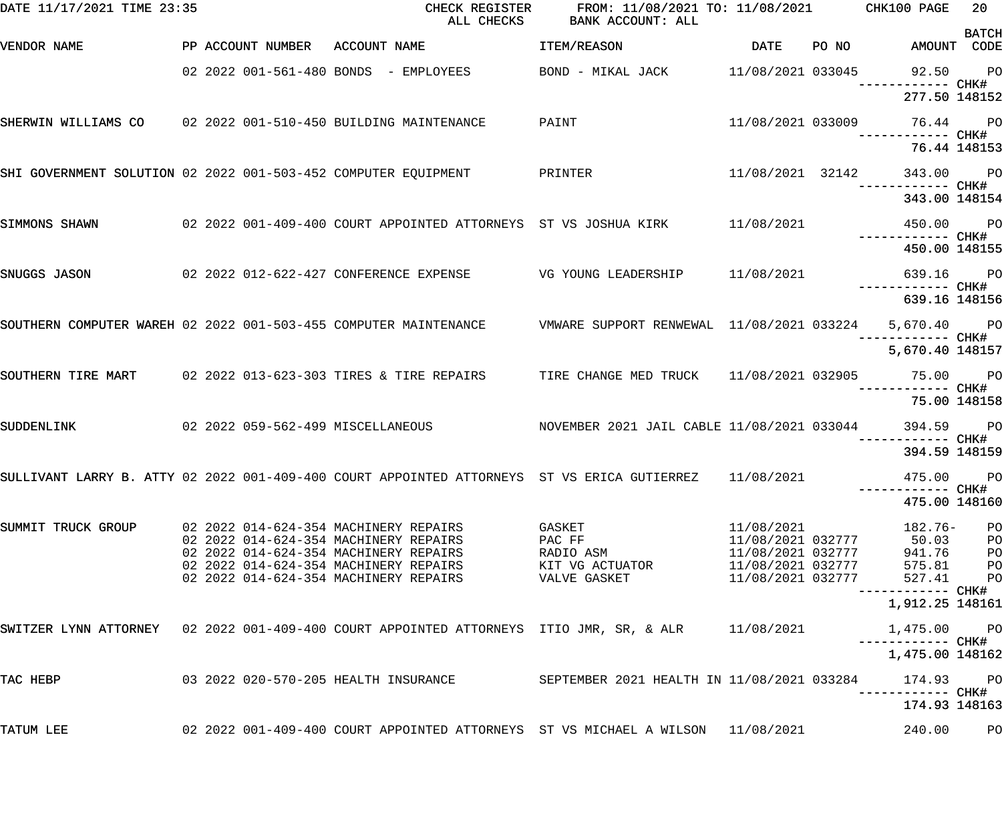| DATE 11/17/2021 TIME 23:35                                                                                   |  |                                                                                                                                                                                                           | CHECK REGISTER FROM: 11/08/2021 TO: 11/08/2021 CHK100 PAGE<br>ALL CHECKS        | BANK ACCOUNT: ALL                                                |                                                                                                                     |                                                                  | 20                                              |
|--------------------------------------------------------------------------------------------------------------|--|-----------------------------------------------------------------------------------------------------------------------------------------------------------------------------------------------------------|---------------------------------------------------------------------------------|------------------------------------------------------------------|---------------------------------------------------------------------------------------------------------------------|------------------------------------------------------------------|-------------------------------------------------|
| VENDOR NAME                                                                                                  |  |                                                                                                                                                                                                           | PP ACCOUNT NUMBER ACCOUNT NAME                                                  | ITEM/REASON                                                      | DATE PONO                                                                                                           | AMOUNT CODE                                                      | <b>BATCH</b>                                    |
|                                                                                                              |  |                                                                                                                                                                                                           | 02 2022 001-561-480 BONDS - EMPLOYEES BOND - MIKAL JACK 11/08/2021 033045       |                                                                  |                                                                                                                     | 92.50 PO                                                         |                                                 |
|                                                                                                              |  |                                                                                                                                                                                                           |                                                                                 |                                                                  |                                                                                                                     | 277.50 148152                                                    |                                                 |
| SHERWIN WILLIAMS CO 02 2022 001-510-450 BUILDING MAINTENANCE                                                 |  |                                                                                                                                                                                                           |                                                                                 | PAINT                                                            | 11/08/2021 033009                                                                                                   | 76.44 PO                                                         |                                                 |
|                                                                                                              |  |                                                                                                                                                                                                           |                                                                                 |                                                                  |                                                                                                                     | 76.44 148153                                                     |                                                 |
| SHI GOVERNMENT SOLUTION 02 2022 001-503-452 COMPUTER EQUIPMENT PRINTER                                       |  |                                                                                                                                                                                                           |                                                                                 |                                                                  | 11/08/2021 32142                                                                                                    | 343.00 PO                                                        |                                                 |
|                                                                                                              |  |                                                                                                                                                                                                           |                                                                                 |                                                                  |                                                                                                                     | 343.00 148154                                                    |                                                 |
| SIMMONS SHAWN                                                                                                |  |                                                                                                                                                                                                           | 02  2022  001-409-400  COURT APPOINTED ATTORNEYS  ST VS JOSHUA KIRK  11/08/2021 |                                                                  |                                                                                                                     | 450.00 PO                                                        |                                                 |
|                                                                                                              |  |                                                                                                                                                                                                           |                                                                                 |                                                                  |                                                                                                                     | 450.00 148155                                                    |                                                 |
| SNUGGS JASON 62 2022 012-622-427 CONFERENCE EXPENSE 6 7 VG YOUNG LEADERSHIP 11/08/2021                       |  |                                                                                                                                                                                                           |                                                                                 |                                                                  |                                                                                                                     | 639.16 PO<br>------------ CHK#                                   |                                                 |
|                                                                                                              |  |                                                                                                                                                                                                           |                                                                                 |                                                                  |                                                                                                                     | 639.16 148156                                                    |                                                 |
| SOUTHERN COMPUTER WAREH 02 2022 001-503-455 COMPUTER MAINTENANCE WAWARE SUPPORT RENWEWAL 11/08/2021 033224   |  |                                                                                                                                                                                                           |                                                                                 |                                                                  |                                                                                                                     | 5,670.40 PO                                                      |                                                 |
|                                                                                                              |  |                                                                                                                                                                                                           |                                                                                 |                                                                  |                                                                                                                     | 5,670.40 148157                                                  |                                                 |
| SOUTHERN TIRE MART 02 2022 013-623-303 TIRES & TIRE REPAIRS TIRE CHANGE MED TRUCK 11/08/2021 032905 75.00 PO |  |                                                                                                                                                                                                           |                                                                                 |                                                                  |                                                                                                                     |                                                                  |                                                 |
|                                                                                                              |  |                                                                                                                                                                                                           |                                                                                 |                                                                  |                                                                                                                     | 75.00 148158                                                     |                                                 |
| SUDDENLINK                                                                                                   |  |                                                                                                                                                                                                           |                                                                                 |                                                                  |                                                                                                                     | 394.59 PO                                                        |                                                 |
|                                                                                                              |  |                                                                                                                                                                                                           |                                                                                 |                                                                  |                                                                                                                     | 394.59 148159                                                    |                                                 |
| SULLIVANT LARRY B. ATTY 02 2022 001-409-400 COURT APPOINTED ATTORNEYS ST VS ERICA GUTIERREZ 11/08/2021       |  |                                                                                                                                                                                                           |                                                                                 |                                                                  |                                                                                                                     | 475.00 PO                                                        |                                                 |
|                                                                                                              |  |                                                                                                                                                                                                           |                                                                                 |                                                                  |                                                                                                                     | 475.00 148160                                                    |                                                 |
| SUMMIT TRUCK GROUP                                                                                           |  | 02 2022 014-624-354 MACHINERY REPAIRS<br>02 2022 014-624-354 MACHINERY REPAIRS<br>02 2022 014-624-354 MACHINERY REPAIRS<br>02 2022 014-624-354 MACHINERY REPAIRS<br>02 2022 014-624-354 MACHINERY REPAIRS |                                                                                 | GASKET<br>PAC FF<br>RADIO ASM<br>KIT VG ACTUATOR<br>VALVE GASKET | 11/08/2021<br>11/08/2021 032777<br>11/08/2021 032777<br>11/08/2021 032777<br>11/08/2021 032777<br>11/08/2021 032777 | 182.76-<br>11/08/2021 032777 50.03<br>941.76<br>575.81<br>527.41 | PO<br>PО<br>PО<br>$_{\rm PO}$<br>P <sub>O</sub> |
|                                                                                                              |  |                                                                                                                                                                                                           |                                                                                 |                                                                  |                                                                                                                     | 1,912.25 148161                                                  |                                                 |
| SWITZER LYNN ATTORNEY 02 2022 001-409-400 COURT APPOINTED ATTORNEYS ITIO JMR, SR, & ALR 11/08/2021           |  |                                                                                                                                                                                                           |                                                                                 |                                                                  |                                                                                                                     | 1,475.00<br>------------ CHK#                                    | <b>PO</b>                                       |
|                                                                                                              |  |                                                                                                                                                                                                           |                                                                                 |                                                                  |                                                                                                                     | 1,475.00 148162                                                  |                                                 |
| TAC HEBP                                                                                                     |  | 03 2022 020-570-205 HEALTH INSURANCE                                                                                                                                                                      |                                                                                 | SEPTEMBER 2021 HEALTH IN 11/08/2021 033284                       |                                                                                                                     | 174.93                                                           | <b>PO</b>                                       |
|                                                                                                              |  |                                                                                                                                                                                                           |                                                                                 |                                                                  |                                                                                                                     | 174.93 148163                                                    |                                                 |
| TATUM LEE                                                                                                    |  |                                                                                                                                                                                                           | 02 2022 001-409-400 COURT APPOINTED ATTORNEYS ST VS MICHAEL A WILSON 11/08/2021 |                                                                  |                                                                                                                     | 240.00                                                           | PO                                              |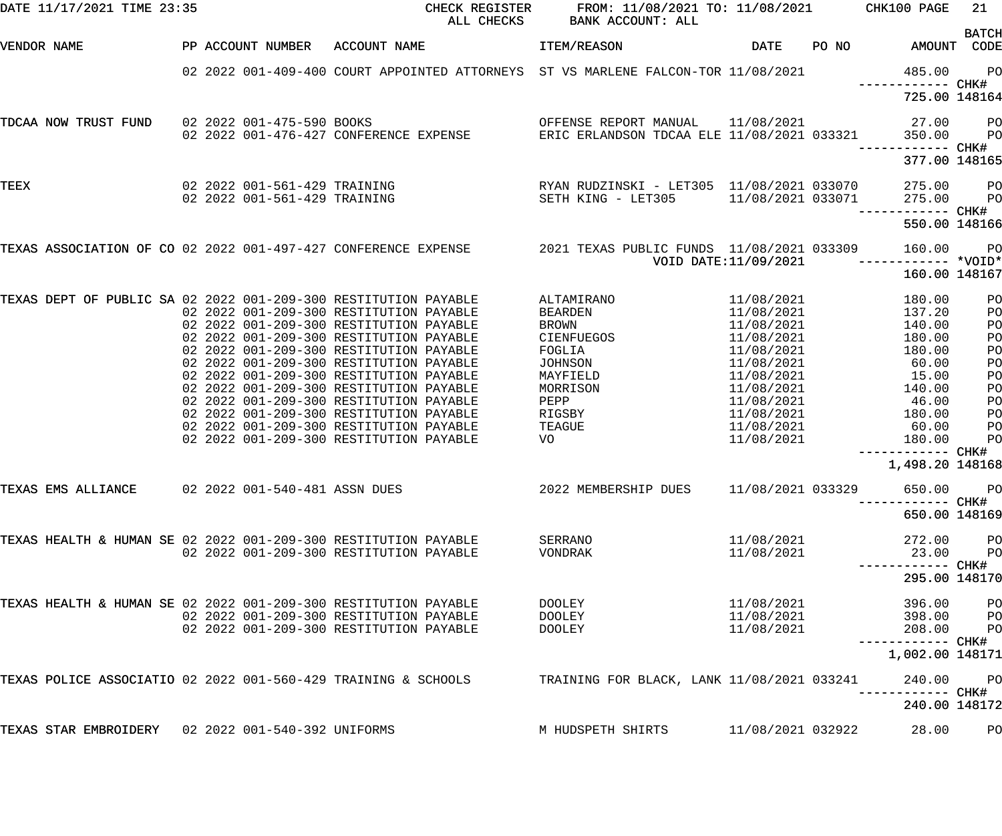| DATE 11/17/2021 TIME 23:35                                      |                                |                                                                                                          | CHECK REGISTER FROM: 11/08/2021 TO: 11/08/2021 CHK100 PAGE<br>ALL CHECKS BANK ACCOUNT: ALL                    |                      |                                     | 21             |
|-----------------------------------------------------------------|--------------------------------|----------------------------------------------------------------------------------------------------------|---------------------------------------------------------------------------------------------------------------|----------------------|-------------------------------------|----------------|
| VENDOR NAME                                                     | PP ACCOUNT NUMBER ACCOUNT NAME |                                                                                                          | ITEM/REASON                                                                                                   | DATE                 | PO NO AMOUNT CODE                   | <b>BATCH</b>   |
|                                                                 |                                | 02 2022 001-409-400 COURT APPOINTED ATTORNEYS ST VS MARLENE FALCON-TOR 11/08/2021                        |                                                                                                               |                      | 485.00<br>------------ CHK#         | $P$ O          |
|                                                                 |                                |                                                                                                          |                                                                                                               |                      | 725.00 148164                       |                |
| TDCAA NOW TRUST FUND                                            | 02 2022 001-475-590 BOOKS      |                                                                                                          | OFFENSE REPORT MANUAL                                                                                         |                      | 11/08/2021 27.00                    | <b>PO</b>      |
|                                                                 |                                | 02  2022  001-476-427  CONFERENCE EXPENSE                                                                | ERIC ERLANDSON TDCAA ELE 11/08/2021 033321                                                                    |                      | 350.00                              | $P$ O          |
|                                                                 |                                |                                                                                                          |                                                                                                               |                      | 377.00 148165                       |                |
| TEEX                                                            |                                |                                                                                                          |                                                                                                               |                      | 275.00 PO                           |                |
|                                                                 | 02 2022 001-561-429 TRAINING   |                                                                                                          | SETH KING - LET305 11/08/2021 033071 275.00                                                                   |                      | ------------ CHK#                   | P <sub>O</sub> |
|                                                                 |                                |                                                                                                          |                                                                                                               |                      | 550.00 148166                       |                |
|                                                                 |                                | TEXAS ASSOCIATION OF CO 02 2022 001-497-427 CONFERENCE EXPENSE 2021 TEXAS PUBLIC FUNDS 11/08/2021 033309 |                                                                                                               |                      | 160.00                              | <b>PO</b>      |
|                                                                 |                                |                                                                                                          |                                                                                                               | VOID DATE:11/09/2021 | -------------<br>160.00 148167      | *VOID*         |
|                                                                 |                                |                                                                                                          |                                                                                                               |                      |                                     |                |
| TEXAS DEPT OF PUBLIC SA 02 2022 001-209-300 RESTITUTION PAYABLE |                                |                                                                                                          | ALTAMIRANO                                                                                                    | 11/08/2021           | 180.00                              | PO             |
|                                                                 |                                | 02 2022 001-209-300 RESTITUTION PAYABLE                                                                  | BEARDEN                                                                                                       | 11/08/2021           | 137.20                              | P <sub>O</sub> |
|                                                                 |                                | 02 2022 001-209-300 RESTITUTION PAYABLE                                                                  | BROWN                                                                                                         | 11/08/2021           | 140.00                              | P <sub>O</sub> |
|                                                                 |                                | 02 2022 001-209-300 RESTITUTION PAYABLE                                                                  | <b>CIENFUEGOS</b>                                                                                             | 11/08/2021           | 180.00                              | P <sub>O</sub> |
|                                                                 |                                | 02 2022 001-209-300 RESTITUTION PAYABLE                                                                  | FOGLIA                                                                                                        | 11/08/2021           | 180.00                              | PO             |
|                                                                 |                                | 02 2022 001-209-300 RESTITUTION PAYABLE                                                                  | JOHNSON                                                                                                       |                      | 11/08/2021 60.00                    | PO             |
|                                                                 |                                | 02 2022 001-209-300 RESTITUTION PAYABLE                                                                  | MAYFIELD                                                                                                      |                      | 11/08/2021 15.00                    | PO             |
|                                                                 |                                | 02 2022 001-209-300 RESTITUTION PAYABLE                                                                  | MORRISON                                                                                                      |                      | 11/08/2021 140.00                   | P <sub>O</sub> |
|                                                                 |                                | 02 2022 001-209-300 RESTITUTION PAYABLE                                                                  | PEPP FOR THE STATE OF THE STATE OF THE STATE OF THE STATE OF THE STATE OF THE STATE OF THE STATE OF THE STATE |                      | 11/08/2021 46.00                    | PO             |
|                                                                 |                                | 02 2022 001-209-300 RESTITUTION PAYABLE                                                                  | RIGSBY                                                                                                        | 11/08/2021           | 180.00                              | PO             |
|                                                                 |                                | 02 2022 001-209-300 RESTITUTION PAYABLE                                                                  | TEAGUE                                                                                                        |                      | 11/08/2021 60.00                    | PO             |
|                                                                 |                                | 02 2022 001-209-300 RESTITUTION PAYABLE                                                                  | VO                                                                                                            | 11/08/2021           | 180.00                              | PO             |
|                                                                 |                                |                                                                                                          |                                                                                                               |                      | 1,498.20 148168                     |                |
| TEXAS EMS ALLIANCE                                              | 02 2022 001-540-481 ASSN DUES  |                                                                                                          | 2022 MEMBERSHIP DUES                                                                                          | 11/08/2021 033329    | 650.00                              | P <sub>O</sub> |
|                                                                 |                                |                                                                                                          |                                                                                                               |                      | -----------  CHK#                   |                |
|                                                                 |                                |                                                                                                          |                                                                                                               |                      | 650.00 148169                       |                |
| TEXAS HEALTH & HUMAN SE 02 2022 001-209-300 RESTITUTION PAYABLE |                                |                                                                                                          | SERRANO                                                                                                       | 11/08/2021           | 272.00                              | PО             |
|                                                                 |                                | 02 2022 001-209-300 RESTITUTION PAYABLE                                                                  | VONDRAK                                                                                                       | 11/08/2021           | 23.00                               | P <sub>O</sub> |
|                                                                 |                                |                                                                                                          |                                                                                                               |                      |                                     |                |
|                                                                 |                                |                                                                                                          |                                                                                                               |                      | 295.00 148170                       |                |
| TEXAS HEALTH & HUMAN SE 02 2022 001-209-300 RESTITUTION PAYABLE |                                |                                                                                                          | DOOLEY                                                                                                        | 11/08/2021           | 396.00                              | PО             |
|                                                                 |                                | 02 2022 001-209-300 RESTITUTION PAYABLE                                                                  | DOOLEY                                                                                                        | 11/08/2021           | 398.00                              | P <sub>O</sub> |
|                                                                 |                                | 02 2022 001-209-300 RESTITUTION PAYABLE                                                                  | DOOLEY                                                                                                        | 11/08/2021           | 208.00                              | P <sub>O</sub> |
|                                                                 |                                |                                                                                                          |                                                                                                               |                      | ----------- CHK#<br>1,002.00 148171 |                |
|                                                                 |                                |                                                                                                          |                                                                                                               |                      |                                     |                |
| TEXAS POLICE ASSOCIATIO 02 2022 001-560-429 TRAINING & SCHOOLS  |                                |                                                                                                          | TRAINING FOR BLACK, LANK 11/08/2021 033241                                                                    |                      | 240.00<br>------------              | PО<br>CHK#     |
|                                                                 |                                |                                                                                                          |                                                                                                               |                      | 240.00 148172                       |                |
| TEXAS STAR EMBROIDERY 02 2022 001-540-392 UNIFORMS              |                                |                                                                                                          | M HUDSPETH SHIRTS                                                                                             | 11/08/2021 032922    | 28.00                               | PO             |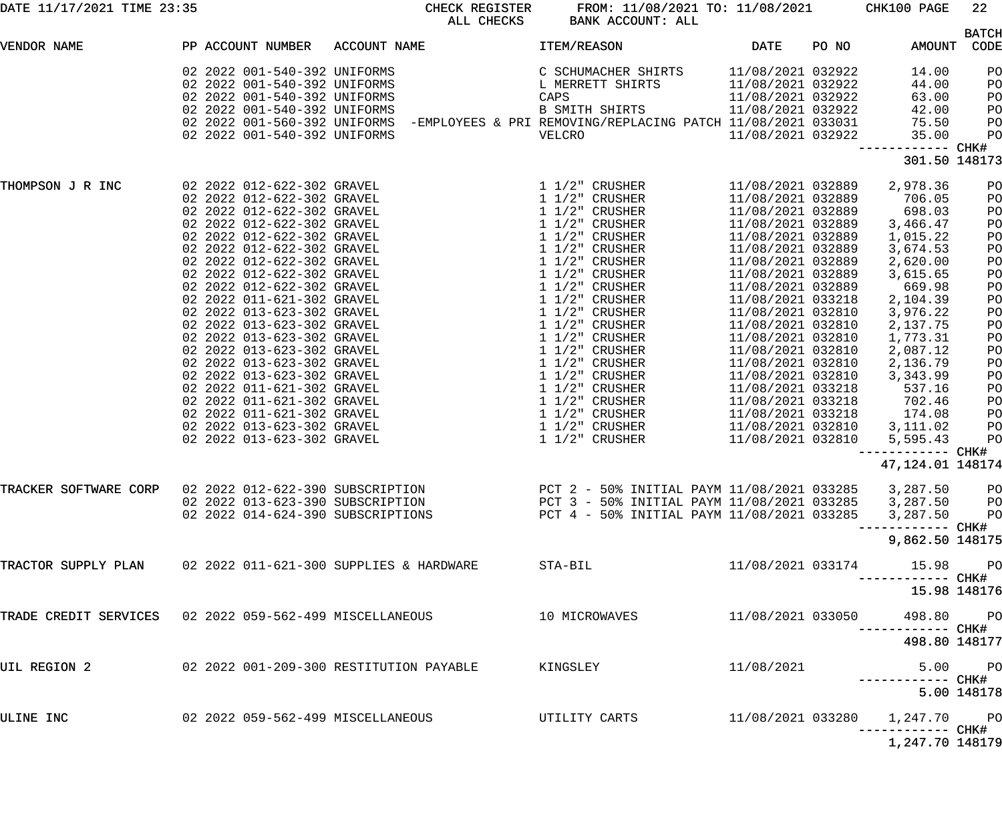| DATE 11/17/2021 TIME 23:35                              |                                   | CHECK REGISTER<br>ALL CHECKS                                                                                                                                                                                                                                                                                               | FROM: 11/08/2021 TO: 11/08/2021 CHK100 PAGE<br>BANK ACCOUNT: ALL |                   |       |                                       | 22             |
|---------------------------------------------------------|-----------------------------------|----------------------------------------------------------------------------------------------------------------------------------------------------------------------------------------------------------------------------------------------------------------------------------------------------------------------------|------------------------------------------------------------------|-------------------|-------|---------------------------------------|----------------|
|                                                         |                                   |                                                                                                                                                                                                                                                                                                                            |                                                                  |                   |       |                                       | <b>BATCH</b>   |
| VENDOR NAME                                             |                                   | PP ACCOUNT NUMBER ACCOUNT NAME                                                                                                                                                                                                                                                                                             | ITEM/REASON                                                      | DATE              | PO NO | AMOUNT CODE                           |                |
|                                                         | 02 2022 001-540-392 UNIFORMS      |                                                                                                                                                                                                                                                                                                                            | C SCHUMACHER SHIRTS<br>L MERRETT SHIRTS                          | 11/08/2021 032922 |       | 14.00                                 | PO             |
|                                                         | 02 2022 001-540-392 UNIFORMS      |                                                                                                                                                                                                                                                                                                                            |                                                                  | 11/08/2021 032922 |       | 44.00                                 | PO             |
|                                                         | 02 2022 001-540-392 UNIFORMS      |                                                                                                                                                                                                                                                                                                                            | CAPS                                                             | 11/08/2021 032922 |       | 63.00                                 | PO             |
|                                                         | 02 2022 001-540-392 UNIFORMS      |                                                                                                                                                                                                                                                                                                                            | B SMITH SHIRTS                                                   | 11/08/2021 032922 |       | 42.00                                 | PO             |
|                                                         |                                   | 02 2022 001-560-392 UNIFORMS -EMPLOYEES & PRI REMOVING/REPLACING PATCH 11/08/2021 033031                                                                                                                                                                                                                                   |                                                                  |                   |       | 75.50                                 | PO             |
|                                                         | 02 2022 001-540-392 UNIFORMS      |                                                                                                                                                                                                                                                                                                                            | VELCRO                                                           | 11/08/2021 032922 |       | 35.00                                 | PO             |
|                                                         |                                   |                                                                                                                                                                                                                                                                                                                            |                                                                  |                   |       | ------------ CHK#                     |                |
|                                                         |                                   |                                                                                                                                                                                                                                                                                                                            |                                                                  |                   |       | 301.50 148173                         |                |
| THOMPSON J R INC                                        |                                   | $\begin{array}{cccc} 02& 2022& 012-622-302& \text{GRAVEL} & 1 & 1/2" & \text{CRUSHER} \\ 02& 2022& 012-622-302& \text{GRAVEL} & 1 & 1/2" & \text{CRUSHERR} \\ 02& 2022& 012-622-302& \text{GRAVEL} & 1 & 1/2" & \text{CRUSHERR} \\ 02& 2022& 012-622-302& \text{GRAVEL} & 1 & 1/2" & \text{CRUSHERR} \\ 02& 2022& 012-622$ |                                                                  | 11/08/2021 032889 |       | 2,978.36                              | PO             |
|                                                         |                                   |                                                                                                                                                                                                                                                                                                                            |                                                                  | 11/08/2021 032889 |       | 706.05                                | PO             |
|                                                         |                                   |                                                                                                                                                                                                                                                                                                                            |                                                                  | 11/08/2021 032889 |       | 698.03                                | PO             |
|                                                         |                                   |                                                                                                                                                                                                                                                                                                                            |                                                                  | 11/08/2021 032889 |       | 3,466.47                              | PO             |
|                                                         |                                   |                                                                                                                                                                                                                                                                                                                            |                                                                  | 11/08/2021 032889 |       | 1,015.22                              | PO             |
|                                                         |                                   |                                                                                                                                                                                                                                                                                                                            |                                                                  | 11/08/2021 032889 |       | 3,674.53                              | PO             |
|                                                         |                                   |                                                                                                                                                                                                                                                                                                                            |                                                                  | 11/08/2021 032889 |       | 2,620.00                              | PO             |
|                                                         |                                   |                                                                                                                                                                                                                                                                                                                            |                                                                  | 11/08/2021 032889 |       | 3,615.65                              | PO             |
|                                                         |                                   |                                                                                                                                                                                                                                                                                                                            |                                                                  | 11/08/2021 032889 |       | 669.98                                | PO             |
|                                                         |                                   |                                                                                                                                                                                                                                                                                                                            |                                                                  | 11/08/2021 033218 |       | 2,104.39                              | PO             |
|                                                         |                                   |                                                                                                                                                                                                                                                                                                                            |                                                                  | 11/08/2021 032810 |       | 3,976.22                              | PO             |
|                                                         |                                   |                                                                                                                                                                                                                                                                                                                            |                                                                  | 11/08/2021 032810 |       | 2,137.75                              | PO             |
|                                                         |                                   |                                                                                                                                                                                                                                                                                                                            |                                                                  | 11/08/2021 032810 |       | 1,773.31                              | PO             |
|                                                         |                                   |                                                                                                                                                                                                                                                                                                                            |                                                                  |                   |       |                                       |                |
|                                                         |                                   |                                                                                                                                                                                                                                                                                                                            |                                                                  | 11/08/2021 032810 |       | 2,087.12                              | PO             |
|                                                         |                                   |                                                                                                                                                                                                                                                                                                                            |                                                                  | 11/08/2021 032810 |       | 2,136.79                              | PO             |
|                                                         |                                   |                                                                                                                                                                                                                                                                                                                            |                                                                  | 11/08/2021 032810 |       | 3,343.99                              | PO             |
|                                                         |                                   |                                                                                                                                                                                                                                                                                                                            |                                                                  | 11/08/2021 033218 |       | 537.16                                | PO             |
|                                                         |                                   |                                                                                                                                                                                                                                                                                                                            |                                                                  | 11/08/2021 033218 |       | 702.46                                | PO             |
|                                                         |                                   |                                                                                                                                                                                                                                                                                                                            |                                                                  | 11/08/2021 033218 |       | 174.08                                | PO             |
|                                                         |                                   |                                                                                                                                                                                                                                                                                                                            |                                                                  | 11/08/2021 032810 |       | 3,111.02                              | PО             |
|                                                         |                                   |                                                                                                                                                                                                                                                                                                                            |                                                                  | 11/08/2021 032810 |       | 5,595.43                              | P <sub>O</sub> |
|                                                         |                                   |                                                                                                                                                                                                                                                                                                                            |                                                                  |                   |       | ----------- CHK#<br>47, 124.01 148174 |                |
| TRACKER SOFTWARE CORP                                   |                                   | 02 2022 012-622-390 SUBSCRIPTION                                                                                                                                                                                                                                                                                           | PCT 2 - 50% INITIAL PAYM 11/08/2021 033285 3,287.50 PO           |                   |       |                                       |                |
|                                                         |                                   |                                                                                                                                                                                                                                                                                                                            |                                                                  |                   |       |                                       |                |
|                                                         |                                   |                                                                                                                                                                                                                                                                                                                            |                                                                  |                   |       |                                       |                |
|                                                         |                                   |                                                                                                                                                                                                                                                                                                                            |                                                                  |                   |       |                                       |                |
|                                                         |                                   |                                                                                                                                                                                                                                                                                                                            |                                                                  |                   |       | 9,862.50 148175                       |                |
|                                                         |                                   | TRACTOR SUPPLY PLAN 02 2022 011-621-300 SUPPLIES & HARDWARE                                                                                                                                                                                                                                                                | STA-BIL                                                          | 11/08/2021 033174 |       | 15.98 PO                              |                |
|                                                         |                                   |                                                                                                                                                                                                                                                                                                                            |                                                                  |                   |       |                                       |                |
|                                                         |                                   |                                                                                                                                                                                                                                                                                                                            |                                                                  |                   |       | 15.98 148176                          |                |
| TRADE CREDIT SERVICES 02 2022 059-562-499 MISCELLANEOUS |                                   |                                                                                                                                                                                                                                                                                                                            | 10 MICROWAVES                                                    | 11/08/2021 033050 |       | 498.80 PO                             |                |
|                                                         |                                   |                                                                                                                                                                                                                                                                                                                            |                                                                  |                   |       | 498.80 148177                         |                |
| UIL REGION 2                                            |                                   | 02  2022  001-209-300 RESTITUTION PAYABLE                                                                                                                                                                                                                                                                                  | KINGSLEY                                                         | 11/08/2021        |       |                                       | 5.00 PO        |
|                                                         |                                   |                                                                                                                                                                                                                                                                                                                            |                                                                  |                   |       |                                       |                |
|                                                         |                                   |                                                                                                                                                                                                                                                                                                                            |                                                                  |                   |       |                                       | 5.00 148178    |
| ULINE INC                                               | 02 2022 059-562-499 MISCELLANEOUS |                                                                                                                                                                                                                                                                                                                            | UTILITY CARTS                                                    |                   |       | 11/08/2021 033280  1,247.70  PO       |                |
|                                                         |                                   |                                                                                                                                                                                                                                                                                                                            |                                                                  |                   |       |                                       |                |
|                                                         |                                   |                                                                                                                                                                                                                                                                                                                            |                                                                  |                   |       | 1,247.70 148179                       |                |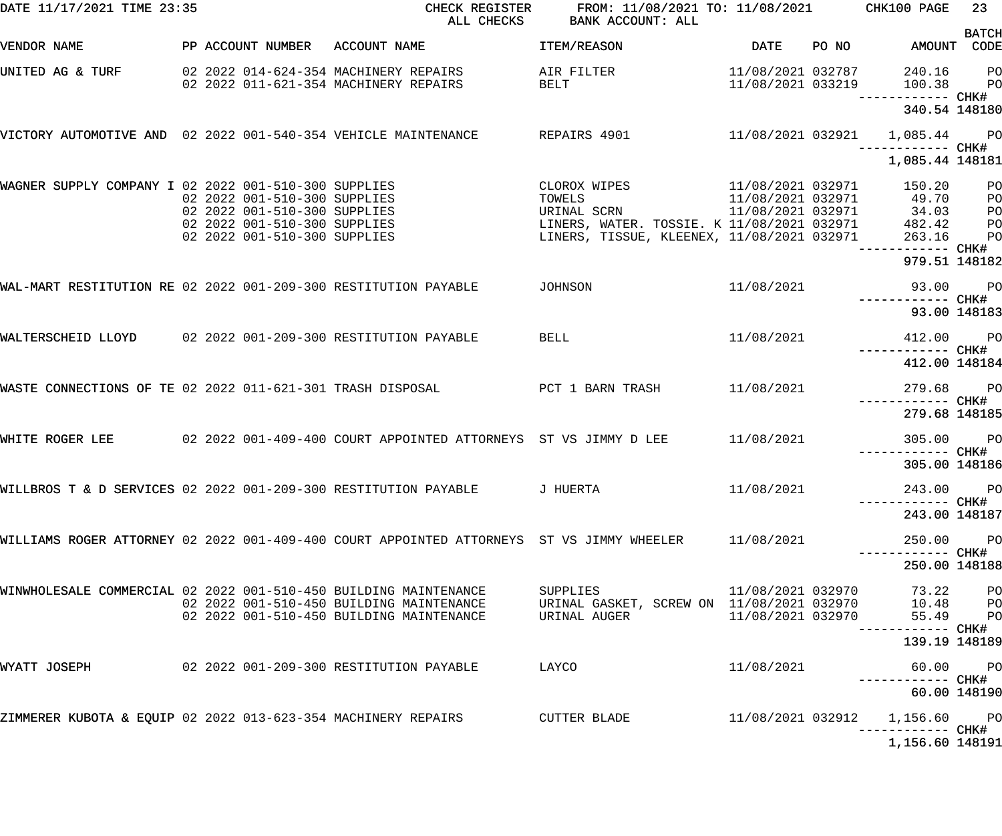| DATE 11/17/2021 TIME 23:35                                                 |                                | CHECK REGISTER<br>ALL CHECKS                                                                  | FROM: 11/08/2021 TO: 11/08/2021 CHK100 PAGE<br>BANK ACCOUNT: ALL                      |                   |       |                                                   | 23             |
|----------------------------------------------------------------------------|--------------------------------|-----------------------------------------------------------------------------------------------|---------------------------------------------------------------------------------------|-------------------|-------|---------------------------------------------------|----------------|
|                                                                            |                                |                                                                                               |                                                                                       |                   |       |                                                   | <b>BATCH</b>   |
| VENDOR NAME                                                                | PP ACCOUNT NUMBER ACCOUNT NAME |                                                                                               | ITEM/REASON                                                                           | DATE              | PO NO | AMOUNT CODE                                       |                |
| UNITED AG & TURF                                                           |                                | 02  2022  014-624-354  MACHINERY REPAIRS                                                      | AIR FILTER                                                                            | 11/08/2021 032787 |       | 240.16                                            | $P$ O          |
|                                                                            |                                | 02 2022 011-621-354 MACHINERY REPAIRS                                                         | BELT                                                                                  | 11/08/2021 033219 |       | 100.38                                            | P <sub>O</sub> |
|                                                                            |                                |                                                                                               |                                                                                       |                   |       |                                                   |                |
|                                                                            |                                |                                                                                               |                                                                                       |                   |       | 340.54 148180                                     |                |
|                                                                            |                                | VICTORY AUTOMOTIVE AND 02 2022 001-540-354 VEHICLE MAINTENANCE REPAIRS 4901 11/08/2021 032921 |                                                                                       |                   |       | 1,085.44 PO                                       |                |
|                                                                            |                                |                                                                                               |                                                                                       |                   |       | ------------ CHK#                                 |                |
|                                                                            |                                |                                                                                               |                                                                                       |                   |       | 1,085.44 148181                                   |                |
| WAGNER SUPPLY COMPANY I 02 2022 001-510-300 SUPPLIES                       |                                |                                                                                               | CLOROX WIPES                                                                          | 11/08/2021 032971 |       | 150.20                                            | P <sub>O</sub> |
|                                                                            | 02 2022 001-510-300 SUPPLIES   |                                                                                               | TOWELS<br>URINAL SCRN 11/08/2021 032971<br>LINERS, WATER. TOSSIE. K 11/08/2021 032971 |                   |       | 49.70                                             | P <sub>O</sub> |
|                                                                            | 02 2022 001-510-300 SUPPLIES   |                                                                                               |                                                                                       |                   |       | 34.03                                             | PO             |
|                                                                            | 02 2022 001-510-300 SUPPLIES   |                                                                                               |                                                                                       |                   |       | 482.42                                            | P <sub>O</sub> |
|                                                                            | 02 2022 001-510-300 SUPPLIES   |                                                                                               |                                                                                       |                   |       | 263.16                                            | P <sub>O</sub> |
|                                                                            |                                |                                                                                               |                                                                                       |                   |       |                                                   |                |
|                                                                            |                                |                                                                                               |                                                                                       |                   |       | 979.51 148182                                     |                |
| WAL-MART RESTITUTION RE 02 2022 001-209-300 RESTITUTION PAYABLE            |                                |                                                                                               | JOHNSON                                                                               | 11/08/2021        |       | 93.00                                             | <b>PO</b>      |
|                                                                            |                                |                                                                                               |                                                                                       |                   |       | ------------ CHK#                                 |                |
|                                                                            |                                |                                                                                               |                                                                                       |                   |       | 93.00 148183                                      |                |
|                                                                            |                                |                                                                                               |                                                                                       |                   |       |                                                   |                |
| WALTERSCHEID LLOYD 02 2022 001-209-300 RESTITUTION PAYABLE                 |                                |                                                                                               | <b>BELL</b>                                                                           | 11/08/2021        |       | 412.00 PO<br>------------ CHK#                    |                |
|                                                                            |                                |                                                                                               |                                                                                       |                   |       | 412.00 148184                                     |                |
|                                                                            |                                |                                                                                               |                                                                                       |                   |       |                                                   |                |
| WASTE CONNECTIONS OF TE 02 2022 011-621-301 TRASH DISPOSAL                 |                                |                                                                                               | PCT 1 BARN TRASH                                                                      | 11/08/2021        |       | 279.68                                            | <b>PO</b>      |
|                                                                            |                                |                                                                                               |                                                                                       |                   |       | ------------ CHK#<br>279.68 148185                |                |
|                                                                            |                                |                                                                                               |                                                                                       |                   |       |                                                   |                |
| WHITE ROGER LEE                                                            |                                | 02 2022 001-409-400 COURT APPOINTED ATTORNEYS ST VS JIMMY D LEE                               |                                                                                       | 11/08/2021        |       | 305.00 PO                                         |                |
|                                                                            |                                |                                                                                               |                                                                                       |                   |       | ------------ CHK#                                 |                |
|                                                                            |                                |                                                                                               |                                                                                       |                   |       | 305.00 148186                                     |                |
|                                                                            |                                | WILLBROS T & D SERVICES 02 2022 001-209-300 RESTITUTION PAYABLE         J HUERTA              |                                                                                       | 11/08/2021        |       | 243.00 PO                                         |                |
|                                                                            |                                |                                                                                               |                                                                                       |                   |       | ----------- CHK#                                  |                |
|                                                                            |                                |                                                                                               |                                                                                       |                   |       | 243.00 148187                                     |                |
|                                                                            |                                | WILLIAMS ROGER ATTORNEY 02 2022 001-409-400 COURT APPOINTED ATTORNEYS  ST VS JIMMY WHEELER    |                                                                                       | 11/08/2021        |       | 250.00 PO                                         |                |
|                                                                            |                                |                                                                                               |                                                                                       |                   |       | ----------- CHK#                                  |                |
|                                                                            |                                |                                                                                               |                                                                                       |                   |       | 250.00 148188                                     |                |
|                                                                            |                                |                                                                                               |                                                                                       |                   |       |                                                   |                |
| WINWHOLESALE COMMERCIAL 02 2022 001-510-450 BUILDING MAINTENANCE           |                                |                                                                                               | <b>SUPPLIES</b>                                                                       | 11/08/2021 032970 |       | 73.22                                             | P <sub>O</sub> |
|                                                                            |                                | 02 2022 001-510-450 BUILDING MAINTENANCE                                                      | URINAL GASKET, SCREW ON 11/08/2021 032970                                             |                   |       | 10.48 PO                                          |                |
|                                                                            |                                | 02 2022 001-510-450 BUILDING MAINTENANCE                                                      | URINAL AUGER                                                                          | 11/08/2021 032970 |       | 55.49 PO                                          |                |
|                                                                            |                                |                                                                                               |                                                                                       |                   |       | ----------- CHK#                                  |                |
|                                                                            |                                |                                                                                               |                                                                                       |                   |       | 139.19 148189                                     |                |
| WYATT JOSEPH                                                               |                                | 02  2022  001-209-300 RESTITUTION PAYABLE                                                     | LAYCO                                                                                 | 11/08/2021        |       | 60.00 PO                                          |                |
|                                                                            |                                |                                                                                               |                                                                                       |                   |       |                                                   |                |
|                                                                            |                                |                                                                                               |                                                                                       |                   |       | 60.00 148190                                      |                |
|                                                                            |                                |                                                                                               |                                                                                       |                   |       |                                                   |                |
| ZIMMERER KUBOTA & EQUIP 02 2022 013-623-354 MACHINERY REPAIRS CUTTER BLADE |                                |                                                                                               |                                                                                       |                   |       | 11/08/2021 032912 1,156.60 PO<br>----------- CHK# |                |
|                                                                            |                                |                                                                                               |                                                                                       |                   |       | 1,156.60 148191                                   |                |